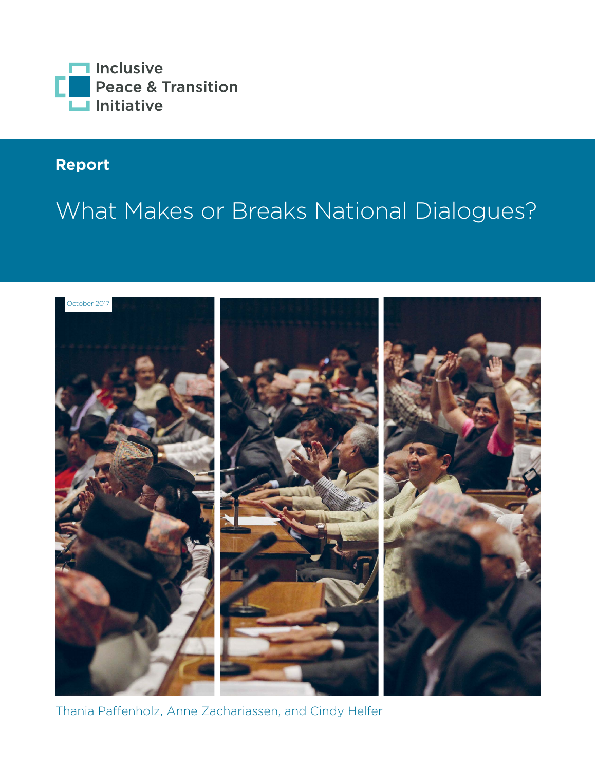

# **Report**

# What Makes or Breaks National Dialogues?



Thania Paffenholz, Anne Zachariassen, and Cindy Helfer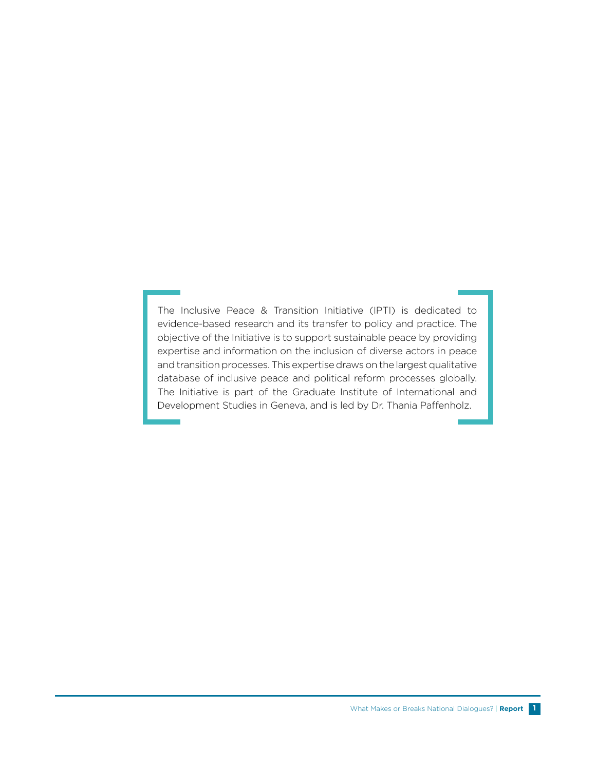The Inclusive Peace & Transition Initiative (IPTI) is dedicated to evidence-based research and its transfer to policy and practice. The objective of the Initiative is to support sustainable peace by providing expertise and information on the inclusion of diverse actors in peace and transition processes. This expertise draws on the largest qualitative database of inclusive peace and political reform processes globally. The Initiative is part of the Graduate Institute of International and Development Studies in Geneva, and is led by Dr. Thania Paffenholz.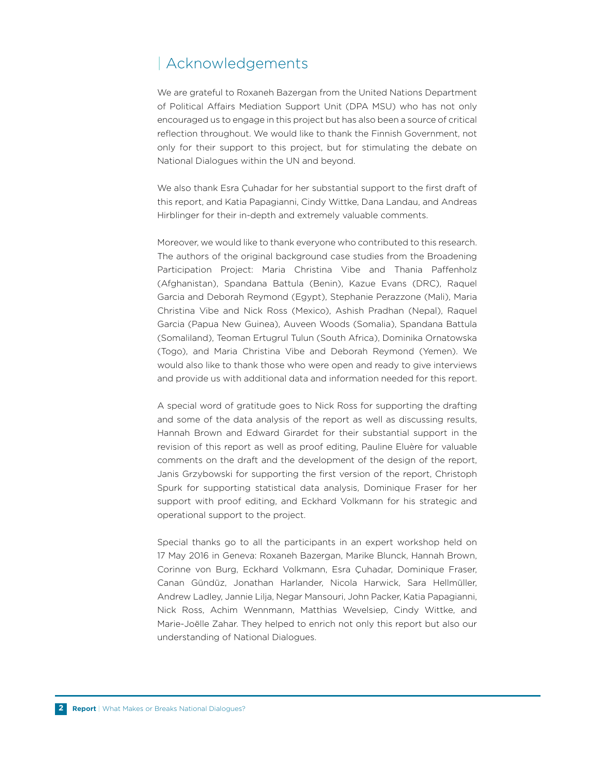# | Acknowledgements

We are grateful to Roxaneh Bazergan from the United Nations Department of Political Affairs Mediation Support Unit (DPA MSU) who has not only encouraged us to engage in this project but has also been a source of critical reflection throughout. We would like to thank the Finnish Government, not only for their support to this project, but for stimulating the debate on National Dialogues within the UN and beyond.

We also thank Esra Çuhadar for her substantial support to the first draft of this report, and Katia Papagianni, Cindy Wittke, Dana Landau, and Andreas Hirblinger for their in-depth and extremely valuable comments.

Moreover, we would like to thank everyone who contributed to this research. The authors of the original background case studies from the Broadening Participation Project: Maria Christina Vibe and Thania Paffenholz (Afghanistan), Spandana Battula (Benin), Kazue Evans (DRC), Raquel Garcia and Deborah Reymond (Egypt), Stephanie Perazzone (Mali), Maria Christina Vibe and Nick Ross (Mexico), Ashish Pradhan (Nepal), Raquel Garcia (Papua New Guinea), Auveen Woods (Somalia), Spandana Battula (Somaliland), Teoman Ertugrul Tulun (South Africa), Dominika Ornatowska (Togo), and Maria Christina Vibe and Deborah Reymond (Yemen). We would also like to thank those who were open and ready to give interviews and provide us with additional data and information needed for this report.

A special word of gratitude goes to Nick Ross for supporting the drafting and some of the data analysis of the report as well as discussing results, Hannah Brown and Edward Girardet for their substantial support in the revision of this report as well as proof editing, Pauline Eluère for valuable comments on the draft and the development of the design of the report, Janis Grzybowski for supporting the first version of the report, Christoph Spurk for supporting statistical data analysis, Dominique Fraser for her support with proof editing, and Eckhard Volkmann for his strategic and operational support to the project.

Special thanks go to all the participants in an expert workshop held on 17 May 2016 in Geneva: Roxaneh Bazergan, Marike Blunck, Hannah Brown, Corinne von Burg, Eckhard Volkmann, Esra Çuhadar, Dominique Fraser, Canan Gündüz, Jonathan Harlander, Nicola Harwick, Sara Hellmüller, Andrew Ladley, Jannie Lilja, Negar Mansouri, John Packer, Katia Papagianni, Nick Ross, Achim Wennmann, Matthias Wevelsiep, Cindy Wittke, and Marie-Joëlle Zahar. They helped to enrich not only this report but also our understanding of National Dialogues.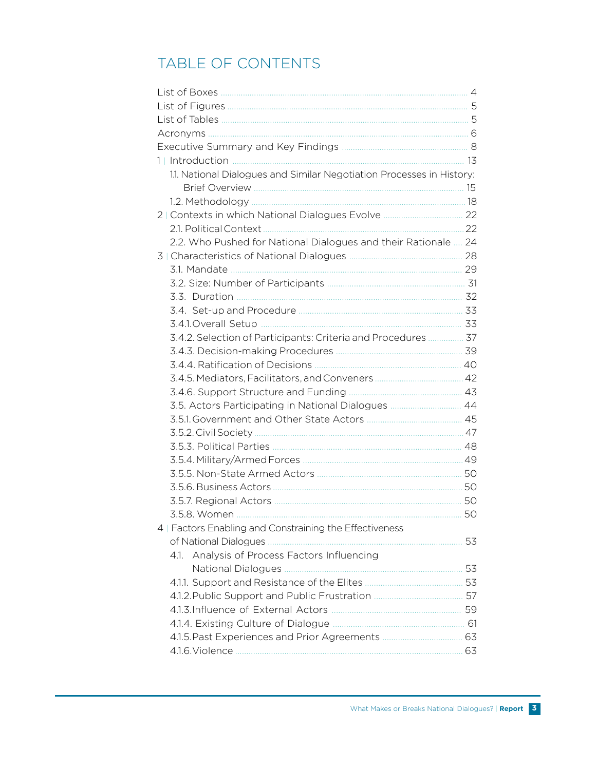# TABLE OF CONTENTS

| 1.1. National Dialogues and Similar Negotiation Processes in History: |    |
|-----------------------------------------------------------------------|----|
|                                                                       |    |
|                                                                       |    |
| 2   Contexts in which National Dialogues Evolve  22                   |    |
|                                                                       |    |
| 2.2. Who Pushed for National Dialogues and their Rationale  24        |    |
|                                                                       |    |
|                                                                       |    |
|                                                                       |    |
|                                                                       |    |
|                                                                       |    |
|                                                                       |    |
| 3.4.2. Selection of Participants: Criteria and Procedures  37         |    |
|                                                                       |    |
|                                                                       |    |
|                                                                       |    |
|                                                                       |    |
| 3.5. Actors Participating in National Dialogues  44                   |    |
|                                                                       |    |
|                                                                       |    |
|                                                                       |    |
|                                                                       |    |
|                                                                       |    |
|                                                                       |    |
|                                                                       |    |
|                                                                       |    |
| 4   Factors Enabling and Constraining the Effectiveness               |    |
| of National Dialogues                                                 | 53 |
| Analysis of Process Factors Influencing<br>4.1.                       |    |
|                                                                       |    |
|                                                                       |    |
|                                                                       |    |
|                                                                       |    |
|                                                                       |    |
|                                                                       |    |
|                                                                       |    |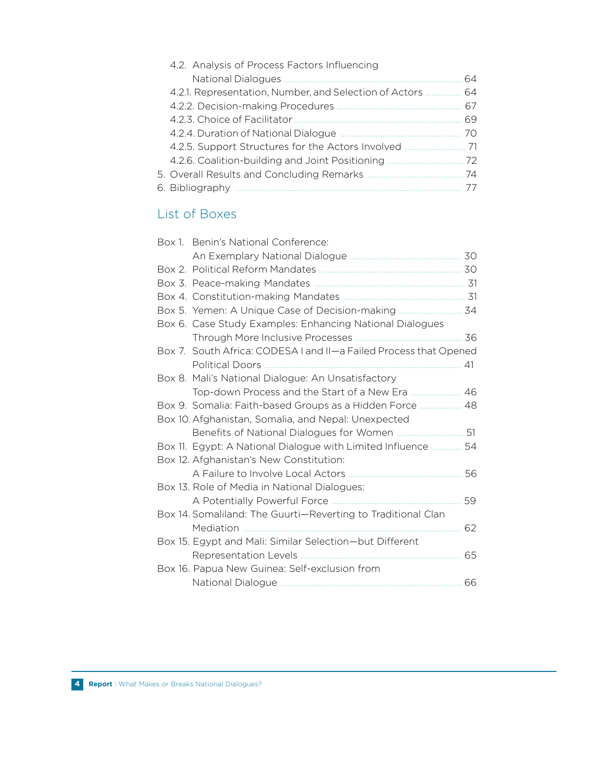| 4.2. Analysis of Process Factors Influencing           |     |
|--------------------------------------------------------|-----|
| <b>National Dialogues</b>                              | 64. |
| 4.2.1. Representation, Number, and Selection of Actors | 64  |
|                                                        | 67  |
| 4.2.3. Choice of Facilitator                           | 69  |
| 4.2.4. Duration of National Dialogue                   | 70  |
| 4.2.5. Support Structures for the Actors Involved      | 71  |
| 4.2.6. Coalition-building and Joint Positioning        | 72. |
|                                                        | 74  |
| 6. Bibliography                                        |     |

# List of Boxes

| 30                                                                |
|-------------------------------------------------------------------|
|                                                                   |
|                                                                   |
|                                                                   |
| Box 5. Yemen: A Unique Case of Decision-making  34                |
|                                                                   |
| 36                                                                |
| Box 7. South Africa: CODESA I and II-a Failed Process that Opened |
| 41                                                                |
|                                                                   |
|                                                                   |
| Box 9. Somalia: Faith-based Groups as a Hidden Force  48          |
|                                                                   |
|                                                                   |
| 54<br>Box 11. Egypt: A National Dialogue with Limited Influence   |
|                                                                   |
| 56                                                                |
|                                                                   |
| 59                                                                |
|                                                                   |
| 62                                                                |
|                                                                   |
| 65                                                                |
|                                                                   |
| 66                                                                |
|                                                                   |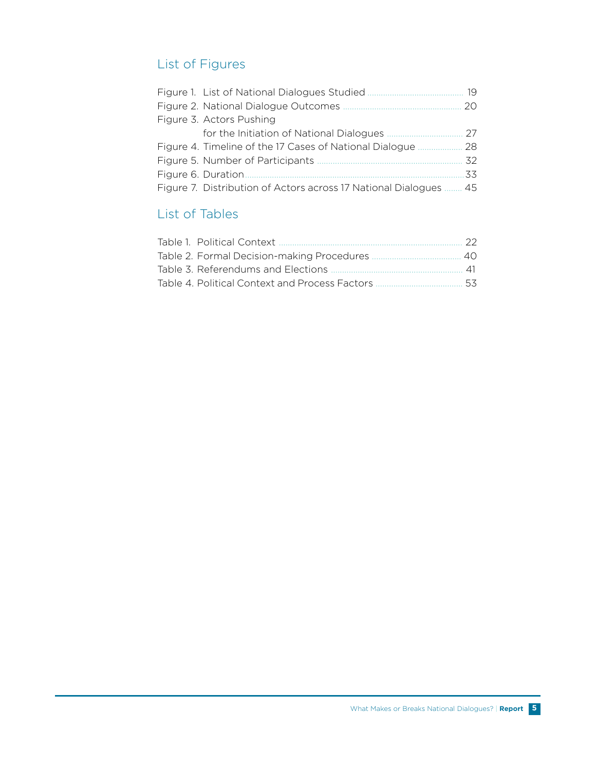# List of Figures

|                                                               | 19 |
|---------------------------------------------------------------|----|
| Figure 2. National Dialogue Outcomes                          | 20 |
| Figure 3. Actors Pushing                                      |    |
| for the Initiation of National Dialogues                      | 27 |
| Figure 4. Timeline of the 17 Cases of National Dialogue       | 28 |
| Figure 5. Number of Participants                              | 32 |
| Figure 6. Duration                                            | 33 |
| Figure 7. Distribution of Actors across 17 National Dialogues | 45 |

# List of Tables

| - 22 |
|------|
|      |
|      |
|      |
|      |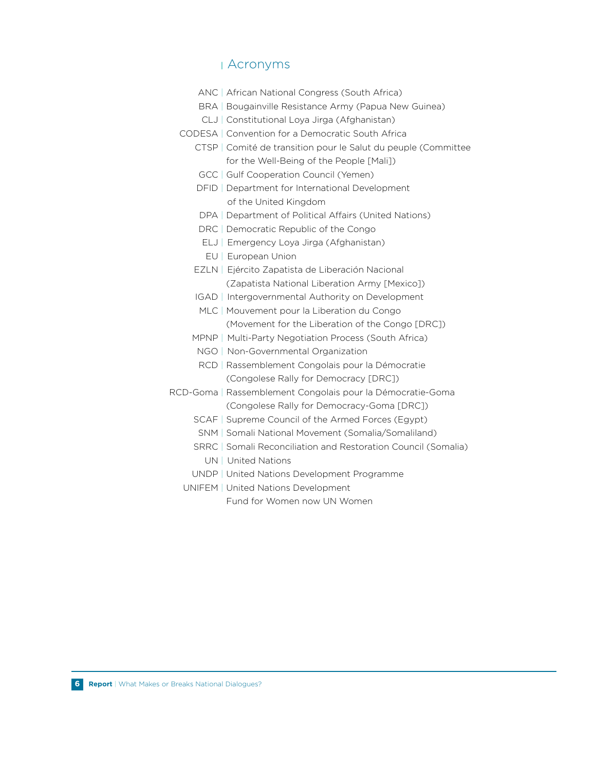### **<sup>|</sup>** Acronyms

- ANC | African National Congress (South Africa)
- BRA | Bougainville Resistance Army (Papua New Guinea)
- CLJ | Constitutional Loya Jirga (Afghanistan)
- CODESA | Convention for a Democratic South Africa
	- CTSP | Comité de transition pour le Salut du peuple (Committee for the Well-Being of the People [Mali])
	- GCC | Gulf Cooperation Council (Yemen)
	- DFID | Department for International Development of the United Kingdom
	- DPA | Department of Political Affairs (United Nations)
	- DRC | Democratic Republic of the Congo
	- ELJ | Emergency Loya Jirga (Afghanistan)
	- EU | European Union
	- EZLN | Ejército Zapatista de Liberación Nacional (Zapatista National Liberation Army [Mexico])
	- IGAD | Intergovernmental Authority on Development
	- MLC | Mouvement pour la Liberation du Congo (Movement for the Liberation of the Congo [DRC])
	- MPNP | Multi-Party Negotiation Process (South Africa)
	- NGO | Non-Governmental Organization
	- RCD | Rassemblement Congolais pour la Démocratie (Congolese Rally for Democracy [DRC])
- RCD-Goma | Rassemblement Congolais pour la Démocratie-Goma (Congolese Rally for Democracy-Goma [DRC])
	- SCAF | Supreme Council of the Armed Forces (Egypt)
	- SNM | Somali National Movement (Somalia/Somaliland)
	- SRRC | Somali Reconciliation and Restoration Council (Somalia)
		- UN | United Nations
	- UNDP | United Nations Development Programme
	- UNIFEM | United Nations Development

Fund for Women now UN Women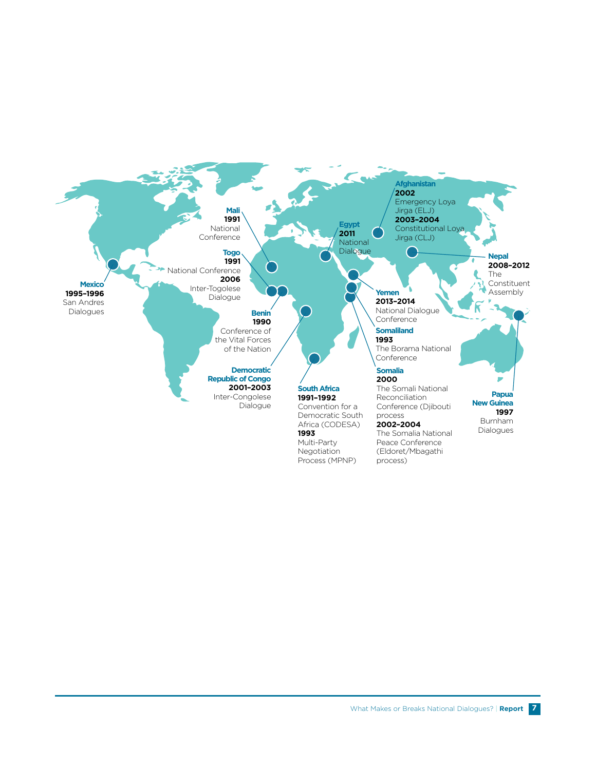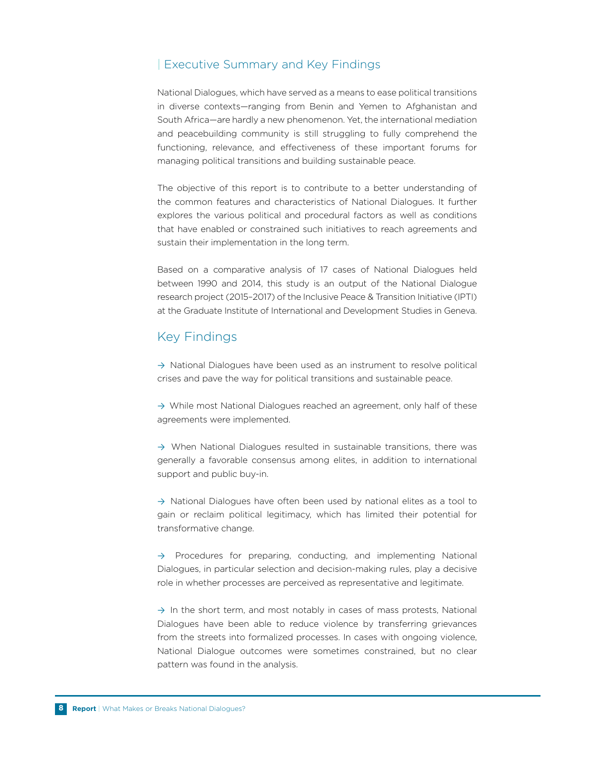#### | Executive Summary and Key Findings

National Dialogues, which have served as a means to ease political transitions in diverse contexts—ranging from Benin and Yemen to Afghanistan and South Africa—are hardly a new phenomenon. Yet, the international mediation and peacebuilding community is still struggling to fully comprehend the functioning, relevance, and effectiveness of these important forums for managing political transitions and building sustainable peace.

The objective of this report is to contribute to a better understanding of the common features and characteristics of National Dialogues. It further explores the various political and procedural factors as well as conditions that have enabled or constrained such initiatives to reach agreements and sustain their implementation in the long term.

Based on a comparative analysis of 17 cases of National Dialogues held between 1990 and 2014, this study is an output of the National Dialogue research project (2015–2017) of the Inclusive Peace & Transition Initiative (IPTI) at the Graduate Institute of International and Development Studies in Geneva.

### Key Findings

 $\rightarrow$  National Dialogues have been used as an instrument to resolve political crises and pave the way for political transitions and sustainable peace.

→ While most National Dialogues reached an agreement, only half of these agreements were implemented.

 $\rightarrow$  When National Dialogues resulted in sustainable transitions, there was generally a favorable consensus among elites, in addition to international support and public buy-in.

 $\rightarrow$  National Dialogues have often been used by national elites as a tool to gain or reclaim political legitimacy, which has limited their potential for transformative change.

 $\rightarrow$  Procedures for preparing, conducting, and implementing National Dialogues, in particular selection and decision-making rules, play a decisive role in whether processes are perceived as representative and legitimate.

 $\rightarrow$  In the short term, and most notably in cases of mass protests, National Dialogues have been able to reduce violence by transferring grievances from the streets into formalized processes. In cases with ongoing violence, National Dialogue outcomes were sometimes constrained, but no clear pattern was found in the analysis.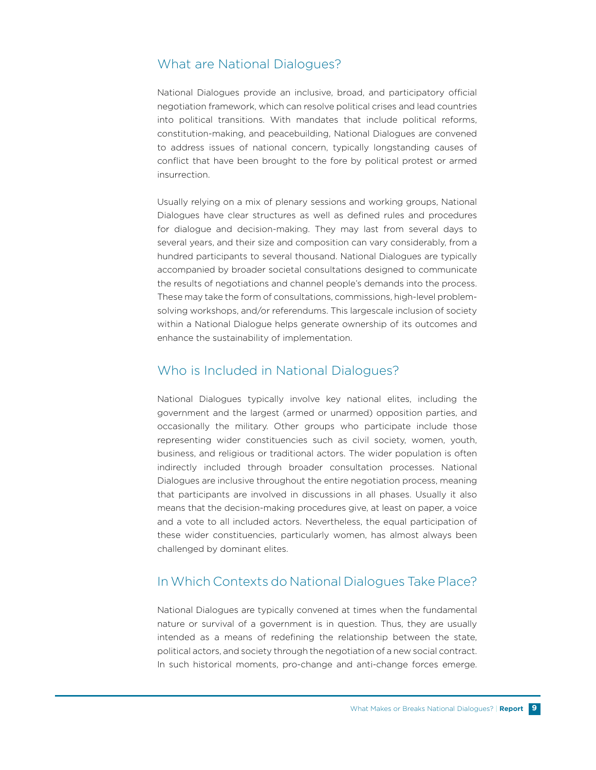### What are National Dialogues?

National Dialogues provide an inclusive, broad, and participatory official negotiation framework, which can resolve political crises and lead countries into political transitions. With mandates that include political reforms, constitution-making, and peacebuilding, National Dialogues are convened to address issues of national concern, typically longstanding causes of conflict that have been brought to the fore by political protest or armed insurrection.

Usually relying on a mix of plenary sessions and working groups, National Dialogues have clear structures as well as defined rules and procedures for dialogue and decision-making. They may last from several days to several years, and their size and composition can vary considerably, from a hundred participants to several thousand. National Dialogues are typically accompanied by broader societal consultations designed to communicate the results of negotiations and channel people's demands into the process. These may take the form of consultations, commissions, high-level problemsolving workshops, and/or referendums. This largescale inclusion of society within a National Dialogue helps generate ownership of its outcomes and enhance the sustainability of implementation.

### Who is Included in National Dialogues?

National Dialogues typically involve key national elites, including the government and the largest (armed or unarmed) opposition parties, and occasionally the military. Other groups who participate include those representing wider constituencies such as civil society, women, youth, business, and religious or traditional actors. The wider population is often indirectly included through broader consultation processes. National Dialogues are inclusive throughout the entire negotiation process, meaning that participants are involved in discussions in all phases. Usually it also means that the decision-making procedures give, at least on paper, a voice and a vote to all included actors. Nevertheless, the equal participation of these wider constituencies, particularly women, has almost always been challenged by dominant elites.

# In Which Contexts do National Dialogues Take Place?

National Dialogues are typically convened at times when the fundamental nature or survival of a government is in question. Thus, they are usually intended as a means of redefining the relationship between the state, political actors, and society through the negotiation of a new social contract. In such historical moments, pro-change and anti-change forces emerge.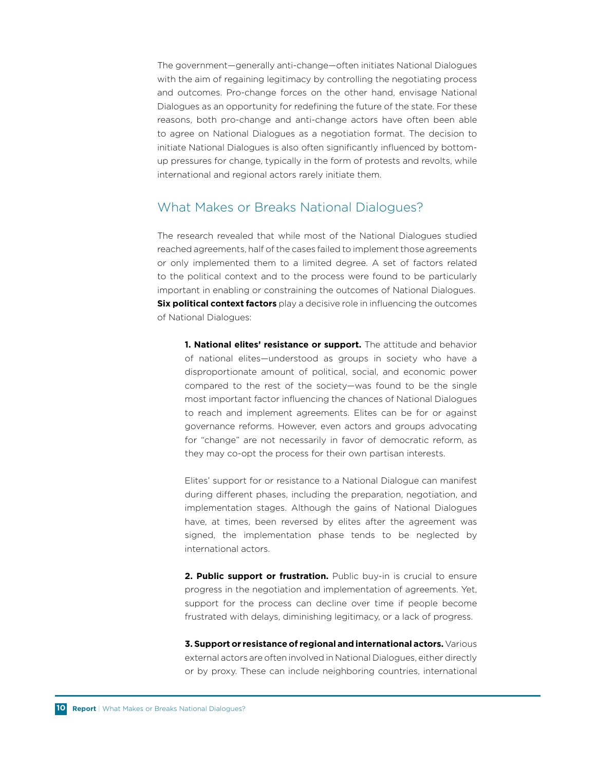The government—generally anti-change—often initiates National Dialogues with the aim of regaining legitimacy by controlling the negotiating process and outcomes. Pro-change forces on the other hand, envisage National Dialogues as an opportunity for redefining the future of the state. For these reasons, both pro-change and anti-change actors have often been able to agree on National Dialogues as a negotiation format. The decision to initiate National Dialogues is also often significantly influenced by bottomup pressures for change, typically in the form of protests and revolts, while international and regional actors rarely initiate them.

### What Makes or Breaks National Dialogues?

The research revealed that while most of the National Dialogues studied reached agreements, half of the cases failed to implement those agreements or only implemented them to a limited degree. A set of factors related to the political context and to the process were found to be particularly important in enabling or constraining the outcomes of National Dialogues. **Six political context factors** play a decisive role in influencing the outcomes of National Dialogues:

**1. National elites' resistance or support.** The attitude and behavior of national elites—understood as groups in society who have a disproportionate amount of political, social, and economic power compared to the rest of the society—was found to be the single most important factor influencing the chances of National Dialogues to reach and implement agreements. Elites can be for or against governance reforms. However, even actors and groups advocating for "change" are not necessarily in favor of democratic reform, as they may co-opt the process for their own partisan interests.

Elites' support for or resistance to a National Dialogue can manifest during different phases, including the preparation, negotiation, and implementation stages. Although the gains of National Dialogues have, at times, been reversed by elites after the agreement was signed, the implementation phase tends to be neglected by international actors.

**2. Public support or frustration.** Public buy-in is crucial to ensure progress in the negotiation and implementation of agreements. Yet, support for the process can decline over time if people become frustrated with delays, diminishing legitimacy, or a lack of progress.

**3. Support or resistance of regional and international actors.** Various external actors are often involved in National Dialogues, either directly or by proxy. These can include neighboring countries, international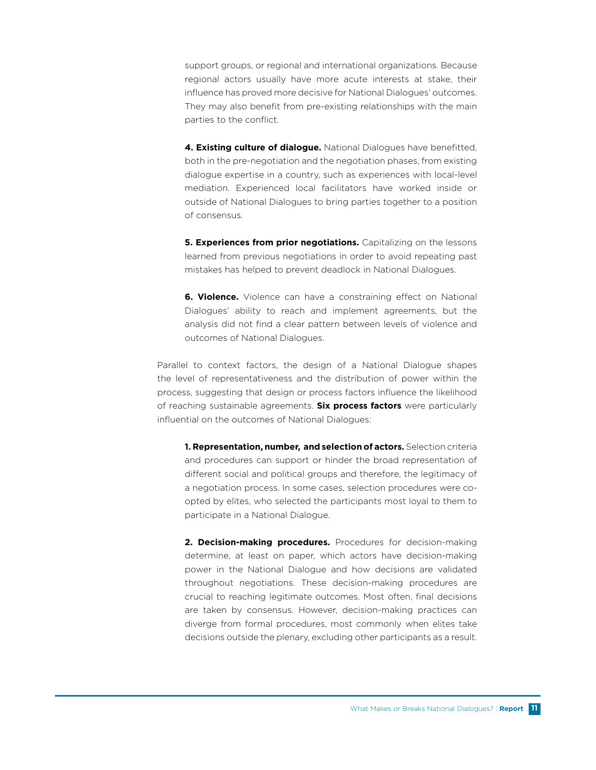support groups, or regional and international organizations. Because regional actors usually have more acute interests at stake, their influence has proved more decisive for National Dialogues' outcomes. They may also benefit from pre-existing relationships with the main parties to the conflict.

**4. Existing culture of dialogue.** National Dialogues have benefitted, both in the pre-negotiation and the negotiation phases, from existing dialogue expertise in a country, such as experiences with local-level mediation. Experienced local facilitators have worked inside or outside of National Dialogues to bring parties together to a position of consensus.

**5. Experiences from prior negotiations.** Capitalizing on the lessons learned from previous negotiations in order to avoid repeating past mistakes has helped to prevent deadlock in National Dialogues.

**6. Violence.** Violence can have a constraining effect on National Dialogues' ability to reach and implement agreements, but the analysis did not find a clear pattern between levels of violence and outcomes of National Dialogues.

Parallel to context factors, the design of a National Dialogue shapes the level of representativeness and the distribution of power within the process, suggesting that design or process factors influence the likelihood of reaching sustainable agreements. **Six process factors** were particularly influential on the outcomes of National Dialogues:

**1. Representation, number, and selection of actors.** Selection criteria and procedures can support or hinder the broad representation of different social and political groups and therefore, the legitimacy of a negotiation process. In some cases, selection procedures were coopted by elites, who selected the participants most loyal to them to participate in a National Dialogue.

2. Decision-making procedures. Procedures for decision-making determine, at least on paper, which actors have decision-making power in the National Dialogue and how decisions are validated throughout negotiations. These decision-making procedures are crucial to reaching legitimate outcomes. Most often, final decisions are taken by consensus. However, decision-making practices can diverge from formal procedures, most commonly when elites take decisions outside the plenary, excluding other participants as a result.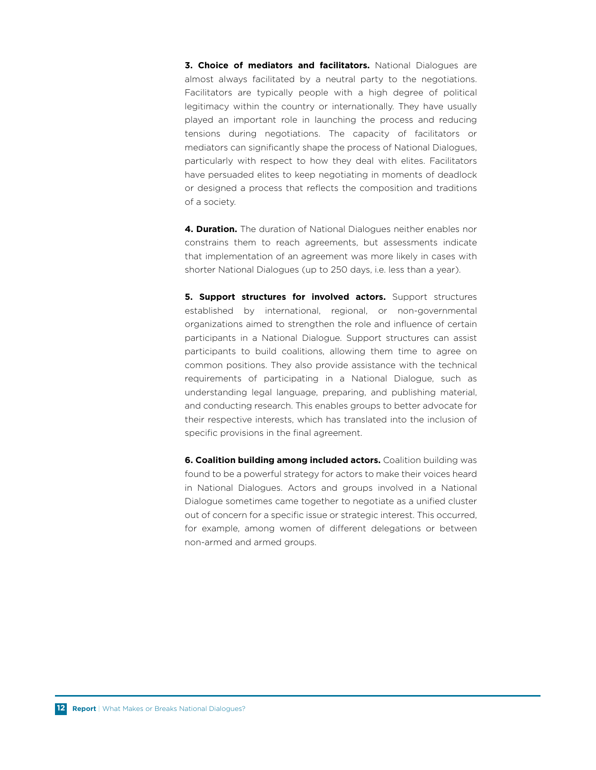**3. Choice of mediators and facilitators.** National Dialogues are almost always facilitated by a neutral party to the negotiations. Facilitators are typically people with a high degree of political legitimacy within the country or internationally. They have usually played an important role in launching the process and reducing tensions during negotiations. The capacity of facilitators or mediators can significantly shape the process of National Dialogues, particularly with respect to how they deal with elites. Facilitators have persuaded elites to keep negotiating in moments of deadlock or designed a process that reflects the composition and traditions of a society.

**4. Duration.** The duration of National Dialogues neither enables nor constrains them to reach agreements, but assessments indicate that implementation of an agreement was more likely in cases with shorter National Dialogues (up to 250 days, i.e. less than a year).

**5. Support structures for involved actors.** Support structures established by international, regional, or non-governmental organizations aimed to strengthen the role and influence of certain participants in a National Dialogue. Support structures can assist participants to build coalitions, allowing them time to agree on common positions. They also provide assistance with the technical requirements of participating in a National Dialogue, such as understanding legal language, preparing, and publishing material, and conducting research. This enables groups to better advocate for their respective interests, which has translated into the inclusion of specific provisions in the final agreement.

**6. Coalition building among included actors.** Coalition building was found to be a powerful strategy for actors to make their voices heard in National Dialogues. Actors and groups involved in a National Dialogue sometimes came together to negotiate as a unified cluster out of concern for a specific issue or strategic interest. This occurred, for example, among women of different delegations or between non-armed and armed groups.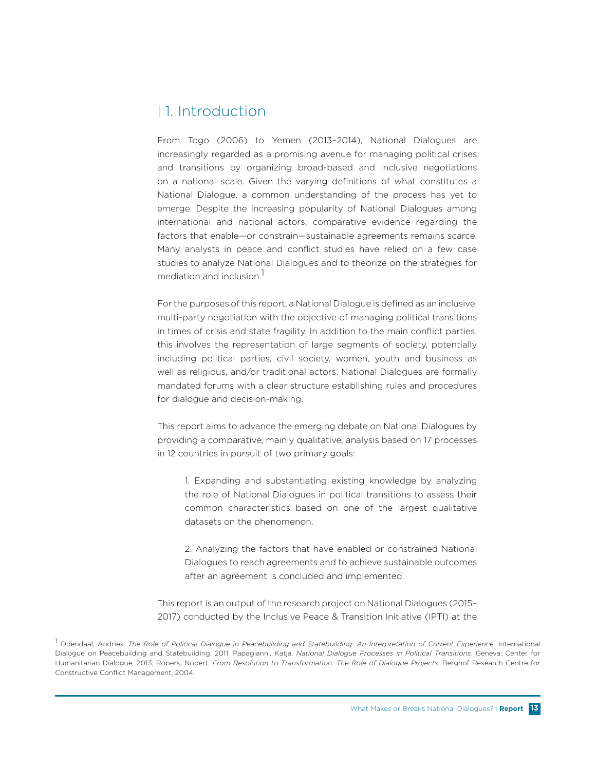# | 1. Introduction

From Togo (2006) to Yemen (2013–2014), National Dialogues are increasingly regarded as a promising avenue for managing political crises and transitions by organizing broad-based and inclusive negotiations on a national scale. Given the varying definitions of what constitutes a National Dialogue, a common understanding of the process has yet to emerge. Despite the increasing popularity of National Dialogues among international and national actors, comparative evidence regarding the factors that enable—or constrain—sustainable agreements remains scarce. Many analysts in peace and conflict studies have relied on a few case studies to analyze National Dialogues and to theorize on the strategies for mediation and inclusion.<sup>1</sup>

For the purposes of this report, a National Dialogue is defined as an inclusive, multi-party negotiation with the objective of managing political transitions in times of crisis and state fragility. In addition to the main conflict parties, this involves the representation of large segments of society, potentially including political parties, civil society, women, youth and business as well as religious, and/or traditional actors. National Dialogues are formally mandated forums with a clear structure establishing rules and procedures for dialogue and decision-making.

This report aims to advance the emerging debate on National Dialogues by providing a comparative, mainly qualitative, analysis based on 17 processes in 12 countries in pursuit of two primary goals:

1. Expanding and substantiating existing knowledge by analyzing the role of National Dialogues in political transitions to assess their common characteristics based on one of the largest qualitative datasets on the phenomenon.

2. Analyzing the factors that have enabled or constrained National Dialogues to reach agreements and to achieve sustainable outcomes after an agreement is concluded and implemented.

This report is an output of the research project on National Dialogues (2015– 2017) conducted by the Inclusive Peace & Transition Initiative (IPTI) at the

1 Odendaal, Andries. *The Role of Political Dialogue in Peacebuilding and Statebuilding: An Interpretation of Current Experience.* International Dialogue on Peacebuilding and Statebuilding, 2011; Papagianni, Katja. *National Dialogue Processes in Political Transitions.* Geneva: Center for Humanitarian Dialogue, 2013; Ropers, Nobert. *From Resolution to Transformation: The Role of Dialogue Projects.* Berghof Research Centre for Constructive Conflict Management, 2004.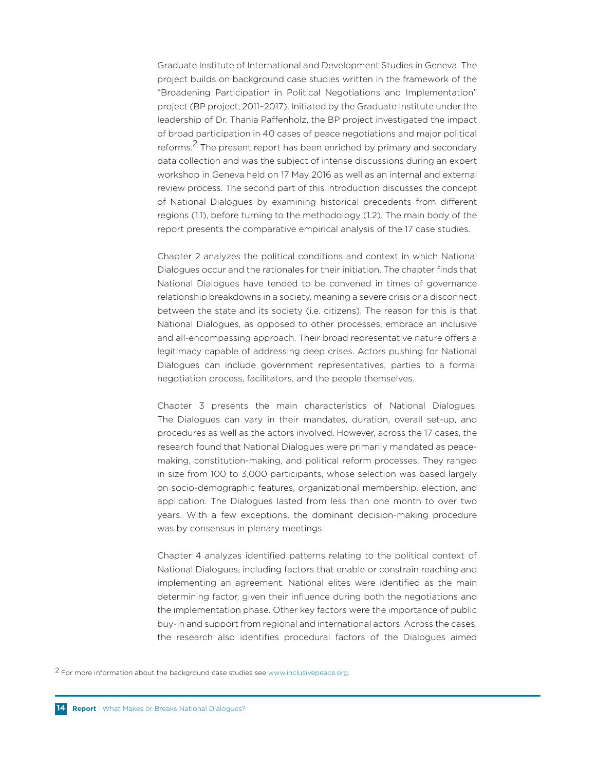Graduate Institute of International and Development Studies in Geneva. The project builds on background case studies written in the framework of the "Broadening Participation in Political Negotiations and Implementation" project (BP project, 2011–2017). Initiated by the Graduate Institute under the leadership of Dr. Thania Paffenholz, the BP project investigated the impact of broad participation in 40 cases of peace negotiations and major political reforms.<sup>2</sup> The present report has been enriched by primary and secondary data collection and was the subject of intense discussions during an expert workshop in Geneva held on 17 May 2016 as well as an internal and external review process. The second part of this introduction discusses the concept of National Dialogues by examining historical precedents from different regions (1.1), before turning to the methodology (1.2). The main body of the report presents the comparative empirical analysis of the 17 case studies.

Chapter 2 analyzes the political conditions and context in which National Dialogues occur and the rationales for their initiation. The chapter finds that National Dialogues have tended to be convened in times of governance relationship breakdowns in a society, meaning a severe crisis or a disconnect between the state and its society (i.e. citizens). The reason for this is that National Dialogues, as opposed to other processes, embrace an inclusive and all-encompassing approach. Their broad representative nature offers a legitimacy capable of addressing deep crises. Actors pushing for National Dialogues can include government representatives, parties to a formal negotiation process, facilitators, and the people themselves.

Chapter 3 presents the main characteristics of National Dialogues. The Dialogues can vary in their mandates, duration, overall set-up, and procedures as well as the actors involved. However, across the 17 cases, the research found that National Dialogues were primarily mandated as peacemaking, constitution-making, and political reform processes. They ranged in size from 100 to 3,000 participants, whose selection was based largely on socio-demographic features, organizational membership, election, and application. The Dialogues lasted from less than one month to over two years. With a few exceptions, the dominant decision-making procedure was by consensus in plenary meetings.

Chapter 4 analyzes identified patterns relating to the political context of National Dialogues, including factors that enable or constrain reaching and implementing an agreement. National elites were identified as the main determining factor, given their influence during both the negotiations and the implementation phase. Other key factors were the importance of public buy-in and support from regional and international actors. Across the cases, the research also identifies procedural factors of the Dialogues aimed

2 For more information about the background case studies see www.inclusivepeace.org.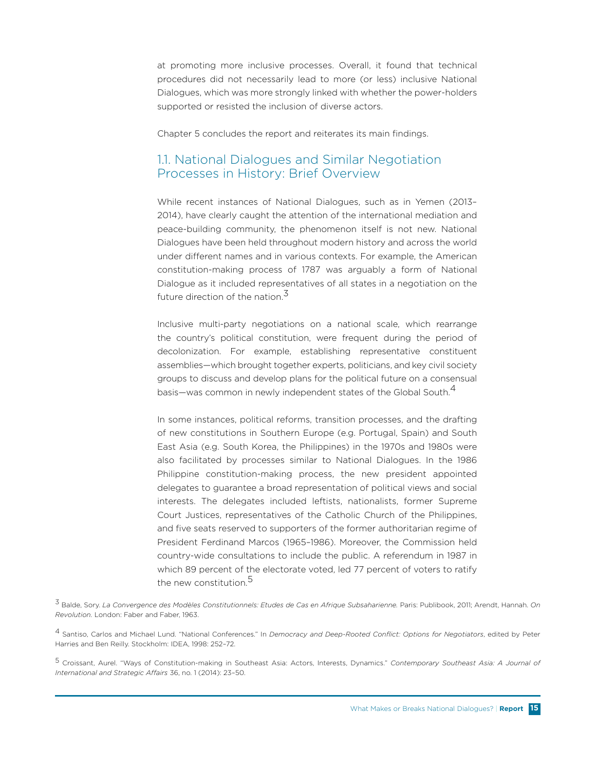at promoting more inclusive processes. Overall, it found that technical procedures did not necessarily lead to more (or less) inclusive National Dialogues, which was more strongly linked with whether the power-holders supported or resisted the inclusion of diverse actors.

Chapter 5 concludes the report and reiterates its main findings.

### 1.1. National Dialogues and Similar Negotiation Processes in History: Brief Overview

While recent instances of National Dialogues, such as in Yemen (2013– 2014), have clearly caught the attention of the international mediation and peace-building community, the phenomenon itself is not new. National Dialogues have been held throughout modern history and across the world under different names and in various contexts. For example, the American constitution-making process of 1787 was arguably a form of National Dialogue as it included representatives of all states in a negotiation on the future direction of the nation.<sup>3</sup>

Inclusive multi-party negotiations on a national scale, which rearrange the country's political constitution, were frequent during the period of decolonization. For example, establishing representative constituent assemblies—which brought together experts, politicians, and key civil society groups to discuss and develop plans for the political future on a consensual basis—was common in newly independent states of the Global South.<sup>4</sup>

In some instances, political reforms, transition processes, and the drafting of new constitutions in Southern Europe (e.g. Portugal, Spain) and South East Asia (e.g. South Korea, the Philippines) in the 1970s and 1980s were also facilitated by processes similar to National Dialogues. In the 1986 Philippine constitution-making process, the new president appointed delegates to guarantee a broad representation of political views and social interests. The delegates included leftists, nationalists, former Supreme Court Justices, representatives of the Catholic Church of the Philippines, and five seats reserved to supporters of the former authoritarian regime of President Ferdinand Marcos (1965–1986). Moreover, the Commission held country-wide consultations to include the public. A referendum in 1987 in which 89 percent of the electorate voted, led 77 percent of voters to ratify the new constitution.<sup>5</sup>

3 Balde, Sory. *La Convergence des Modèles Constitutionnels: Etudes de Cas en Afrique Subsaharienne.* Paris: Publibook, 2011; Arendt, Hannah. *On Revolution.* London: Faber and Faber, 1963.

4 Santiso, Carlos and Michael Lund. "National Conferences." In *Democracy and Deep-Rooted Conflict: Options for Negotiators*, edited by Peter Harries and Ben Reilly. Stockholm: IDEA, 1998: 252–72.

5 Croissant, Aurel. "Ways of Constitution-making in Southeast Asia: Actors, Interests, Dynamics." *Contemporary Southeast Asia: A Journal of International and Strategic Affairs* 36, no. 1 (2014): 23–50.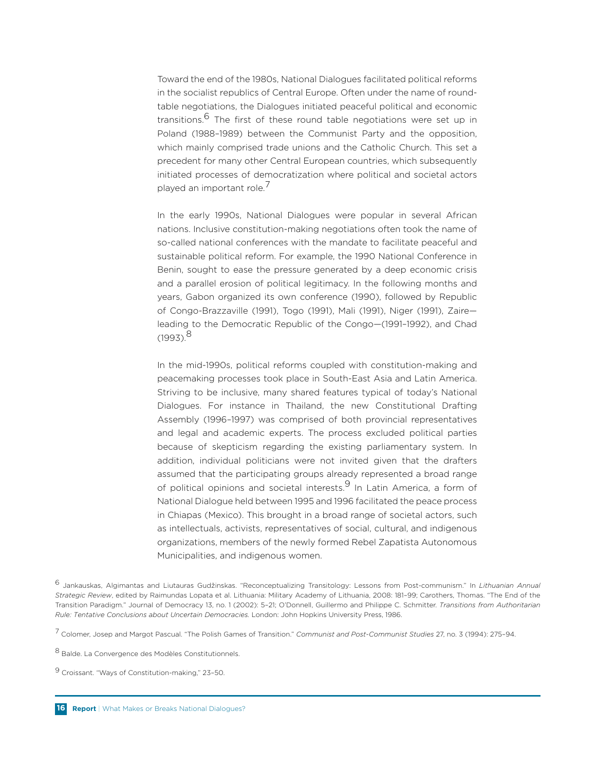Toward the end of the 1980s, National Dialogues facilitated political reforms in the socialist republics of Central Europe. Often under the name of roundtable negotiations, the Dialogues initiated peaceful political and economic transitions.<sup>6</sup> The first of these round table negotiations were set up in Poland (1988–1989) between the Communist Party and the opposition, which mainly comprised trade unions and the Catholic Church. This set a precedent for many other Central European countries, which subsequently initiated processes of democratization where political and societal actors played an important role.<sup>7</sup>

In the early 1990s, National Dialogues were popular in several African nations. Inclusive constitution-making negotiations often took the name of so-called national conferences with the mandate to facilitate peaceful and sustainable political reform. For example, the 1990 National Conference in Benin, sought to ease the pressure generated by a deep economic crisis and a parallel erosion of political legitimacy. In the following months and years, Gabon organized its own conference (1990), followed by Republic of Congo-Brazzaville (1991), Togo (1991), Mali (1991), Niger (1991), Zaire leading to the Democratic Republic of the Congo—(1991–1992), and Chad  $(1993)^8$ 

In the mid-1990s, political reforms coupled with constitution-making and peacemaking processes took place in South-East Asia and Latin America. Striving to be inclusive, many shared features typical of today's National Dialogues. For instance in Thailand, the new Constitutional Drafting Assembly (1996–1997) was comprised of both provincial representatives and legal and academic experts. The process excluded political parties because of skepticism regarding the existing parliamentary system. In addition, individual politicians were not invited given that the drafters assumed that the participating groups already represented a broad range of political opinions and societal interests.<sup>9</sup> In Latin America, a form of National Dialogue held between 1995 and 1996 facilitated the peace process in Chiapas (Mexico). This brought in a broad range of societal actors, such as intellectuals, activists, representatives of social, cultural, and indigenous organizations, members of the newly formed Rebel Zapatista Autonomous Municipalities, and indigenous women.

<sup>6</sup> Jankauskas, Algimantas and Liutauras Gudžinskas. "Reconceptualizing Transitology: Lessons from Post-communism." In *Lithuanian Annual Strategic Review*, edited by Raimundas Lopata et al. Lithuania: Military Academy of Lithuania, 2008: 181–99; Carothers, Thomas. "The End of the Transition Paradigm." Journal of Democracy 13, no. 1 (2002): 5–21; O'Donnell, Guillermo and Philippe C. Schmitter. *Transitions from Authoritarian Rule: Tentative Conclusions about Uncertain Democracies.* London: John Hopkins University Press, 1986.

<sup>7</sup> Colomer, Josep and Margot Pascual. "The Polish Games of Transition." *Communist and Post-Communist Studies* 27, no. 3 (1994): 275–94.

<sup>8</sup> Balde. La Convergence des Modèles Constitutionnels.

<sup>9</sup> Croissant. "Ways of Constitution-making," 23–50.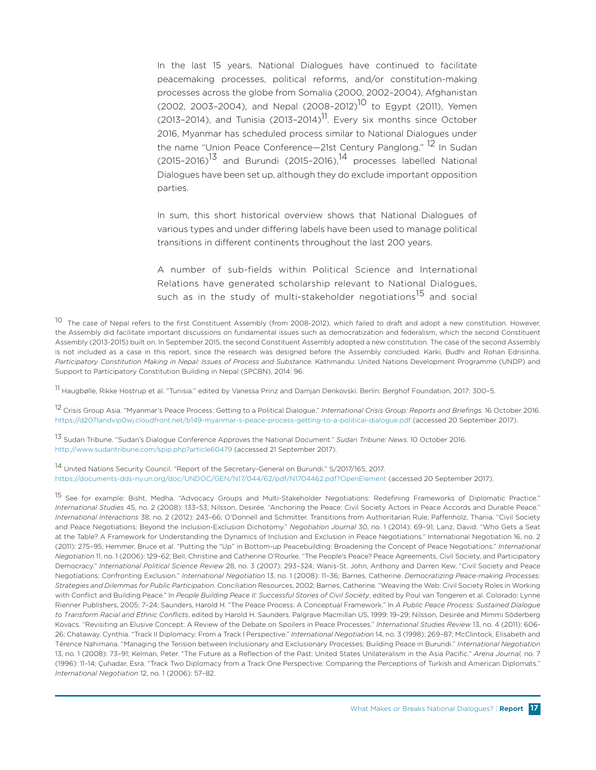In the last 15 years, National Dialogues have continued to facilitate peacemaking processes, political reforms, and/or constitution-making processes across the globe from Somalia (2000, 2002–2004), Afghanistan (2002, 2003-2004), and Nepal (2008-2012)<sup>10</sup> to Egypt (2011), Yemen (2013–2014), and Tunisia (2013–2014)<sup>11</sup>. Every six months since October 2016, Myanmar has scheduled process similar to National Dialogues under the name "Union Peace Conference—21st Century Panglong." <sup>12</sup> In Sudan  $(2015-2016)^{13}$  and Burundi (2015-2016),  $14$  processes labelled National Dialogues have been set up, although they do exclude important opposition parties.

In sum, this short historical overview shows that National Dialogues of various types and under differing labels have been used to manage political transitions in different continents throughout the last 200 years.

A number of sub-fields within Political Science and International Relations have generated scholarship relevant to National Dialogues, such as in the study of multi-stakeholder negotiations<sup>15</sup> and social

10 The case of Nepal refers to the first Constituent Assembly (from 2008-2012), which failed to draft and adopt a new constitution. However, the Assembly did facilitate important discussions on fundamental issues such as democratization and federalism, which the second Constituent Assembly (2013-2015) built on. In September 2015, the second Constituent Assembly adopted a new constitution. The case of the second Assembly is not included as a case in this report, since the research was designed before the Assembly concluded. Karki, Budhi and Rohan Edrisinha. *Participatory Constitution Making in Nepal: Issues of Process and Substance.* Kathmandu: United Nations Development Programme (UNDP) and Support to Participatory Constitution Building in Nepal (SPCBN), 2014: 96.

<sup>11</sup> Haugbølle, Rikke Hostrup et al. "Tunisia." edited by Vanessa Prinz and Damjan Denkovski. Berlin: Berghof Foundation, 2017: 300-5.

12 Crisis Group Asia. "Myanmar's Peace Process: Getting to a Political Dialogue." *International Crisis Group: Reports and Briefings.* 16 October 2016. https://d2071andvip0wj.cloudfront.net/b149-myanmar-s-peace-process-getting-to-a-political-dialogue.pdf (accessed 20 September 2017).

13 Sudan Tribune. "Sudan's Dialogue Conference Approves the National Document." *Sudan Tribune: News.* 10 October 2016. http://www.sudantribune.com/spip.php?article60479 (accessed 21 September 2017).

14 United Nations Security Council. "Report of the Secretary-General on Burundi." S/2017/165, 2017. https://documents-dds-ny.un.org/doc/UNDOC/GEN/N17/044/62/pdf/N1704462.pdf?OpenElement (accessed 20 September 2017).

15 See for example: Bisht, Medha. "Advocacy Groups and Multi-Stakeholder Negotiations: Redefining Frameworks of Diplomatic Practice." *International Studies* 45, no. 2 (2008): 133–53; Nilsson, Desirée. "Anchoring the Peace: Civil Society Actors in Peace Accords and Durable Peace." *International Interactions* 38, no. 2 (2012): 243–66; O'Donnell and Schmitter. Transitions from Authoritarian Rule; Paffenholz, Thania. "Civil Society and Peace Negotiations: Beyond the Inclusion-Exclusion Dichotomy." *Negotiation Journal* 30, no. 1 (2014): 69–91; Lanz, David. "Who Gets a Seat at the Table? A Framework for Understanding the Dynamics of Inclusion and Exclusion in Peace Negotiations." International Negotiation 16, no. 2 (2011): 275–95; Hemmer, Bruce et al. "Putting the "Up" in Bottom-up Peacebuilding: Broadening the Concept of Peace Negotiations." *International Negotiation* 11, no. 1 (2006): 129–62; Bell, Christine and Catherine O'Rourke. "The People's Peace? Peace Agreements, Civil Society, and Participatory Democracy." *International Political Science Review* 28, no. 3 (2007): 293–324; Wanis-St. John, Anthony and Darren Kew. "Civil Society and Peace Negotiations: Confronting Exclusion." *International Negotiation* 13, no. 1 (2008): 11–36; Barnes, Catherine. *Democratizing Peace-making Processes: Strategies and Dilemmas for Public Participation.* Conciliation Resources, 2002; Barnes, Catherine. "Weaving the Web: Civil Society Roles in Working with Conflict and Building Peace." In *People Building Peace II: Successful Stories of Civil Society*, edited by Poul van Tongeren et al. Colorado: Lynne Rienner Publishers, 2005: 7–24; Saunders, Harold H. "The Peace Process: A Conceptual Framework." In *A Public Peace Process: Sustained Dialogue to Transform Racial and Ethnic Conflicts*, edited by Harold H. Saunders. Palgrave Macmillan US, 1999: 19–29; Nilsson, Desirée and Mimmi Söderberg Kovacs. "Revisiting an Elusive Concept: A Review of the Debate on Spoilers in Peace Processes." *International Studies Review* 13, no. 4 (2011): 606- 26; Chataway, Cynthia. "Track II Diplomacy: From a Track I Perspective." *International Negotiation* 14, no. 3 (1998): 269–87; McClintock, Elisabeth and Térence Nahimana. "Managing the Tension between Inclusionary and Exclusionary Processes: Building Peace in Burundi." *International Negotiation* 13, no. 1 (2008): 73–91; Kelman, Peter. "The Future as a Reflection of the Past: United States Unilateralism in the Asia Pacific." *Arena Journal,* no. 7 (1996): 11–14; Çuhadar, Esra. "Track Two Diplomacy from a Track One Perspective: Comparing the Perceptions of Turkish and American Diplomats." *International Negotiation* 12, no. 1 (2006): 57–82.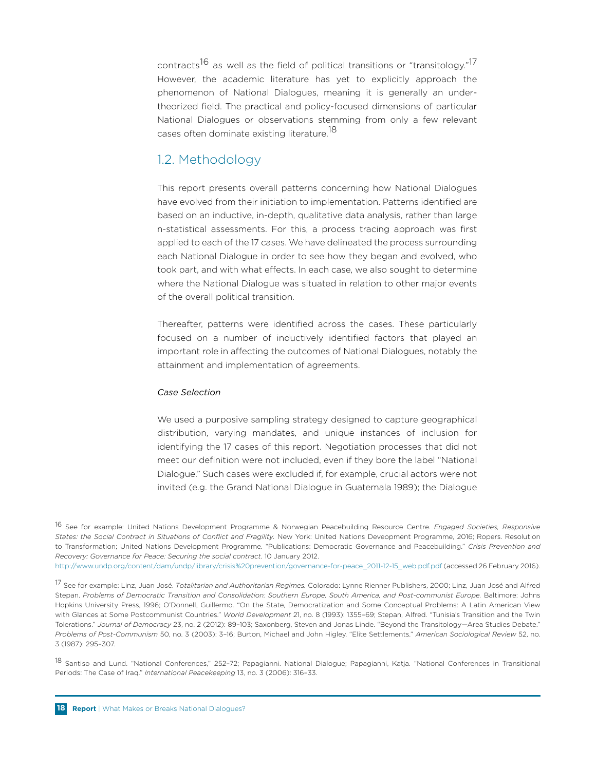contracts<sup>16</sup> as well as the field of political transitions or "transitology."<sup>17</sup> However, the academic literature has yet to explicitly approach the phenomenon of National Dialogues, meaning it is generally an undertheorized field. The practical and policy-focused dimensions of particular National Dialogues or observations stemming from only a few relevant cases often dominate existing literature.<sup>18</sup>

### 1.2. Methodology

This report presents overall patterns concerning how National Dialogues have evolved from their initiation to implementation. Patterns identified are based on an inductive, in-depth, qualitative data analysis, rather than large n-statistical assessments. For this, a process tracing approach was first applied to each of the 17 cases. We have delineated the process surrounding each National Dialogue in order to see how they began and evolved, who took part, and with what effects. In each case, we also sought to determine where the National Dialogue was situated in relation to other major events of the overall political transition.

Thereafter, patterns were identified across the cases. These particularly focused on a number of inductively identified factors that played an important role in affecting the outcomes of National Dialogues, notably the attainment and implementation of agreements.

#### *Case Selection*

We used a purposive sampling strategy designed to capture geographical distribution, varying mandates, and unique instances of inclusion for identifying the 17 cases of this report. Negotiation processes that did not meet our definition were not included, even if they bore the label "National Dialogue." Such cases were excluded if, for example, crucial actors were not invited (e.g. the Grand National Dialogue in Guatemala 1989); the Dialogue

16 See for example: United Nations Development Programme & Norwegian Peacebuilding Resource Centre. *Engaged Societies, Responsive States: the Social Contract in Situations of Conflict and Fragility.* New York: United Nations Deveopment Programme, 2016; Ropers. Resolution to Transformation; United Nations Development Programme. "Publications: Democratic Governance and Peacebuilding." *Crisis Prevention and Recovery: Governance for Peace: Securing the social contract.* 10 January 2012.

http://www.undp.org/content/dam/undp/library/crisis%20prevention/governance-for-peace\_2011-12-15\_web.pdf.pdf (accessed 26 February 2016).

17 See for example: Linz, Juan José. *Totalitarian and Authoritarian Regimes.* Colorado: Lynne Rienner Publishers, 2000; Linz, Juan José and Alfred Stepan. *Problems of Democratic Transition and Consolidation: Southern Europe, South America, and Post-communist Europe.* Baltimore: Johns Hopkins University Press, 1996; O'Donnell, Guillermo. "On the State, Democratization and Some Conceptual Problems: A Latin American View with Glances at Some Postcommunist Countries." *World Development* 21, no. 8 (1993): 1355–69; Stepan, Alfred. "Tunisia's Transition and the Twin Tolerations." *Journal of Democracy* 23, no. 2 (2012): 89–103; Saxonberg, Steven and Jonas Linde. "Beyond the Transitology—Area Studies Debate." *Problems of Post-Communism* 50, no. 3 (2003): 3–16; Burton, Michael and John Higley. "Elite Settlements." *American Sociological Review* 52, no. 3 (1987): 295–307.

18 Santiso and Lund. "National Conferences," 252–72; Papagianni. National Dialogue; Papagianni, Katja. "National Conferences in Transitional Periods: The Case of Iraq." *International Peacekeeping* 13, no. 3 (2006): 316–33.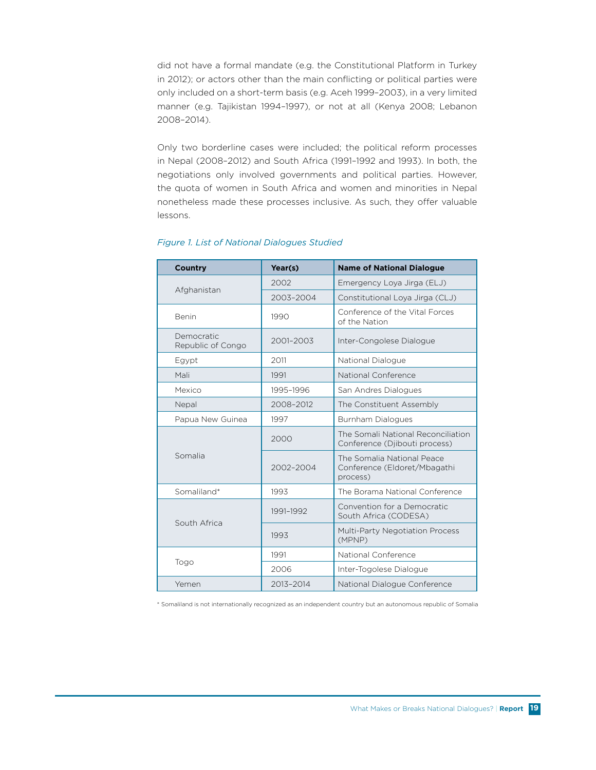did not have a formal mandate (e.g. the Constitutional Platform in Turkey in 2012); or actors other than the main conflicting or political parties were only included on a short-term basis (e.g. Aceh 1999–2003), in a very limited manner (e.g. Tajikistan 1994–1997), or not at all (Kenya 2008; Lebanon 2008–2014).

Only two borderline cases were included; the political reform processes in Nepal (2008–2012) and South Africa (1991–1992 and 1993). In both, the negotiations only involved governments and political parties. However, the quota of women in South Africa and women and minorities in Nepal nonetheless made these processes inclusive. As such, they offer valuable lessons.

| <b>Country</b>                  | Year(s)   | <b>Name of National Dialogue</b>                                       |
|---------------------------------|-----------|------------------------------------------------------------------------|
|                                 | 2002      | Emergency Loya Jirga (ELJ)                                             |
| Afghanistan                     | 2003-2004 | Constitutional Loya Jirga (CLJ)                                        |
| <b>Benin</b>                    | 1990      | Conference of the Vital Forces<br>of the Nation                        |
| Democratic<br>Republic of Congo | 2001-2003 | Inter-Congolese Dialogue                                               |
| Egypt                           | 2011      | National Dialogue                                                      |
| Mali                            | 1991      | National Conference                                                    |
| Mexico                          | 1995-1996 | San Andres Dialogues                                                   |
| Nepal                           | 2008-2012 | The Constituent Assembly                                               |
| Papua New Guinea                | 1997      | Burnham Dialogues                                                      |
|                                 | 2000      | The Somali National Reconciliation<br>Conference (Djibouti process)    |
| Somalia                         | 2002-2004 | The Somalia National Peace<br>Conference (Eldoret/Mbagathi<br>process) |
| Somaliland*                     | 1993      | The Borama National Conference                                         |
|                                 | 1991-1992 | Convention for a Democratic<br>South Africa (CODESA)                   |
| South Africa                    | 1993      | Multi-Party Negotiation Process<br>(MPNP)                              |
|                                 | 1991      | National Conference                                                    |
| Togo                            | 2006      | Inter-Togolese Dialogue                                                |
| Yemen                           | 2013-2014 | National Dialogue Conference                                           |

#### *Figure 1. List of National Dialogues Studied*

\* Somaliland is not internationally recognised as an independent country but an autonomous republic of Somalia \* Somaliland is not internationally recognized as an independent country but an autonomous republic of Somalia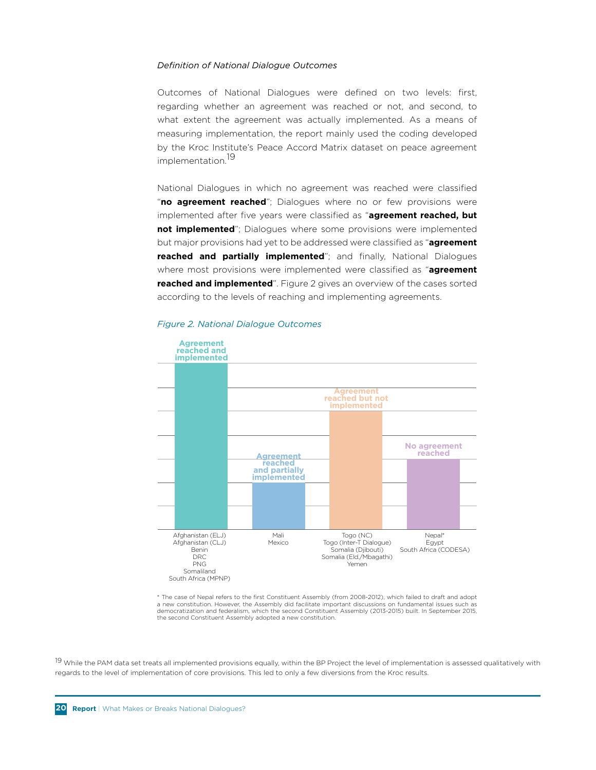#### *Definition of National Dialogue Outcomes*

Outcomes of National Dialogues were defined on two levels: first, regarding whether an agreement was reached or not, and second, to what extent the agreement was actually implemented. As a means of measuring implementation, the report mainly used the coding developed by the Kroc Institute's Peace Accord Matrix dataset on peace agreement implementation.<sup>19</sup>

National Dialogues in which no agreement was reached were classified "no agreement reached"; Dialogues where no or few provisions were implemented after five years were classified as "**agreement reached, but not implemented**"; Dialogues where some provisions were implemented but major provisions had yet to be addressed were classified as "**agreement reached and partially implemented**"; and finally, National Dialogues where most provisions were implemented were classified as "**agreement reached and implemented**". Figure 2 gives an overview of the cases sorted according to the levels of reaching and implementing agreements.



# $F$ igure 2. National Dialogue Outcomes

\* The case of Nepal refers to the first Constituent Assembly (from 2008-2012), which failed to draft and adopt a new constitution. However, the Assembly did facilitate important discussions on fundamental issues such as<br>democratization and federalism, which the second Constituent Assembly (2013-2015) built. In September 2015, democratization and rederaism, which the second constitution.<br>the second Constituent Assembly adopted a new constitution.

<sup>19</sup> While the PAM data set treats all implemented provisions equally, within the BP Project the level of implementation is assessed qualitatively with regards to the level of implementation of core provisions. This led to only a few diversions from the Kroc results.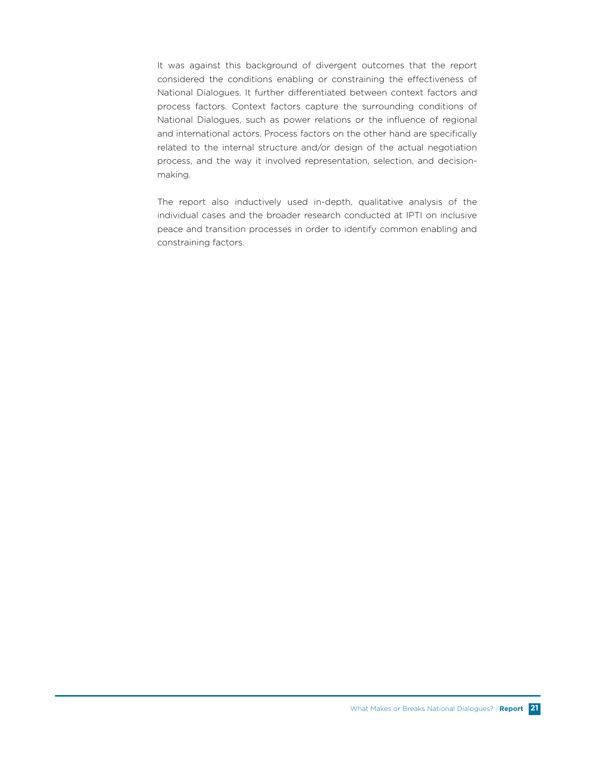It was against this background of divergent outcomes that the report considered the conditions enabling or constraining the effectiveness of National Dialogues. It further differentiated between context factors and process factors. Context factors capture the surrounding conditions of National Dialogues, such as power relations or the influence of regional and international actors. Process factors on the other hand are specifically related to the internal structure and/or design of the actual negotiation process, and the way it involved representation, selection, and decisionmaking.

The report also inductively used in-depth, qualitative analysis of the individual cases and the broader research conducted at IPTI on inclusive peace and transition processes in order to identify common enabling and constraining factors.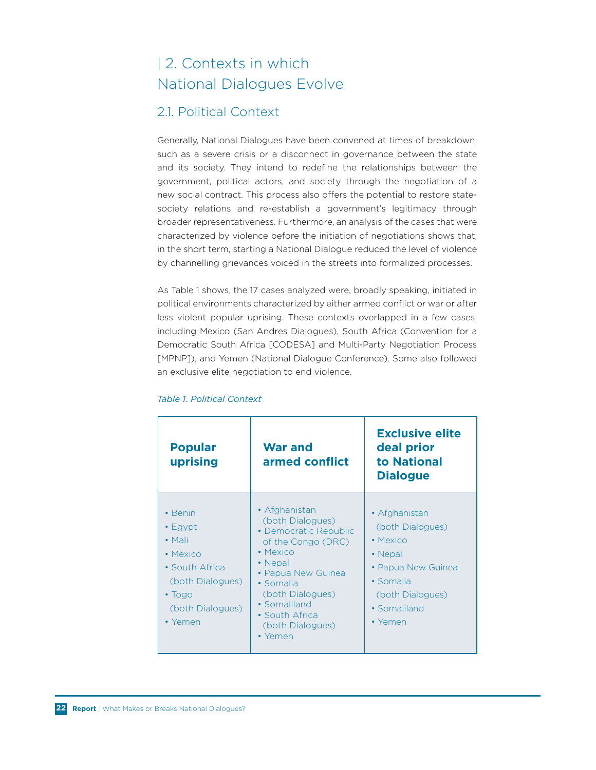# | 2. Contexts in which National Dialogues Evolve

# 2.1. Political Context

Generally, National Dialogues have been convened at times of breakdown, such as a severe crisis or a disconnect in governance between the state and its society. They intend to redefine the relationships between the government, political actors, and society through the negotiation of a new social contract. This process also offers the potential to restore statesociety relations and re-establish a government's legitimacy through broader representativeness. Furthermore, an analysis of the cases that were characterized by violence before the initiation of negotiations shows that, in the short term, starting a National Dialogue reduced the level of violence by channelling grievances voiced in the streets into formalized processes.

As Table 1 shows, the 17 cases analyzed were, broadly speaking, initiated in political environments characterized by either armed conflict or war or after less violent popular uprising. These contexts overlapped in a few cases, including Mexico (San Andres Dialogues), South Africa (Convention for a Democratic South Africa [CODESA] and Multi-Party Negotiation Process [MPNP]), and Yemen (National Dialogue Conference). Some also followed an exclusive elite negotiation to end violence.

| <b>Popular</b><br>uprising                                                                                                                  | <b>War and</b><br>armed conflict                                                                                                                                                                                                | <b>Exclusive elite</b><br>deal prior<br>to National<br><b>Dialogue</b>                                                                             |
|---------------------------------------------------------------------------------------------------------------------------------------------|---------------------------------------------------------------------------------------------------------------------------------------------------------------------------------------------------------------------------------|----------------------------------------------------------------------------------------------------------------------------------------------------|
| • Benin<br>$\cdot$ Egypt<br>$\bullet$ Mali<br>• Mexico<br>• South Africa<br>(both Dialogues)<br>$\cdot$ Togo<br>(both Dialogues)<br>• Yemen | • Afghanistan<br>(both Dialogues)<br>• Democratic Republic<br>of the Congo (DRC)<br>• Mexico<br>• Nepal<br>• Papua New Guinea<br>• Somalia<br>(both Dialogues)<br>• Somaliland<br>• South Africa<br>(both Dialogues)<br>• Yemen | • Afghanistan<br>(both Dialogues)<br>$\bullet$ Mexico<br>• Nepal<br>• Papua New Guinea<br>• Somalia<br>(both Dialogues)<br>• Somaliland<br>• Yemen |

#### *Table 1. Political Context*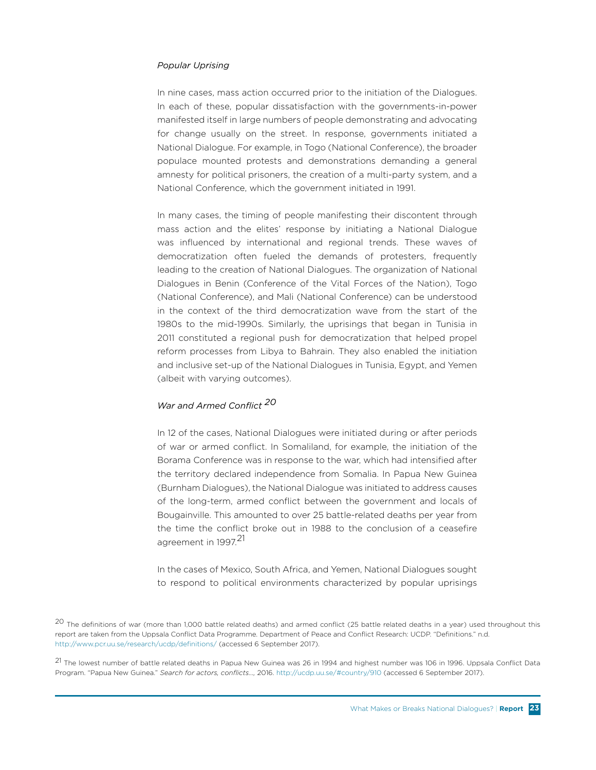#### *Popular Uprising*

In nine cases, mass action occurred prior to the initiation of the Dialogues. In each of these, popular dissatisfaction with the governments-in-power manifested itself in large numbers of people demonstrating and advocating for change usually on the street. In response, governments initiated a National Dialogue. For example, in Togo (National Conference), the broader populace mounted protests and demonstrations demanding a general amnesty for political prisoners, the creation of a multi-party system, and a National Conference, which the government initiated in 1991.

In many cases, the timing of people manifesting their discontent through mass action and the elites' response by initiating a National Dialogue was influenced by international and regional trends. These waves of democratization often fueled the demands of protesters, frequently leading to the creation of National Dialogues. The organization of National Dialogues in Benin (Conference of the Vital Forces of the Nation), Togo (National Conference), and Mali (National Conference) can be understood in the context of the third democratization wave from the start of the 1980s to the mid-1990s. Similarly, the uprisings that began in Tunisia in 2011 constituted a regional push for democratization that helped propel reform processes from Libya to Bahrain. They also enabled the initiation and inclusive set-up of the National Dialogues in Tunisia, Egypt, and Yemen (albeit with varying outcomes).

#### *War and Armed Conflict <sup>20</sup>*

In 12 of the cases, National Dialogues were initiated during or after periods of war or armed conflict. In Somaliland, for example, the initiation of the Borama Conference was in response to the war, which had intensified after the territory declared independence from Somalia. In Papua New Guinea (Burnham Dialogues), the National Dialogue was initiated to address causes of the long-term, armed conflict between the government and locals of Bougainville. This amounted to over 25 battle-related deaths per year from the time the conflict broke out in 1988 to the conclusion of a ceasefire agreement in 1997.<sup>21</sup>

In the cases of Mexico, South Africa, and Yemen, National Dialogues sought to respond to political environments characterized by popular uprisings

<sup>20</sup> The definitions of war (more than 1,000 battle related deaths) and armed conflict (25 battle related deaths in a year) used throughout this report are taken from the Uppsala Conflict Data Programme. Department of Peace and Conflict Research: UCDP. "Definitions." n.d. http://www.pcr.uu.se/research/ucdp/definitions/ (accessed 6 September 2017).

<sup>21</sup> The lowest number of battle related deaths in Papua New Guinea was 26 in 1994 and highest number was 106 in 1996. Uppsala Conflict Data Program. "Papua New Guinea." *Search for actors, conflicts…,* 2016. http://ucdp.uu.se/#country/910 (accessed 6 September 2017).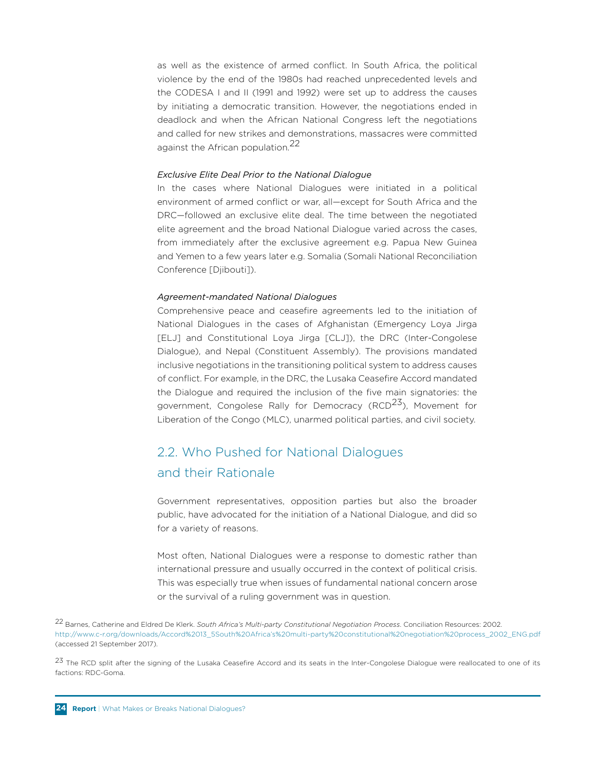as well as the existence of armed conflict. In South Africa, the political violence by the end of the 1980s had reached unprecedented levels and the CODESA I and II (1991 and 1992) were set up to address the causes by initiating a democratic transition. However, the negotiations ended in deadlock and when the African National Congress left the negotiations and called for new strikes and demonstrations, massacres were committed against the African population.<sup>22</sup>

#### *Exclusive Elite Deal Prior to the National Dialogue*

In the cases where National Dialogues were initiated in a political environment of armed conflict or war, all—except for South Africa and the DRC—followed an exclusive elite deal. The time between the negotiated elite agreement and the broad National Dialogue varied across the cases, from immediately after the exclusive agreement e.g. Papua New Guinea and Yemen to a few years later e.g. Somalia (Somali National Reconciliation Conference [Djibouti]).

#### *Agreement-mandated National Dialogues*

Comprehensive peace and ceasefire agreements led to the initiation of National Dialogues in the cases of Afghanistan (Emergency Loya Jirga [ELJ] and Constitutional Loya Jirga [CLJ]), the DRC (Inter-Congolese Dialogue), and Nepal (Constituent Assembly). The provisions mandated inclusive negotiations in the transitioning political system to address causes of conflict. For example, in the DRC, the Lusaka Ceasefire Accord mandated the Dialogue and required the inclusion of the five main signatories: the government, Congolese Rally for Democracy (RCD<sup>23</sup>), Movement for Liberation of the Congo (MLC), unarmed political parties, and civil society.

# 2.2. Who Pushed for National Dialogues and their Rationale

Government representatives, opposition parties but also the broader public, have advocated for the initiation of a National Dialogue, and did so for a variety of reasons.

Most often, National Dialogues were a response to domestic rather than international pressure and usually occurred in the context of political crisis. This was especially true when issues of fundamental national concern arose or the survival of a ruling government was in question.

22 Barnes, Catherine and Eldred De Klerk. *South Africa's Multi-party Constitutional Negotiation Process*. Conciliation Resources: 2002. http://www.c-r.org/downloads/Accord%2013\_5South%20Africa's%20multi-party%20constitutional%20negotiation%20process\_2002\_ENG.pdf (accessed 21 September 2017).

23 The RCD split after the signing of the Lusaka Ceasefire Accord and its seats in the Inter-Congolese Dialogue were reallocated to one of its factions: RDC-Goma.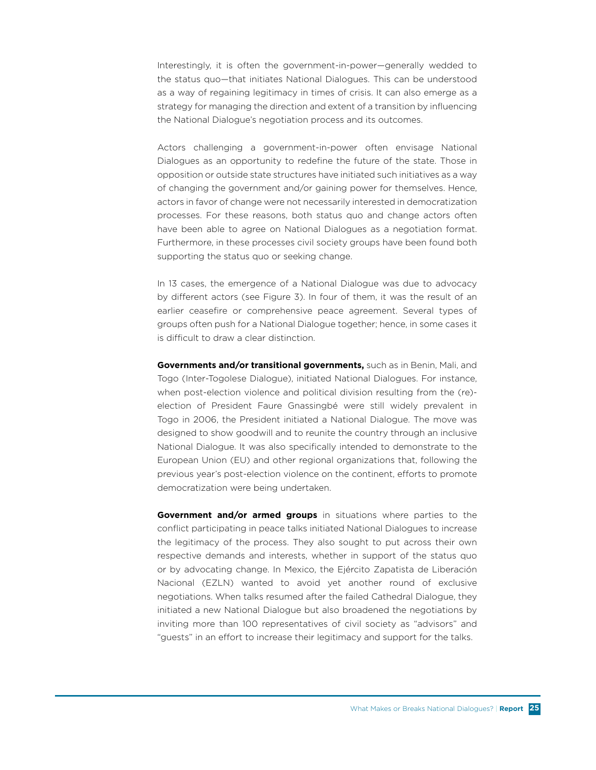Interestingly, it is often the government-in-power—generally wedded to the status quo—that initiates National Dialogues. This can be understood as a way of regaining legitimacy in times of crisis. It can also emerge as a strategy for managing the direction and extent of a transition by influencing the National Dialogue's negotiation process and its outcomes.

Actors challenging a government-in-power often envisage National Dialogues as an opportunity to redefine the future of the state. Those in opposition or outside state structures have initiated such initiatives as a way of changing the government and/or gaining power for themselves. Hence, actors in favor of change were not necessarily interested in democratization processes. For these reasons, both status quo and change actors often have been able to agree on National Dialogues as a negotiation format. Furthermore, in these processes civil society groups have been found both supporting the status quo or seeking change.

In 13 cases, the emergence of a National Dialogue was due to advocacy by different actors (see Figure 3). In four of them, it was the result of an earlier ceasefire or comprehensive peace agreement. Several types of groups often push for a National Dialogue together; hence, in some cases it is difficult to draw a clear distinction.

**Governments and/or transitional governments,** such as in Benin, Mali, and Togo (Inter-Togolese Dialogue), initiated National Dialogues. For instance, when post-election violence and political division resulting from the (re) election of President Faure Gnassingbé were still widely prevalent in Togo in 2006, the President initiated a National Dialogue. The move was designed to show goodwill and to reunite the country through an inclusive National Dialogue. It was also specifically intended to demonstrate to the European Union (EU) and other regional organizations that, following the previous year's post-election violence on the continent, efforts to promote democratization were being undertaken.

**Government and/or armed groups** in situations where parties to the conflict participating in peace talks initiated National Dialogues to increase the legitimacy of the process. They also sought to put across their own respective demands and interests, whether in support of the status quo or by advocating change. In Mexico, the Ejército Zapatista de Liberación Nacional (EZLN) wanted to avoid yet another round of exclusive negotiations. When talks resumed after the failed Cathedral Dialogue, they initiated a new National Dialogue but also broadened the negotiations by inviting more than 100 representatives of civil society as "advisors" and "guests" in an effort to increase their legitimacy and support for the talks.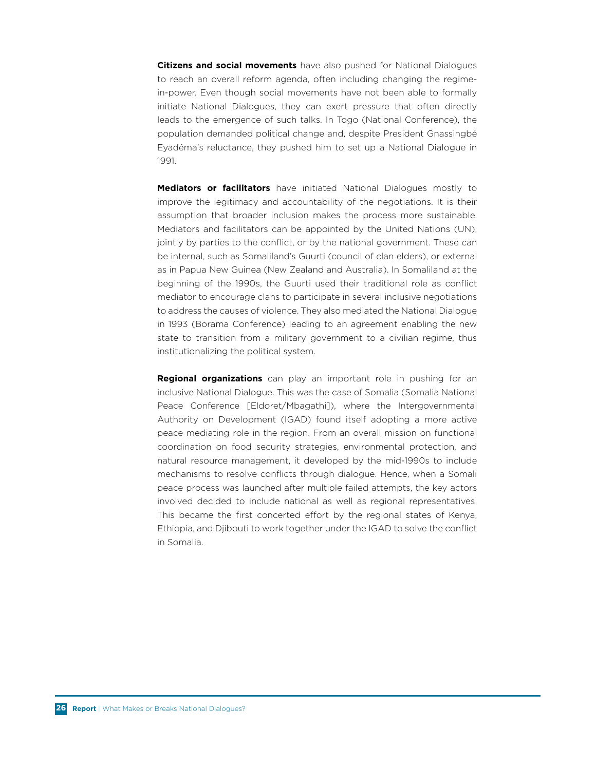**Citizens and social movements** have also pushed for National Dialogues to reach an overall reform agenda, often including changing the regimein-power. Even though social movements have not been able to formally initiate National Dialogues, they can exert pressure that often directly leads to the emergence of such talks. In Togo (National Conference), the population demanded political change and, despite President Gnassingbé Eyadéma's reluctance, they pushed him to set up a National Dialogue in 1991.

**Mediators or facilitators** have initiated National Dialogues mostly to improve the legitimacy and accountability of the negotiations. It is their assumption that broader inclusion makes the process more sustainable. Mediators and facilitators can be appointed by the United Nations (UN), jointly by parties to the conflict, or by the national government. These can be internal, such as Somaliland's Guurti (council of clan elders), or external as in Papua New Guinea (New Zealand and Australia). In Somaliland at the beginning of the 1990s, the Guurti used their traditional role as conflict mediator to encourage clans to participate in several inclusive negotiations to address the causes of violence. They also mediated the National Dialogue in 1993 (Borama Conference) leading to an agreement enabling the new state to transition from a military government to a civilian regime, thus institutionalizing the political system.

**Regional organizations** can play an important role in pushing for an inclusive National Dialogue. This was the case of Somalia (Somalia National Peace Conference [Eldoret/Mbagathi]), where the Intergovernmental Authority on Development (IGAD) found itself adopting a more active peace mediating role in the region. From an overall mission on functional coordination on food security strategies, environmental protection, and natural resource management, it developed by the mid-1990s to include mechanisms to resolve conflicts through dialogue. Hence, when a Somali peace process was launched after multiple failed attempts, the key actors involved decided to include national as well as regional representatives. This became the first concerted effort by the regional states of Kenya, Ethiopia, and Djibouti to work together under the IGAD to solve the conflict in Somalia.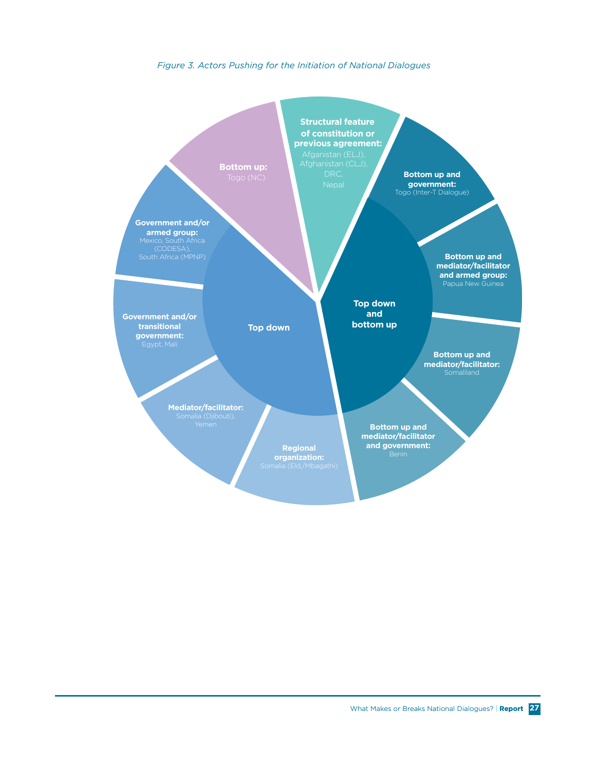#### **Figure 3. Actors Pushing for the Initiation of National Dialogues**

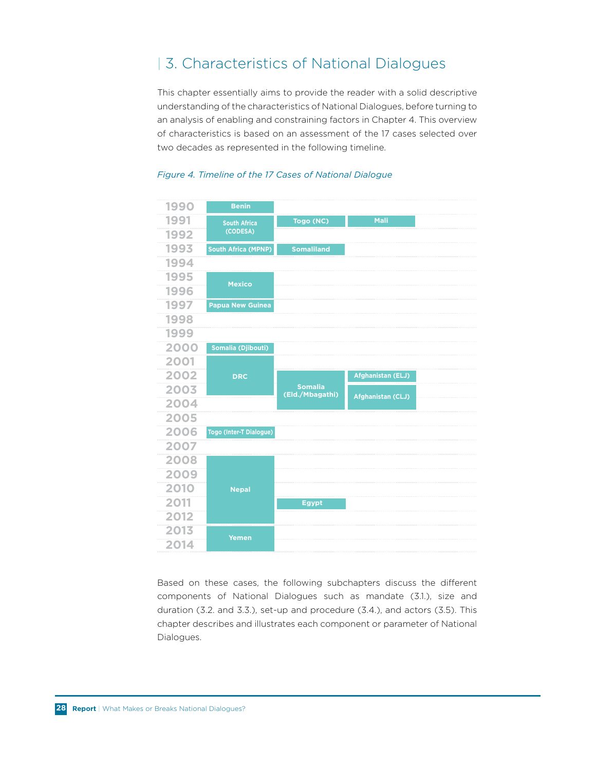# | 3. Characteristics of National Dialogues

This chapter essentially aims to provide the reader with a solid descriptive understanding of the characteristics of National Dialogues, before turning to an analysis of enabling and constraining factors in Chapter 4. This overview of characteristics is based on an assessment of the 17 cases selected over two decades as represented in the following timeline.



# *Figure 4. Timeline of the 17 Cases of National Dialogue* **TIMELINE REPRESENTING THE 17 CASES**

Based on these cases, the following subchapters discuss the different components of National Dialogues such as mandate (3.1.), size and duration (3.2. and 3.3.), set-up and procedure (3.4.), and actors (3.5). This chapter describes and illustrates each component or parameter of National Dialogues.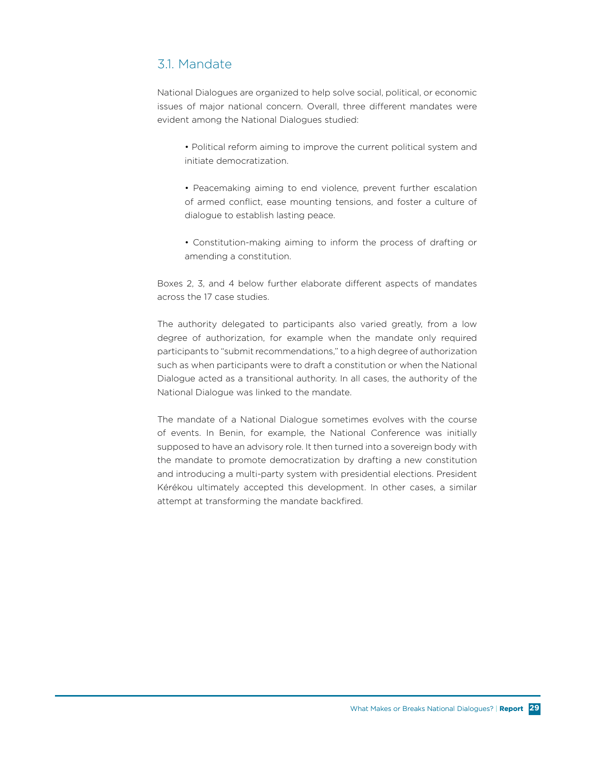### 3.1. Mandate

National Dialogues are organized to help solve social, political, or economic issues of major national concern. Overall, three different mandates were evident among the National Dialogues studied:

- Political reform aiming to improve the current political system and initiate democratization.
- Peacemaking aiming to end violence, prevent further escalation of armed conflict, ease mounting tensions, and foster a culture of dialogue to establish lasting peace.
- Constitution-making aiming to inform the process of drafting or amending a constitution.

Boxes 2, 3, and 4 below further elaborate different aspects of mandates across the 17 case studies.

The authority delegated to participants also varied greatly, from a low degree of authorization, for example when the mandate only required participants to "submit recommendations," to a high degree of authorization such as when participants were to draft a constitution or when the National Dialogue acted as a transitional authority. In all cases, the authority of the National Dialogue was linked to the mandate.

The mandate of a National Dialogue sometimes evolves with the course of events. In Benin, for example, the National Conference was initially supposed to have an advisory role. It then turned into a sovereign body with the mandate to promote democratization by drafting a new constitution and introducing a multi-party system with presidential elections. President Kérékou ultimately accepted this development. In other cases, a similar attempt at transforming the mandate backfired.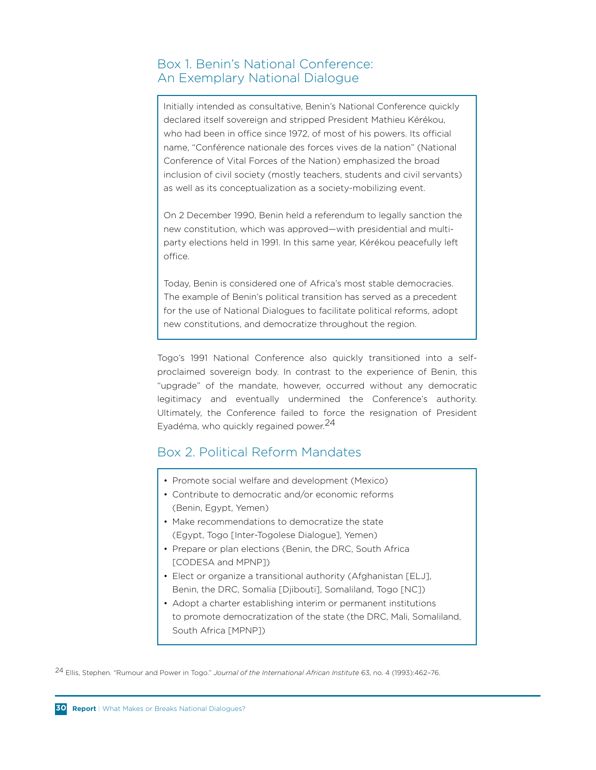# Box 1. Benin's National Conference: An Exemplary National Dialogue

Initially intended as consultative, Benin's National Conference quickly declared itself sovereign and stripped President Mathieu Kérékou, who had been in office since 1972, of most of his powers. Its official name, "Conférence nationale des forces vives de la nation" (National Conference of Vital Forces of the Nation) emphasized the broad inclusion of civil society (mostly teachers, students and civil servants) as well as its conceptualization as a society-mobilizing event.

On 2 December 1990, Benin held a referendum to legally sanction the new constitution, which was approved—with presidential and multiparty elections held in 1991. In this same year, Kérékou peacefully left office.

Today, Benin is considered one of Africa's most stable democracies. The example of Benin's political transition has served as a precedent for the use of National Dialogues to facilitate political reforms, adopt new constitutions, and democratize throughout the region.

Togo's 1991 National Conference also quickly transitioned into a selfproclaimed sovereign body. In contrast to the experience of Benin, this "upgrade" of the mandate, however, occurred without any democratic legitimacy and eventually undermined the Conference's authority. Ultimately, the Conference failed to force the resignation of President Eyadéma, who quickly regained power.<sup>24</sup>

### Box 2. Political Reform Mandates

- Promote social welfare and development (Mexico)
- Contribute to democratic and/or economic reforms (Benin, Egypt, Yemen)
- Make recommendations to democratize the state (Egypt, Togo [Inter-Togolese Dialogue], Yemen)
- Prepare or plan elections (Benin, the DRC, South Africa [CODESA and MPNP])
- Elect or organize a transitional authority (Afghanistan [ELJ], Benin, the DRC, Somalia [Djibouti], Somaliland, Togo [NC])
- Adopt a charter establishing interim or permanent institutions to promote democratization of the state (the DRC, Mali, Somaliland, South Africa [MPNP])

24 Ellis, Stephen. "Rumour and Power in Togo." *Journal of the International African Institute* 63, no. 4 (1993):462–76.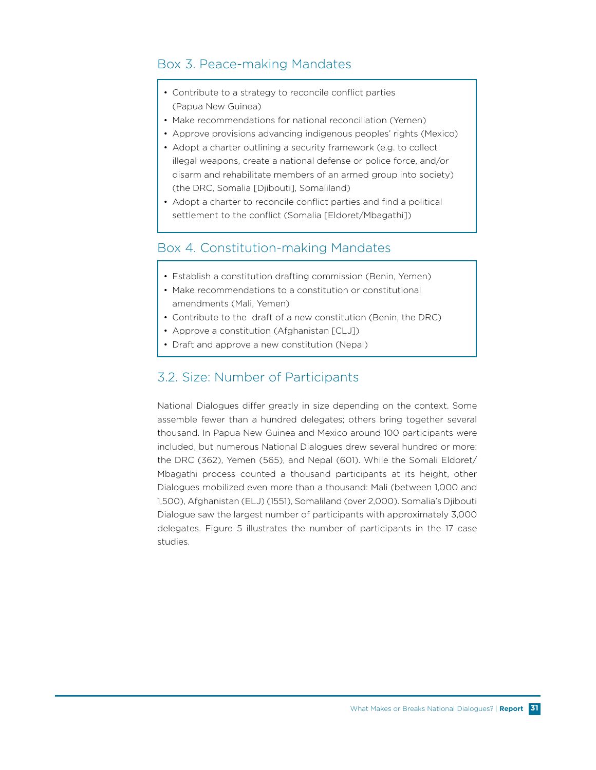# Box 3. Peace-making Mandates

- Contribute to a strategy to reconcile conflict parties (Papua New Guinea)
- Make recommendations for national reconciliation (Yemen)
- Approve provisions advancing indigenous peoples' rights (Mexico)
- Adopt a charter outlining a security framework (e.g. to collect illegal weapons, create a national defense or police force, and/or disarm and rehabilitate members of an armed group into society) (the DRC, Somalia [Djibouti], Somaliland)
- Adopt a charter to reconcile conflict parties and find a political settlement to the conflict (Somalia [Eldoret/Mbagathi])

# Box 4. Constitution-making Mandates

- Establish a constitution drafting commission (Benin, Yemen)
- Make recommendations to a constitution or constitutional amendments (Mali, Yemen)
- Contribute to the draft of a new constitution (Benin, the DRC)
- Approve a constitution (Afghanistan [CLJ])
- Draft and approve a new constitution (Nepal)

### 3.2. Size: Number of Participants

National Dialogues differ greatly in size depending on the context. Some assemble fewer than a hundred delegates; others bring together several thousand. In Papua New Guinea and Mexico around 100 participants were included, but numerous National Dialogues drew several hundred or more: the DRC (362), Yemen (565), and Nepal (601). While the Somali Eldoret/ Mbagathi process counted a thousand participants at its height, other Dialogues mobilized even more than a thousand: Mali (between 1,000 and 1,500), Afghanistan (ELJ) (1551), Somaliland (over 2,000). Somalia's Djibouti Dialogue saw the largest number of participants with approximately 3,000 delegates. Figure 5 illustrates the number of participants in the 17 case studies.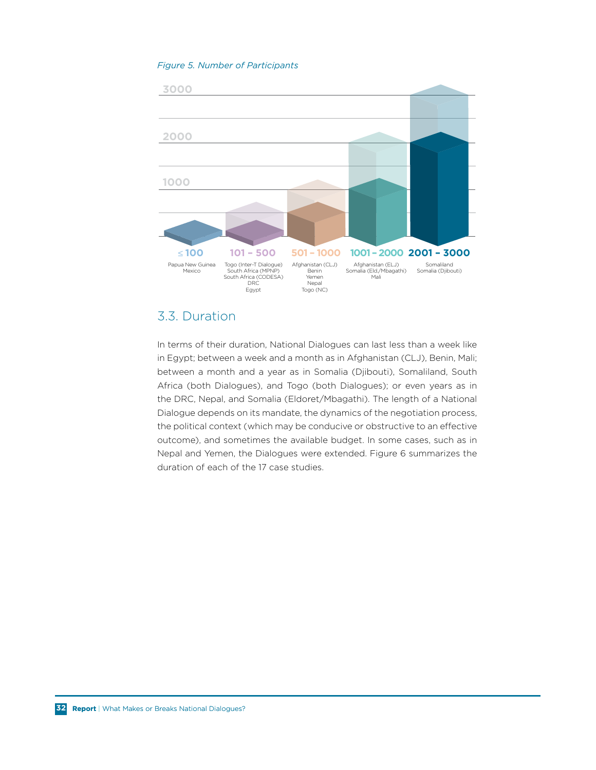#### **Figure 5. Number of Participants**



# 3.3. Duration

In terms of their duration, National Dialogues can last less than a week like in Egypt; between a week and a month as in Afghanistan (CLJ), Benin, Mali; between a month and a year as in Somalia (Djibouti), Somaliland, South Africa (both Dialogues), and Togo (both Dialogues); or even years as in the DRC, Nepal, and Somalia (Eldoret/Mbagathi). The length of a National Dialogue depends on its mandate, the dynamics of the negotiation process, the political context (which may be conducive or obstructive to an effective outcome), and sometimes the available budget. In some cases, such as in Nepal and Yemen, the Dialogues were extended. Figure 6 summarizes the duration of each of the 17 case studies.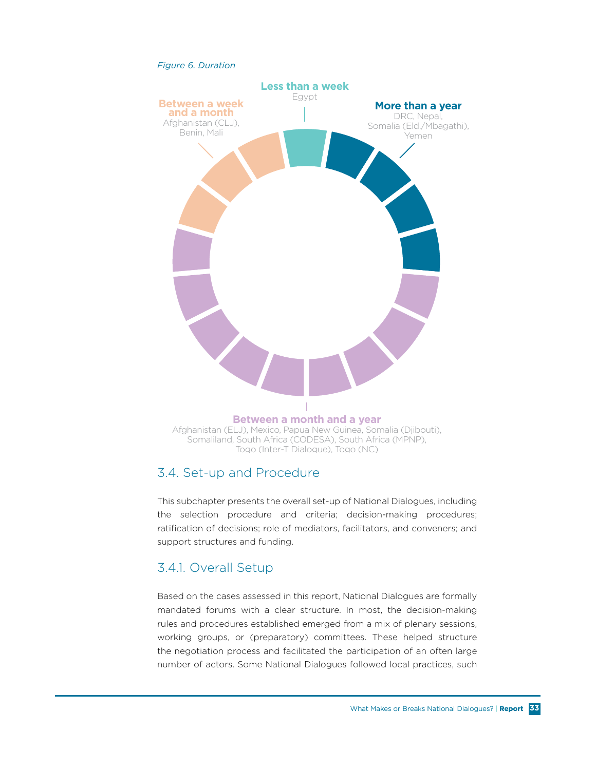

# 3.4. Set-up and Procedure

This subchapter presents the overall set-up of National Dialogues, including the selection procedure and criteria; decision-making procedures; ratification of decisions; role of mediators, facilitators, and conveners; and support structures and funding.

# 3.4.1. Overall Setup

Based on the cases assessed in this report, National Dialogues are formally mandated forums with a clear structure. In most, the decision-making rules and procedures established emerged from a mix of plenary sessions, working groups, or (preparatory) committees. These helped structure the negotiation process and facilitated the participation of an often large number of actors. Some National Dialogues followed local practices, such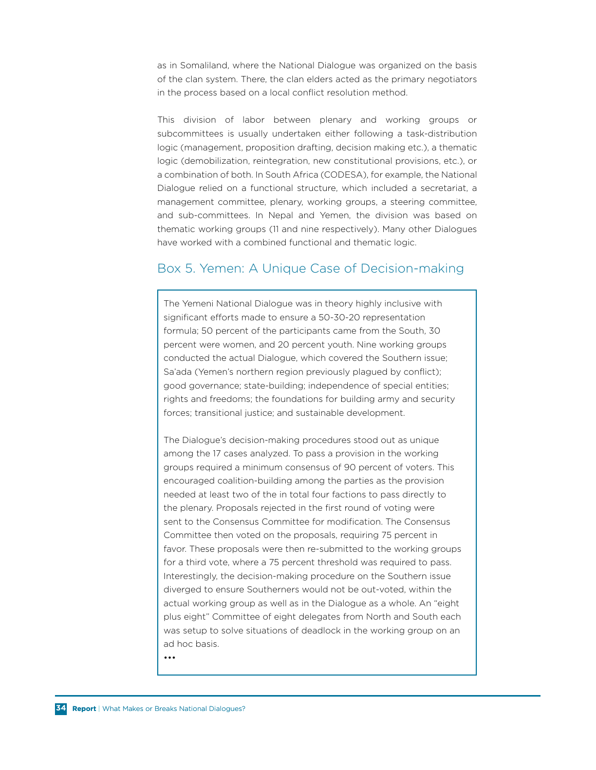as in Somaliland, where the National Dialogue was organized on the basis of the clan system. There, the clan elders acted as the primary negotiators in the process based on a local conflict resolution method.

This division of labor between plenary and working groups or subcommittees is usually undertaken either following a task-distribution logic (management, proposition drafting, decision making etc.), a thematic logic (demobilization, reintegration, new constitutional provisions, etc.), or a combination of both. In South Africa (CODESA), for example, the National Dialogue relied on a functional structure, which included a secretariat, a management committee, plenary, working groups, a steering committee, and sub-committees. In Nepal and Yemen, the division was based on thematic working groups (11 and nine respectively). Many other Dialogues have worked with a combined functional and thematic logic.

### Box 5. Yemen: A Unique Case of Decision-making

The Yemeni National Dialogue was in theory highly inclusive with significant efforts made to ensure a 50-30-20 representation formula; 50 percent of the participants came from the South, 30 percent were women, and 20 percent youth. Nine working groups conducted the actual Dialogue, which covered the Southern issue; Sa'ada (Yemen's northern region previously plagued by conflict); good governance; state-building; independence of special entities; rights and freedoms; the foundations for building army and security forces; transitional justice; and sustainable development.

The Dialogue's decision-making procedures stood out as unique among the 17 cases analyzed. To pass a provision in the working groups required a minimum consensus of 90 percent of voters. This encouraged coalition-building among the parties as the provision needed at least two of the in total four factions to pass directly to the plenary. Proposals rejected in the first round of voting were sent to the Consensus Committee for modification. The Consensus Committee then voted on the proposals, requiring 75 percent in favor. These proposals were then re-submitted to the working groups for a third vote, where a 75 percent threshold was required to pass. Interestingly, the decision-making procedure on the Southern issue diverged to ensure Southerners would not be out-voted, within the actual working group as well as in the Dialogue as a whole. An "eight plus eight" Committee of eight delegates from North and South each was setup to solve situations of deadlock in the working group on an ad hoc basis.

•••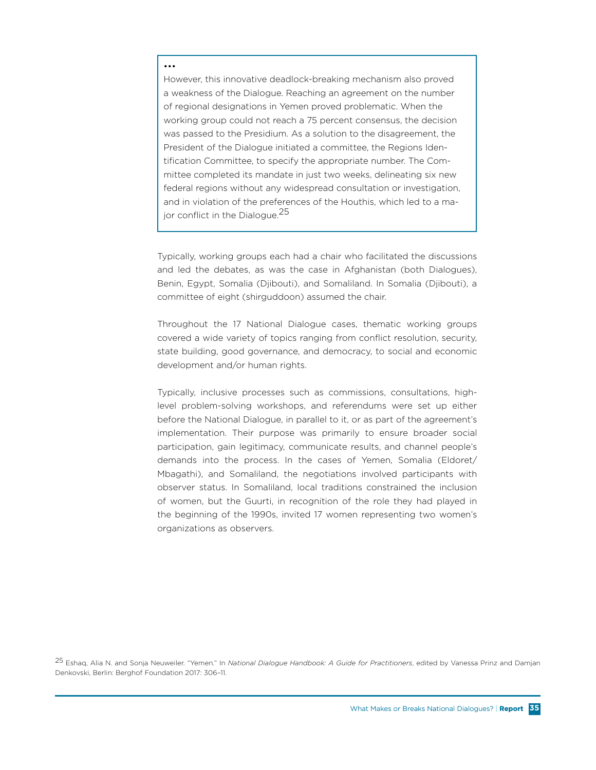#### •••

However, this innovative deadlock-breaking mechanism also proved a weakness of the Dialogue. Reaching an agreement on the number of regional designations in Yemen proved problematic. When the working group could not reach a 75 percent consensus, the decision was passed to the Presidium. As a solution to the disagreement, the President of the Dialogue initiated a committee, the Regions Identification Committee, to specify the appropriate number. The Committee completed its mandate in just two weeks, delineating six new federal regions without any widespread consultation or investigation, and in violation of the preferences of the Houthis, which led to a major conflict in the Dialogue.<sup>25</sup>

Typically, working groups each had a chair who facilitated the discussions and led the debates, as was the case in Afghanistan (both Dialogues), Benin, Egypt, Somalia (Djibouti), and Somaliland. In Somalia (Djibouti), a committee of eight (shirguddoon) assumed the chair.

Throughout the 17 National Dialogue cases, thematic working groups covered a wide variety of topics ranging from conflict resolution, security, state building, good governance, and democracy, to social and economic development and/or human rights.

Typically, inclusive processes such as commissions, consultations, highlevel problem-solving workshops, and referendums were set up either before the National Dialogue, in parallel to it, or as part of the agreement's implementation. Their purpose was primarily to ensure broader social participation, gain legitimacy, communicate results, and channel people's demands into the process. In the cases of Yemen, Somalia (Eldoret/ Mbagathi), and Somaliland, the negotiations involved participants with observer status. In Somaliland, local traditions constrained the inclusion of women, but the Guurti, in recognition of the role they had played in the beginning of the 1990s, invited 17 women representing two women's organizations as observers.

25 Eshaq, Alia N. and Sonja Neuweiler. "Yemen." In *National Dialogue Handbook: A Guide for Practitioners*, edited by Vanessa Prinz and Damjan Denkovski, Berlin: Berghof Foundation 2017: 306–11.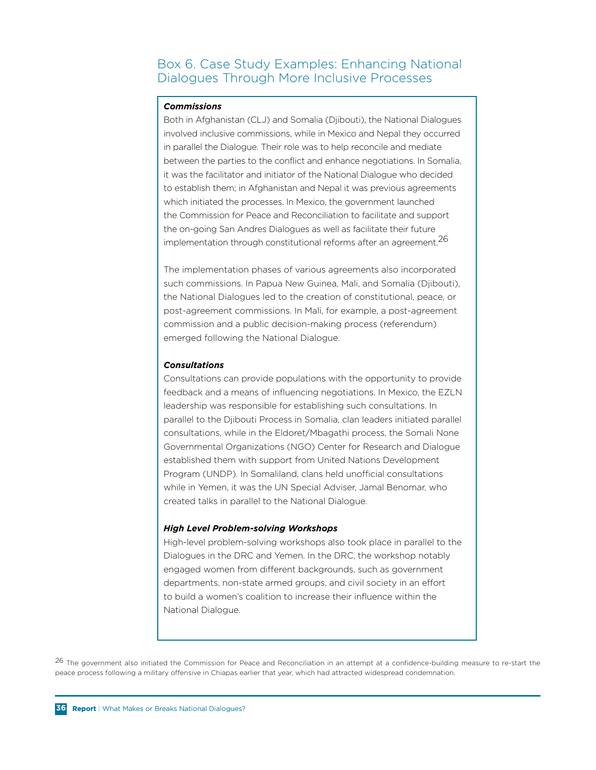## Box 6. Case Study Examples: Enhancing National Dialogues Through More Inclusive Processes

#### *Commissions*

Both in Afghanistan (CLJ) and Somalia (Djibouti), the National Dialogues involved inclusive commissions, while in Mexico and Nepal they occurred in parallel the Dialogue. Their role was to help reconcile and mediate between the parties to the conflict and enhance negotiations. In Somalia, it was the facilitator and initiator of the National Dialogue who decided to establish them; in Afghanistan and Nepal it was previous agreements which initiated the processes. In Mexico, the government launched the Commission for Peace and Reconciliation to facilitate and support the on-going San Andres Dialogues as well as facilitate their future implementation through constitutional reforms after an agreement.26

The implementation phases of various agreements also incorporated such commissions. In Papua New Guinea, Mali, and Somalia (Djibouti), the National Dialogues led to the creation of constitutional, peace, or post-agreement commissions. In Mali, for example, a post-agreement commission and a public decision-making process (referendum) emerged following the National Dialogue.

#### *Consultations*

Consultations can provide populations with the opportunity to provide feedback and a means of influencing negotiations. In Mexico, the EZLN leadership was responsible for establishing such consultations. In parallel to the Djibouti Process in Somalia, clan leaders initiated parallel consultations, while in the Eldoret/Mbagathi process, the Somali None Governmental Organizations (NGO) Center for Research and Dialogue established them with support from United Nations Development Program (UNDP). In Somaliland, clans held unofficial consultations while in Yemen, it was the UN Special Adviser, Jamal Benomar, who created talks in parallel to the National Dialogue.

#### *High Level Problem-solving Workshops*

High-level problem-solving workshops also took place in parallel to the Dialogues in the DRC and Yemen. In the DRC, the workshop notably engaged women from different backgrounds, such as government departments, non-state armed groups, and civil society in an effort to build a women's coalition to increase their influence within the National Dialogue.

<sup>26</sup> The government also initiated the Commission for Peace and Reconciliation in an attempt at a confidence-building measure to re-start the peace process following a military offensive in Chiapas earlier that year, which had attracted widespread condemnation.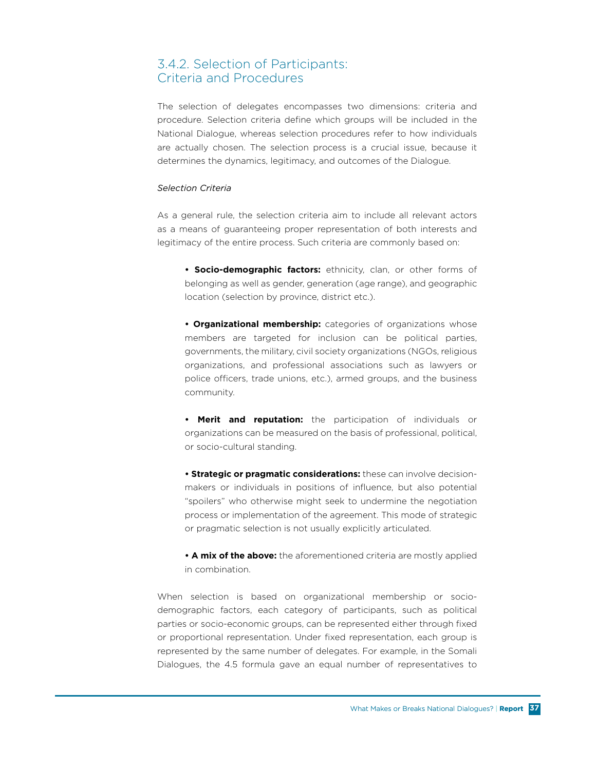## 3.4.2. Selection of Participants: Criteria and Procedures

The selection of delegates encompasses two dimensions: criteria and procedure. Selection criteria define which groups will be included in the National Dialogue, whereas selection procedures refer to how individuals are actually chosen. The selection process is a crucial issue, because it determines the dynamics, legitimacy, and outcomes of the Dialogue.

#### *Selection Criteria*

As a general rule, the selection criteria aim to include all relevant actors as a means of guaranteeing proper representation of both interests and legitimacy of the entire process. Such criteria are commonly based on:

**• Socio-demographic factors:** ethnicity, clan, or other forms of belonging as well as gender, generation (age range), and geographic location (selection by province, district etc.).

**• Organizational membership:** categories of organizations whose members are targeted for inclusion can be political parties, governments, the military, civil society organizations (NGOs, religious organizations, and professional associations such as lawyers or police officers, trade unions, etc.), armed groups, and the business community.

**• Merit and reputation:** the participation of individuals or organizations can be measured on the basis of professional, political, or socio-cultural standing.

**• Strategic or pragmatic considerations:** these can involve decisionmakers or individuals in positions of influence, but also potential "spoilers" who otherwise might seek to undermine the negotiation process or implementation of the agreement. This mode of strategic or pragmatic selection is not usually explicitly articulated.

**• A mix of the above:** the aforementioned criteria are mostly applied in combination.

When selection is based on organizational membership or sociodemographic factors, each category of participants, such as political parties or socio-economic groups, can be represented either through fixed or proportional representation. Under fixed representation, each group is represented by the same number of delegates. For example, in the Somali Dialogues, the 4.5 formula gave an equal number of representatives to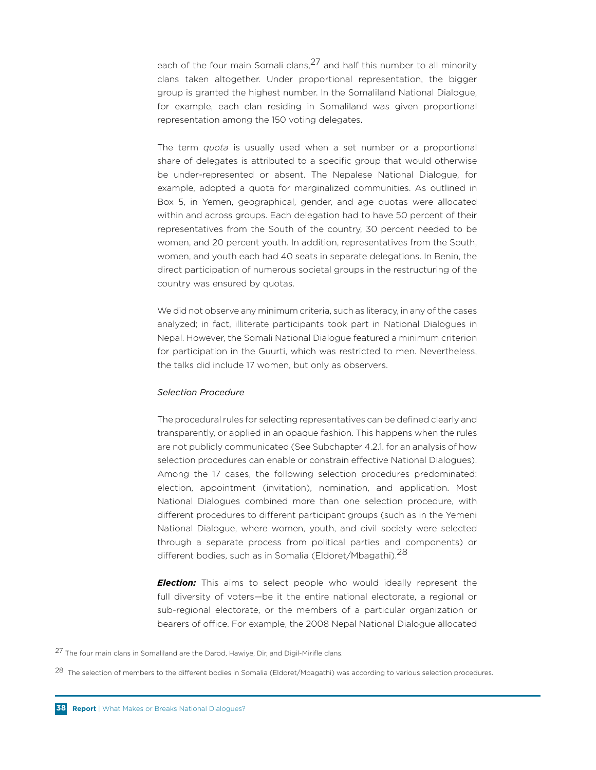each of the four main Somali clans,  $27$  and half this number to all minority clans taken altogether. Under proportional representation, the bigger group is granted the highest number. In the Somaliland National Dialogue, for example, each clan residing in Somaliland was given proportional representation among the 150 voting delegates.

The term *quota* is usually used when a set number or a proportional share of delegates is attributed to a specific group that would otherwise be under-represented or absent. The Nepalese National Dialogue, for example, adopted a quota for marginalized communities. As outlined in Box 5, in Yemen, geographical, gender, and age quotas were allocated within and across groups. Each delegation had to have 50 percent of their representatives from the South of the country, 30 percent needed to be women, and 20 percent youth. In addition, representatives from the South, women, and youth each had 40 seats in separate delegations. In Benin, the direct participation of numerous societal groups in the restructuring of the country was ensured by quotas.

We did not observe any minimum criteria, such as literacy, in any of the cases analyzed; in fact, illiterate participants took part in National Dialogues in Nepal. However, the Somali National Dialogue featured a minimum criterion for participation in the Guurti, which was restricted to men. Nevertheless, the talks did include 17 women, but only as observers.

#### *Selection Procedure*

The procedural rules for selecting representatives can be defined clearly and transparently, or applied in an opaque fashion. This happens when the rules are not publicly communicated (See Subchapter 4.2.1. for an analysis of how selection procedures can enable or constrain effective National Dialogues). Among the 17 cases, the following selection procedures predominated: election, appointment (invitation), nomination, and application. Most National Dialogues combined more than one selection procedure, with different procedures to different participant groups (such as in the Yemeni National Dialogue, where women, youth, and civil society were selected through a separate process from political parties and components) or different bodies, such as in Somalia (Eldoret/Mbagathi).<sup>28</sup>

*Election:* This aims to select people who would ideally represent the full diversity of voters—be it the entire national electorate, a regional or sub-regional electorate, or the members of a particular organization or bearers of office. For example, the 2008 Nepal National Dialogue allocated

<sup>27</sup> The four main clans in Somaliland are the Darod, Hawiye, Dir, and Digil-Mirifle clans.

<sup>&</sup>lt;sup>28</sup> The selection of members to the different bodies in Somalia (Eldoret/Mbagathi) was according to various selection procedures.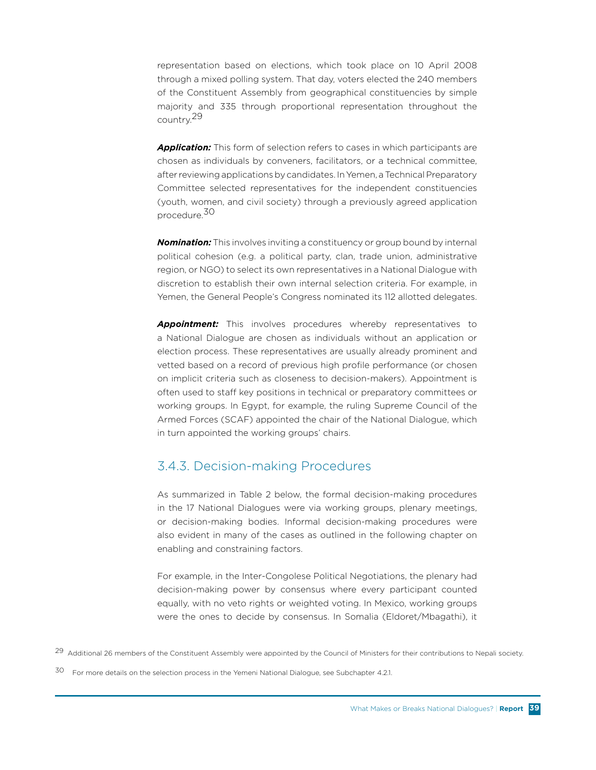representation based on elections, which took place on 10 April 2008 through a mixed polling system. That day, voters elected the 240 members of the Constituent Assembly from geographical constituencies by simple majority and 335 through proportional representation throughout the country.29

*Application:* This form of selection refers to cases in which participants are chosen as individuals by conveners, facilitators, or a technical committee, after reviewing applications by candidates. In Yemen, a Technical Preparatory Committee selected representatives for the independent constituencies (youth, women, and civil society) through a previously agreed application procedure.30

*Nomination:* This involves inviting a constituency or group bound by internal political cohesion (e.g. a political party, clan, trade union, administrative region, or NGO) to select its own representatives in a National Dialogue with discretion to establish their own internal selection criteria. For example, in Yemen, the General People's Congress nominated its 112 allotted delegates.

*Appointment:* This involves procedures whereby representatives to a National Dialogue are chosen as individuals without an application or election process. These representatives are usually already prominent and vetted based on a record of previous high profile performance (or chosen on implicit criteria such as closeness to decision-makers). Appointment is often used to staff key positions in technical or preparatory committees or working groups. In Egypt, for example, the ruling Supreme Council of the Armed Forces (SCAF) appointed the chair of the National Dialogue, which in turn appointed the working groups' chairs.

#### 3.4.3. Decision-making Procedures

As summarized in Table 2 below, the formal decision-making procedures in the 17 National Dialogues were via working groups, plenary meetings, or decision-making bodies. Informal decision-making procedures were also evident in many of the cases as outlined in the following chapter on enabling and constraining factors.

For example, in the Inter-Congolese Political Negotiations, the plenary had decision-making power by consensus where every participant counted equally, with no veto rights or weighted voting. In Mexico, working groups were the ones to decide by consensus. In Somalia (Eldoret/Mbagathi), it

<sup>29</sup> Additional 26 members of the Constituent Assembly were appointed by the Council of Ministers for their contributions to Nepali society.

<sup>30</sup> For more details on the selection process in the Yemeni National Dialogue, see Subchapter 4.2.1.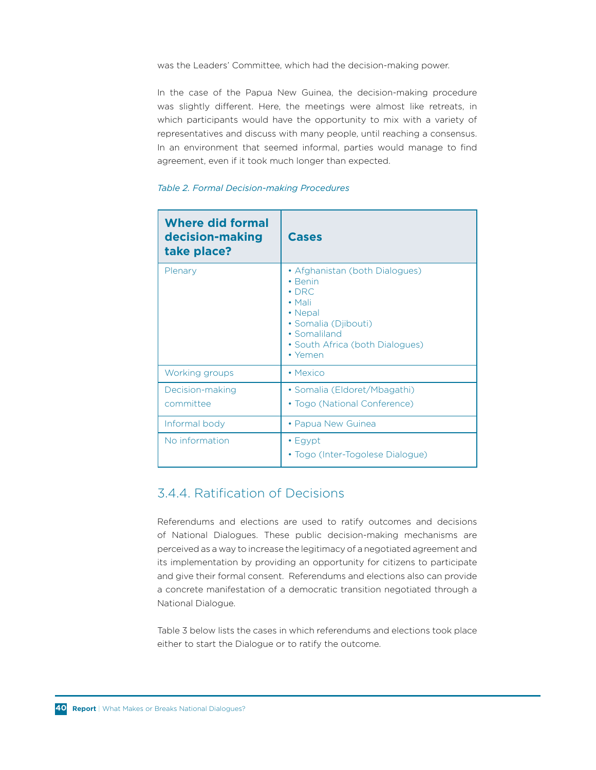was the Leaders' Committee, which had the decision-making power.

In the case of the Papua New Guinea, the decision-making procedure was slightly different. Here, the meetings were almost like retreats, in which participants would have the opportunity to mix with a variety of representatives and discuss with many people, until reaching a consensus. In an environment that seemed informal, parties would manage to find agreement, even if it took much longer than expected.

#### *Table 2. Formal Decision-making Procedures*

| <b>Where did formal</b><br>decision-making<br>take place? | <b>Cases</b>                                                                                                                                                                        |
|-----------------------------------------------------------|-------------------------------------------------------------------------------------------------------------------------------------------------------------------------------------|
| Plenary                                                   | • Afghanistan (both Dialogues)<br>$\bullet$ Benin<br>$\cdot$ DRC<br>$\bullet$ Mali<br>• Nepal<br>· Somalia (Djibouti)<br>• Somaliland<br>· South Africa (both Dialogues)<br>• Yemen |
| Working groups                                            | • Mexico                                                                                                                                                                            |
| Decision-making<br>committee                              | • Somalia (Eldoret/Mbagathi)<br>• Togo (National Conference)                                                                                                                        |
| Informal body                                             | • Papua New Guinea                                                                                                                                                                  |
| No information                                            | $\cdot$ Egypt<br>• Togo (Inter-Togolese Dialogue)                                                                                                                                   |

## 3.4.4. Ratification of Decisions

Referendums and elections are used to ratify outcomes and decisions of National Dialogues. These public decision-making mechanisms are perceived as a way to increase the legitimacy of a negotiated agreement and its implementation by providing an opportunity for citizens to participate and give their formal consent. Referendums and elections also can provide a concrete manifestation of a democratic transition negotiated through a National Dialogue.

Table 3 below lists the cases in which referendums and elections took place either to start the Dialogue or to ratify the outcome.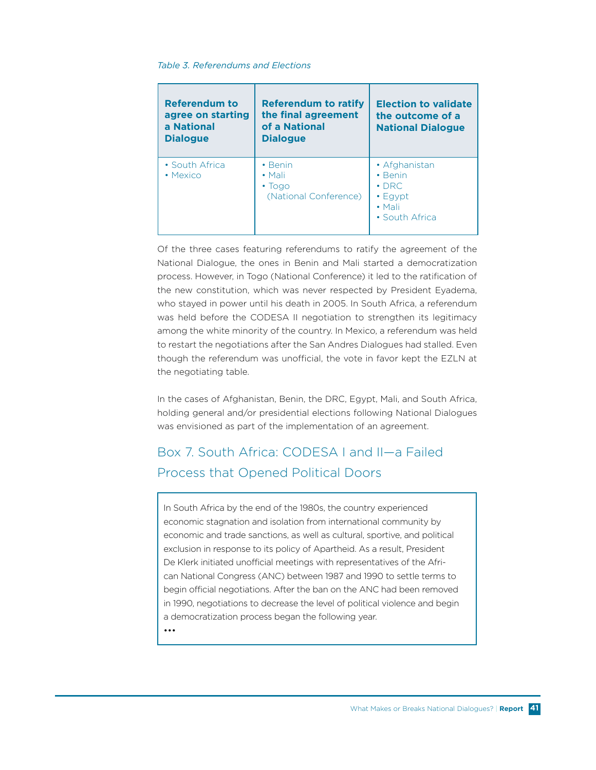#### *Table 3. Referendums and Elections*

| Referendum to<br>agree on starting<br>a National<br><b>Dialogue</b> | <b>Referendum to ratify</b><br>the final agreement<br>of a National<br><b>Dialogue</b> | <b>Election to validate</b><br>the outcome of a<br><b>National Dialogue</b>                        |
|---------------------------------------------------------------------|----------------------------------------------------------------------------------------|----------------------------------------------------------------------------------------------------|
| • South Africa<br>• Mexico                                          | $\cdot$ Benin<br>$\bullet$ Mali<br>$\cdot$ Togo<br>(National Conference)               | • Afghanistan<br>$\cdot$ Benin<br>$\cdot$ DRC<br>$\cdot$ Eqypt<br>$\bullet$ Mali<br>• South Africa |

Of the three cases featuring referendums to ratify the agreement of the National Dialogue, the ones in Benin and Mali started a democratization process. However, in Togo (National Conference) it led to the ratification of the new constitution, which was never respected by President Eyadema, who stayed in power until his death in 2005. In South Africa, a referendum was held before the CODESA II negotiation to strengthen its legitimacy among the white minority of the country. In Mexico, a referendum was held to restart the negotiations after the San Andres Dialogues had stalled. Even though the referendum was unofficial, the vote in favor kept the EZLN at the negotiating table.

In the cases of Afghanistan, Benin, the DRC, Egypt, Mali, and South Africa, holding general and/or presidential elections following National Dialogues was envisioned as part of the implementation of an agreement.

# Box 7. South Africa: CODESA I and II—a Failed Process that Opened Political Doors

In South Africa by the end of the 1980s, the country experienced economic stagnation and isolation from international community by economic and trade sanctions, as well as cultural, sportive, and political exclusion in response to its policy of Apartheid. As a result, President De Klerk initiated unofficial meetings with representatives of the African National Congress (ANC) between 1987 and 1990 to settle terms to begin official negotiations. After the ban on the ANC had been removed in 1990, negotiations to decrease the level of political violence and begin a democratization process began the following year.

•••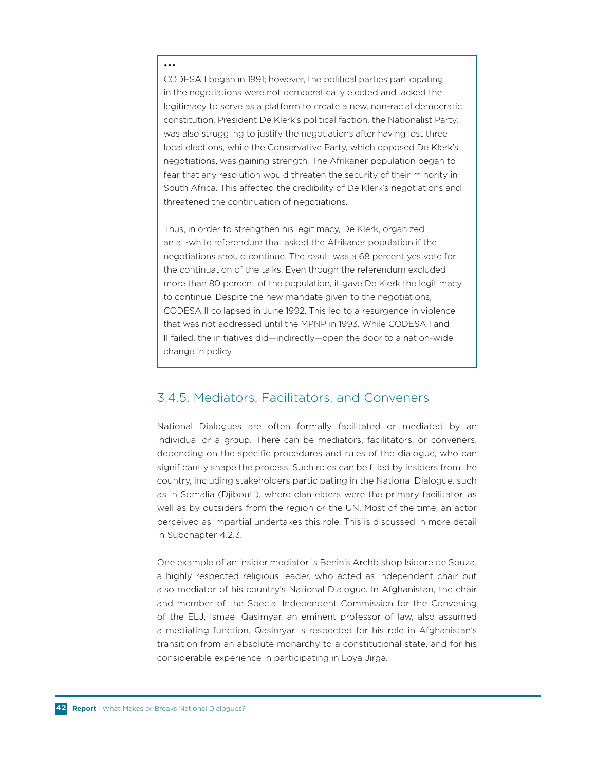#### •••

CODESA I began in 1991; however, the political parties participating in the negotiations were not democratically elected and lacked the legitimacy to serve as a platform to create a new, non-racial democratic constitution. President De Klerk's political faction, the Nationalist Party, was also struggling to justify the negotiations after having lost three local elections, while the Conservative Party, which opposed De Klerk's negotiations, was gaining strength. The Afrikaner population began to fear that any resolution would threaten the security of their minority in South Africa. This affected the credibility of De Klerk's negotiations and threatened the continuation of negotiations.

Thus, in order to strengthen his legitimacy, De Klerk, organized an all-white referendum that asked the Afrikaner population if the negotiations should continue. The result was a 68 percent yes vote for the continuation of the talks. Even though the referendum excluded more than 80 percent of the population, it gave De Klerk the legitimacy to continue. Despite the new mandate given to the negotiations, CODESA II collapsed in June 1992. This led to a resurgence in violence that was not addressed until the MPNP in 1993. While CODESA I and II failed, the initiatives did—indirectly—open the door to a nation-wide change in policy.

#### 3.4.5. Mediators, Facilitators, and Conveners

National Dialogues are often formally facilitated or mediated by an individual or a group. There can be mediators, facilitators, or conveners, depending on the specific procedures and rules of the dialogue, who can significantly shape the process. Such roles can be filled by insiders from the country, including stakeholders participating in the National Dialogue, such as in Somalia (Djibouti), where clan elders were the primary facilitator, as well as by outsiders from the region or the UN. Most of the time, an actor perceived as impartial undertakes this role. This is discussed in more detail in Subchapter 4.2.3.

One example of an insider mediator is Benin's Archbishop Isidore de Souza, a highly respected religious leader, who acted as independent chair but also mediator of his country's National Dialogue. In Afghanistan, the chair and member of the Special Independent Commission for the Convening of the ELJ, Ismael Qasimyar, an eminent professor of law, also assumed a mediating function. Qasimyar is respected for his role in Afghanistan's transition from an absolute monarchy to a constitutional state, and for his considerable experience in participating in Loya Jirga.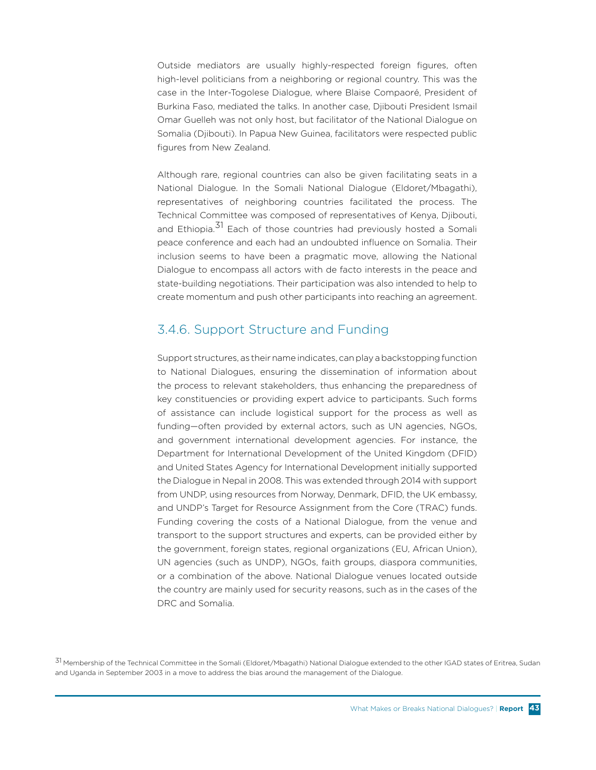Outside mediators are usually highly-respected foreign figures, often high-level politicians from a neighboring or regional country. This was the case in the Inter-Togolese Dialogue, where Blaise Compaoré, President of Burkina Faso, mediated the talks. In another case, Djibouti President Ismail Omar Guelleh was not only host, but facilitator of the National Dialogue on Somalia (Djibouti). In Papua New Guinea, facilitators were respected public figures from New Zealand.

Although rare, regional countries can also be given facilitating seats in a National Dialogue. In the Somali National Dialogue (Eldoret/Mbagathi), representatives of neighboring countries facilitated the process. The Technical Committee was composed of representatives of Kenya, Djibouti, and Ethiopia.<sup>31</sup> Each of those countries had previously hosted a Somali peace conference and each had an undoubted influence on Somalia. Their inclusion seems to have been a pragmatic move, allowing the National Dialogue to encompass all actors with de facto interests in the peace and state-building negotiations. Their participation was also intended to help to create momentum and push other participants into reaching an agreement.

### 3.4.6. Support Structure and Funding

Support structures, as their name indicates, can play a backstopping function to National Dialogues, ensuring the dissemination of information about the process to relevant stakeholders, thus enhancing the preparedness of key constituencies or providing expert advice to participants. Such forms of assistance can include logistical support for the process as well as funding—often provided by external actors, such as UN agencies, NGOs, and government international development agencies. For instance, the Department for International Development of the United Kingdom (DFID) and United States Agency for International Development initially supported the Dialogue in Nepal in 2008. This was extended through 2014 with support from UNDP, using resources from Norway, Denmark, DFID, the UK embassy, and UNDP's Target for Resource Assignment from the Core (TRAC) funds. Funding covering the costs of a National Dialogue, from the venue and transport to the support structures and experts, can be provided either by the government, foreign states, regional organizations (EU, African Union), UN agencies (such as UNDP), NGOs, faith groups, diaspora communities, or a combination of the above. National Dialogue venues located outside the country are mainly used for security reasons, such as in the cases of the DRC and Somalia.

31 Membership of the Technical Committee in the Somali (Eldoret/Mbagathi) National Dialogue extended to the other IGAD states of Eritrea, Sudan and Uganda in September 2003 in a move to address the bias around the management of the Dialogue.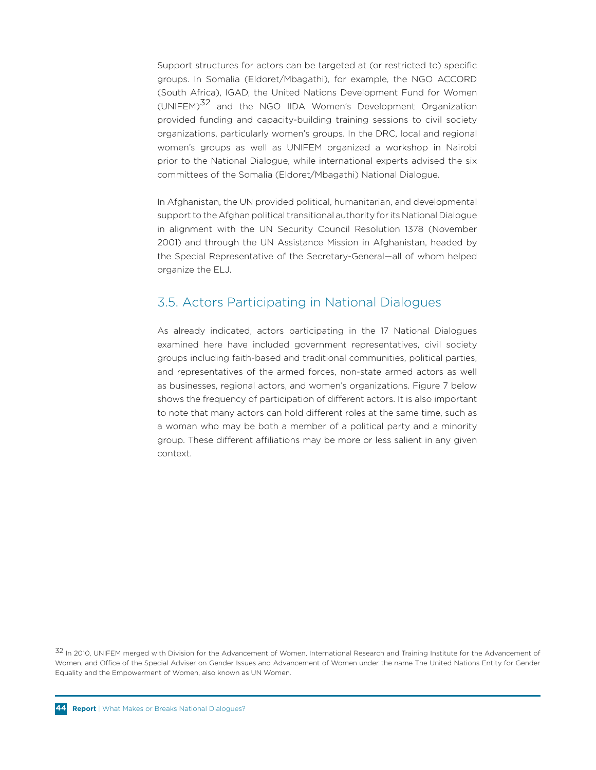Support structures for actors can be targeted at (or restricted to) specific groups. In Somalia (Eldoret/Mbagathi), for example, the NGO ACCORD (South Africa), IGAD, the United Nations Development Fund for Women (UNIFEM)<sup>32</sup> and the NGO IIDA Women's Development Organization provided funding and capacity-building training sessions to civil society organizations, particularly women's groups. In the DRC, local and regional women's groups as well as UNIFEM organized a workshop in Nairobi prior to the National Dialogue, while international experts advised the six committees of the Somalia (Eldoret/Mbagathi) National Dialogue.

In Afghanistan, the UN provided political, humanitarian, and developmental support to the Afghan political transitional authority for its National Dialogue in alignment with the UN Security Council Resolution 1378 (November 2001) and through the UN Assistance Mission in Afghanistan, headed by the Special Representative of the Secretary-General—all of whom helped organize the ELJ.

### 3.5. Actors Participating in National Dialogues

As already indicated, actors participating in the 17 National Dialogues examined here have included government representatives, civil society groups including faith-based and traditional communities, political parties, and representatives of the armed forces, non-state armed actors as well as businesses, regional actors, and women's organizations. Figure 7 below shows the frequency of participation of different actors. It is also important to note that many actors can hold different roles at the same time, such as a woman who may be both a member of a political party and a minority group. These different affiliations may be more or less salient in any given context.

32 In 2010, UNIFEM merged with Division for the Advancement of Women, International Research and Training Institute for the Advancement of Women, and Office of the Special Adviser on Gender Issues and Advancement of Women under the name The United Nations Entity for Gender Equality and the Empowerment of Women, also known as UN Women.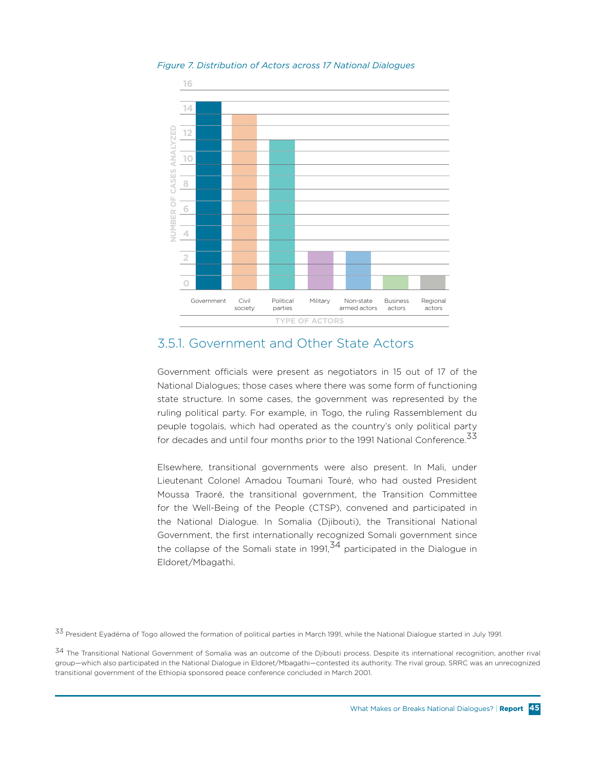



### 3.5.1. Government and Other State Actors

Government officials were present as negotiators in 15 out of 17 of the National Dialogues; those cases where there was some form of functioning state structure. In some cases, the government was represented by the ruling political party. For example, in Togo, the ruling Rassemblement du peuple togolais, which had operated as the country's only political party for decades and until four months prior to the 1991 National Conference.<sup>33</sup>

Elsewhere, transitional governments were also present. In Mali, under Lieutenant Colonel Amadou Toumani Touré, who had ousted President Moussa Traoré, the transitional government, the Transition Committee for the Well-Being of the People (CTSP), convened and participated in the National Dialogue. In Somalia (Djibouti), the Transitional National Government, the first internationally recognized Somali government since the collapse of the Somali state in 1991, $34$  participated in the Dialogue in Eldoret/Mbagathi.

33 President Eyadéma of Togo allowed the formation of political parties in March 1991, while the National Dialogue started in July 1991.

<sup>34</sup> The Transitional National Government of Somalia was an outcome of the Djibouti process. Despite its international recognition, another rival group—which also participated in the National Dialogue in Eldoret/Mbagathi—contested its authority. The rival group, SRRC was an unrecognized transitional government of the Ethiopia sponsored peace conference concluded in March 2001.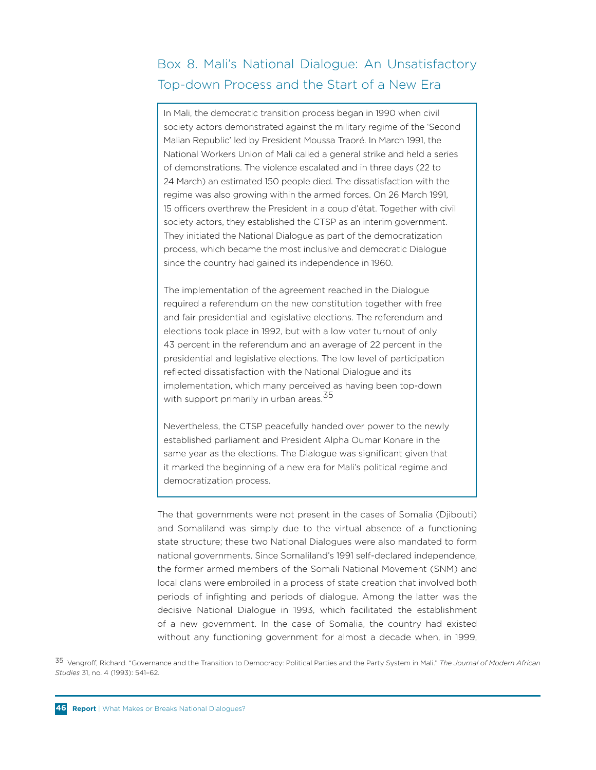## Box 8. Mali's National Dialogue: An Unsatisfactory Top-down Process and the Start of a New Era

In Mali, the democratic transition process began in 1990 when civil society actors demonstrated against the military regime of the 'Second Malian Republic' led by President Moussa Traoré. In March 1991, the National Workers Union of Mali called a general strike and held a series of demonstrations. The violence escalated and in three days (22 to 24 March) an estimated 150 people died. The dissatisfaction with the regime was also growing within the armed forces. On 26 March 1991, 15 officers overthrew the President in a coup d'état. Together with civil society actors, they established the CTSP as an interim government. They initiated the National Dialogue as part of the democratization process, which became the most inclusive and democratic Dialogue since the country had gained its independence in 1960.

The implementation of the agreement reached in the Dialogue required a referendum on the new constitution together with free and fair presidential and legislative elections. The referendum and elections took place in 1992, but with a low voter turnout of only 43 percent in the referendum and an average of 22 percent in the presidential and legislative elections. The low level of participation reflected dissatisfaction with the National Dialogue and its implementation, which many perceived as having been top-down with support primarily in urban areas.<sup>35</sup>

Nevertheless, the CTSP peacefully handed over power to the newly established parliament and President Alpha Oumar Konare in the same year as the elections. The Dialogue was significant given that it marked the beginning of a new era for Mali's political regime and democratization process.

The that governments were not present in the cases of Somalia (Djibouti) and Somaliland was simply due to the virtual absence of a functioning state structure; these two National Dialogues were also mandated to form national governments. Since Somaliland's 1991 self-declared independence, the former armed members of the Somali National Movement (SNM) and local clans were embroiled in a process of state creation that involved both periods of infighting and periods of dialogue. Among the latter was the decisive National Dialogue in 1993, which facilitated the establishment of a new government. In the case of Somalia, the country had existed without any functioning government for almost a decade when, in 1999,

35 Vengroff, Richard. "Governance and the Transition to Democracy: Political Parties and the Party System in Mali." *The Journal of Modern African Studies* 31, no. 4 (1993): 541–62.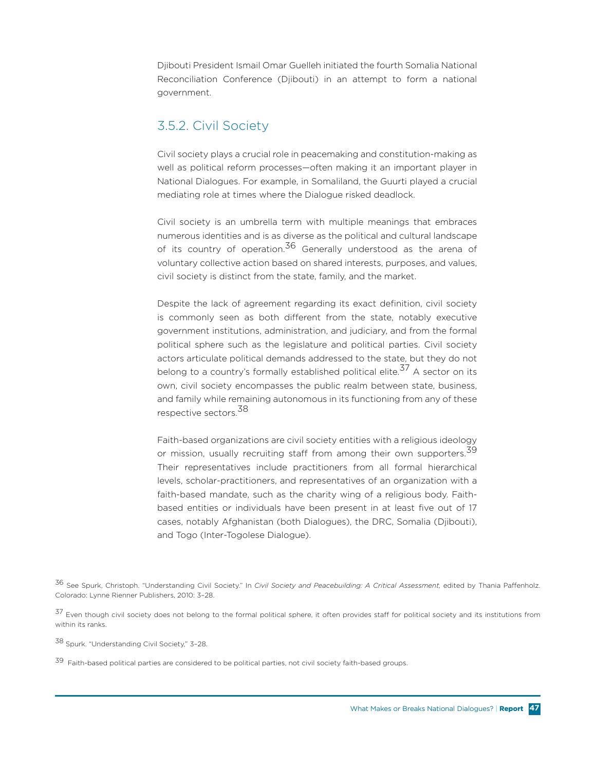Djibouti President Ismail Omar Guelleh initiated the fourth Somalia National Reconciliation Conference (Djibouti) in an attempt to form a national government.

### 3.5.2. Civil Society

Civil society plays a crucial role in peacemaking and constitution-making as well as political reform processes—often making it an important player in National Dialogues. For example, in Somaliland, the Guurti played a crucial mediating role at times where the Dialogue risked deadlock.

Civil society is an umbrella term with multiple meanings that embraces numerous identities and is as diverse as the political and cultural landscape of its country of operation.<sup>36</sup> Generally understood as the arena of voluntary collective action based on shared interests, purposes, and values, civil society is distinct from the state, family, and the market.

Despite the lack of agreement regarding its exact definition, civil society is commonly seen as both different from the state, notably executive government institutions, administration, and judiciary, and from the formal political sphere such as the legislature and political parties. Civil society actors articulate political demands addressed to the state, but they do not belong to a country's formally established political elite.<sup>37</sup> A sector on its own, civil society encompasses the public realm between state, business, and family while remaining autonomous in its functioning from any of these respective sectors.<sup>38</sup>

Faith-based organizations are civil society entities with a religious ideology or mission, usually recruiting staff from among their own supporters.<sup>39</sup> Their representatives include practitioners from all formal hierarchical levels, scholar-practitioners, and representatives of an organization with a faith-based mandate, such as the charity wing of a religious body. Faithbased entities or individuals have been present in at least five out of 17 cases, notably Afghanistan (both Dialogues), the DRC, Somalia (Djibouti), and Togo (Inter-Togolese Dialogue).

36 See Spurk, Christoph. "Understanding Civil Society." In *Civil Society and Peacebuilding: A Critical Assessment,* edited by Thania Paffenholz. Colorado: Lynne Rienner Publishers, 2010: 3–28.

37 Even though civil society does not belong to the formal political sphere, it often provides staff for political society and its institutions from within its ranks.

38 Spurk. "Understanding Civil Society," 3–28.

39 Faith-based political parties are considered to be political parties, not civil society faith-based groups.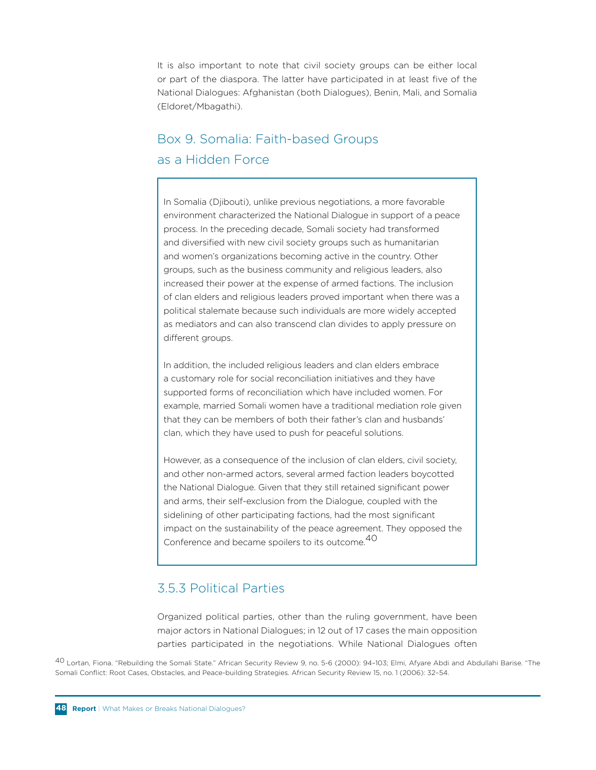It is also important to note that civil society groups can be either local or part of the diaspora. The latter have participated in at least five of the National Dialogues: Afghanistan (both Dialogues), Benin, Mali, and Somalia (Eldoret/Mbagathi).

# Box 9. Somalia: Faith-based Groups as a Hidden Force

In Somalia (Djibouti), unlike previous negotiations, a more favorable environment characterized the National Dialogue in support of a peace process. In the preceding decade, Somali society had transformed and diversified with new civil society groups such as humanitarian and women's organizations becoming active in the country. Other groups, such as the business community and religious leaders, also increased their power at the expense of armed factions. The inclusion of clan elders and religious leaders proved important when there was a political stalemate because such individuals are more widely accepted as mediators and can also transcend clan divides to apply pressure on different groups.

In addition, the included religious leaders and clan elders embrace a customary role for social reconciliation initiatives and they have supported forms of reconciliation which have included women. For example, married Somali women have a traditional mediation role given that they can be members of both their father's clan and husbands' clan, which they have used to push for peaceful solutions.

However, as a consequence of the inclusion of clan elders, civil society, and other non-armed actors, several armed faction leaders boycotted the National Dialogue. Given that they still retained significant power and arms, their self-exclusion from the Dialogue, coupled with the sidelining of other participating factions, had the most significant impact on the sustainability of the peace agreement. They opposed the Conference and became spoilers to its outcome.40

## 3.5.3 Political Parties

Organized political parties, other than the ruling government, have been major actors in National Dialogues; in 12 out of 17 cases the main opposition parties participated in the negotiations. While National Dialogues often

40 Lortan, Fiona. "Rebuilding the Somali State." African Security Review 9, no. 5-6 (2000): 94–103; Elmi, Afyare Abdi and Abdullahi Barise. "The Somali Conflict: Root Cases, Obstacles, and Peace-building Strategies. African Security Review 15, no. 1 (2006): 32–54.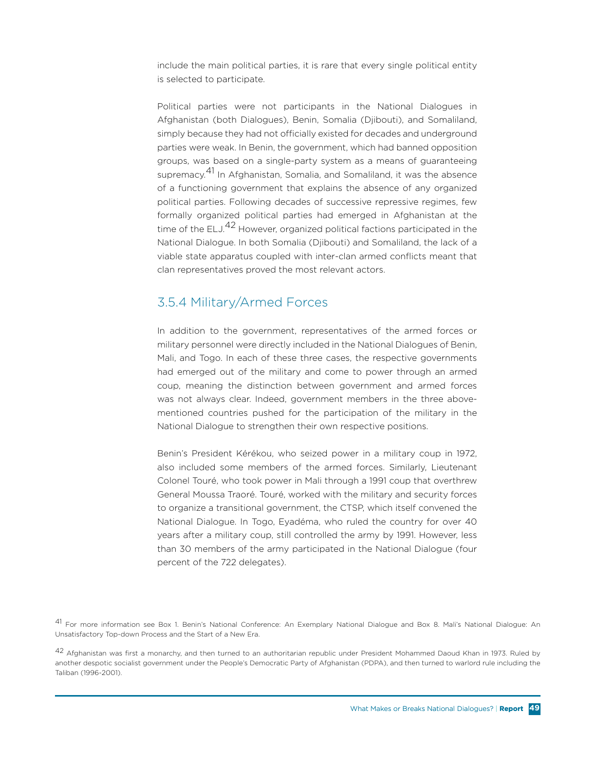include the main political parties, it is rare that every single political entity is selected to participate.

Political parties were not participants in the National Dialogues in Afghanistan (both Dialogues), Benin, Somalia (Djibouti), and Somaliland, simply because they had not officially existed for decades and underground parties were weak. In Benin, the government, which had banned opposition groups, was based on a single-party system as a means of guaranteeing supremacy.<sup>41</sup> In Afghanistan, Somalia, and Somaliland, it was the absence of a functioning government that explains the absence of any organized political parties. Following decades of successive repressive regimes, few formally organized political parties had emerged in Afghanistan at the time of the ELJ.<sup>42</sup> However, organized political factions participated in the National Dialogue. In both Somalia (Djibouti) and Somaliland, the lack of a viable state apparatus coupled with inter-clan armed conflicts meant that clan representatives proved the most relevant actors.

## 3.5.4 Military/Armed Forces

In addition to the government, representatives of the armed forces or military personnel were directly included in the National Dialogues of Benin, Mali, and Togo. In each of these three cases, the respective governments had emerged out of the military and come to power through an armed coup, meaning the distinction between government and armed forces was not always clear. Indeed, government members in the three abovementioned countries pushed for the participation of the military in the National Dialogue to strengthen their own respective positions.

Benin's President Kérékou, who seized power in a military coup in 1972, also included some members of the armed forces. Similarly, Lieutenant Colonel Touré, who took power in Mali through a 1991 coup that overthrew General Moussa Traoré. Touré, worked with the military and security forces to organize a transitional government, the CTSP, which itself convened the National Dialogue. In Togo, Eyadéma, who ruled the country for over 40 years after a military coup, still controlled the army by 1991. However, less than 30 members of the army participated in the National Dialogue (four percent of the 722 delegates).

41 For more information see Box 1. Benin's National Conference: An Exemplary National Dialogue and Box 8. Mali's National Dialogue: An Unsatisfactory Top-down Process and the Start of a New Era.

 $^{42}$  Afghanistan was first a monarchy, and then turned to an authoritarian republic under President Mohammed Daoud Khan in 1973. Ruled by another despotic socialist government under the People's Democratic Party of Afghanistan (PDPA), and then turned to warlord rule including the Taliban (1996-2001).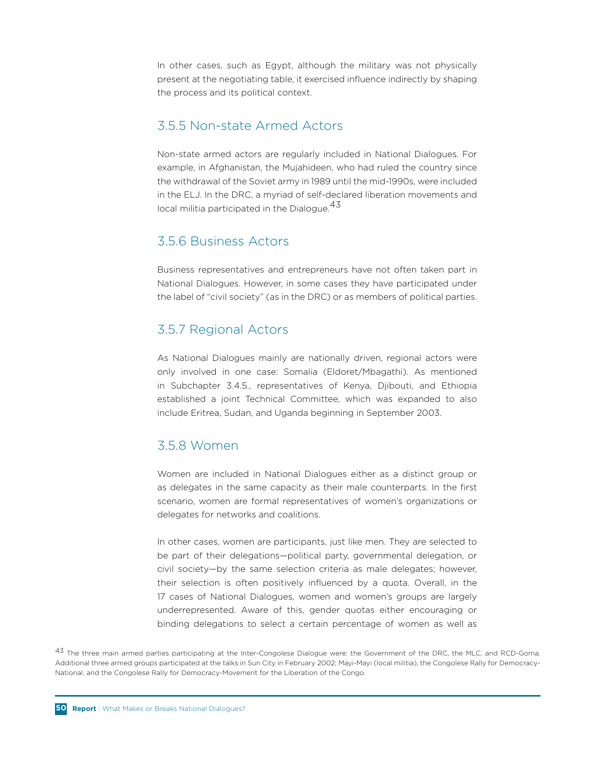In other cases, such as Egypt, although the military was not physically present at the negotiating table, it exercised influence indirectly by shaping the process and its political context.

### 3.5.5 Non-state Armed Actors

Non-state armed actors are regularly included in National Dialogues. For example, in Afghanistan, the Mujahideen, who had ruled the country since the withdrawal of the Soviet army in 1989 until the mid-1990s, were included in the ELJ. In the DRC, a myriad of self-declared liberation movements and local militia participated in the Dialogue.<sup>43</sup>

### 3.5.6 Business Actors

Business representatives and entrepreneurs have not often taken part in National Dialogues. However, in some cases they have participated under the label of "civil society" (as in the DRC) or as members of political parties.

### 3.5.7 Regional Actors

As National Dialogues mainly are nationally driven, regional actors were only involved in one case: Somalia (Eldoret/Mbagathi). As mentioned in Subchapter 3.4.5., representatives of Kenya, Djibouti, and Ethiopia established a joint Technical Committee, which was expanded to also include Eritrea, Sudan, and Uganda beginning in September 2003.

## 3.5.8 Women

Women are included in National Dialogues either as a distinct group or as delegates in the same capacity as their male counterparts. In the first scenario, women are formal representatives of women's organizations or delegates for networks and coalitions.

In other cases, women are participants, just like men. They are selected to be part of their delegations—political party, governmental delegation, or civil society—by the same selection criteria as male delegates; however, their selection is often positively influenced by a quota. Overall, in the 17 cases of National Dialogues, women and women's groups are largely underrepresented. Aware of this, gender quotas either encouraging or binding delegations to select a certain percentage of women as well as

43 The three main armed parties participating at the Inter-Congolese Dialogue were: the Government of the DRC, the MLC, and RCD-Goma. Additional three armed groups participated at the talks in Sun City in February 2002; Mayi-Mayi (local militia), the Congolese Rally for Democracy-National, and the Congolese Rally for Democracy-Movement for the Liberation of the Congo.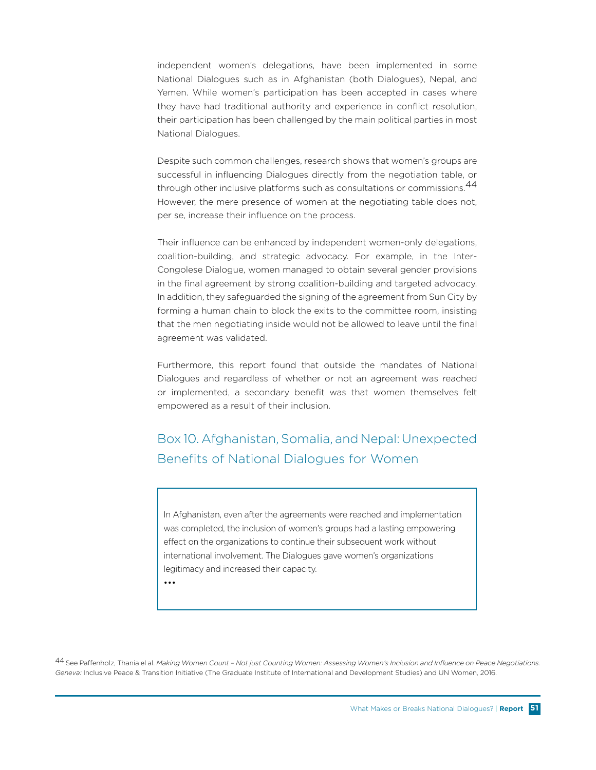independent women's delegations, have been implemented in some National Dialogues such as in Afghanistan (both Dialogues), Nepal, and Yemen. While women's participation has been accepted in cases where they have had traditional authority and experience in conflict resolution, their participation has been challenged by the main political parties in most National Dialogues.

Despite such common challenges, research shows that women's groups are successful in influencing Dialogues directly from the negotiation table, or through other inclusive platforms such as consultations or commissions.<sup>44</sup> However, the mere presence of women at the negotiating table does not, per se, increase their influence on the process.

Their influence can be enhanced by independent women-only delegations, coalition-building, and strategic advocacy. For example, in the Inter-Congolese Dialogue, women managed to obtain several gender provisions in the final agreement by strong coalition-building and targeted advocacy. In addition, they safeguarded the signing of the agreement from Sun City by forming a human chain to block the exits to the committee room, insisting that the men negotiating inside would not be allowed to leave until the final agreement was validated.

Furthermore, this report found that outside the mandates of National Dialogues and regardless of whether or not an agreement was reached or implemented, a secondary benefit was that women themselves felt empowered as a result of their inclusion.

Box 10. Afghanistan, Somalia, and Nepal: Unexpected Benefits of National Dialogues for Women

In Afghanistan, even after the agreements were reached and implementation was completed, the inclusion of women's groups had a lasting empowering effect on the organizations to continue their subsequent work without international involvement. The Dialogues gave women's organizations legitimacy and increased their capacity.

•••

44 See Paffenholz, Thania el al. *Making Women Count – Not just Counting Women: Assessing Women's Inclusion and Influence on Peace Negotiations. Geneva:* Inclusive Peace & Transition Initiative (The Graduate Institute of International and Development Studies) and UN Women, 2016.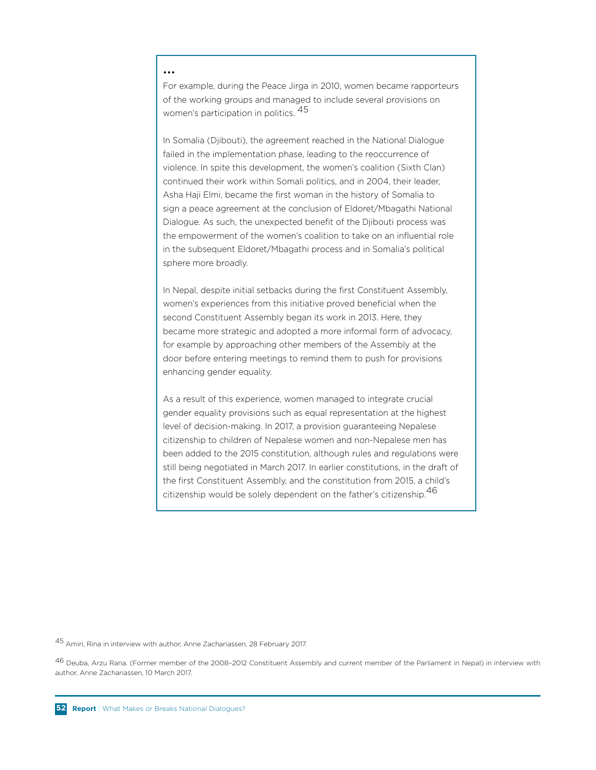#### •••

For example, during the Peace Jirga in 2010, women became rapporteurs of the working groups and managed to include several provisions on women's participation in politics. 45

In Somalia (Djibouti), the agreement reached in the National Dialogue failed in the implementation phase, leading to the reoccurrence of violence. In spite this development, the women's coalition (Sixth Clan) continued their work within Somali politics, and in 2004, their leader, Asha Haji Elmi, became the first woman in the history of Somalia to sign a peace agreement at the conclusion of Eldoret/Mbagathi National Dialogue. As such, the unexpected benefit of the Djibouti process was the empowerment of the women's coalition to take on an influential role in the subsequent Eldoret/Mbagathi process and in Somalia's political sphere more broadly.

In Nepal, despite initial setbacks during the first Constituent Assembly, women's experiences from this initiative proved beneficial when the second Constituent Assembly began its work in 2013. Here, they became more strategic and adopted a more informal form of advocacy, for example by approaching other members of the Assembly at the door before entering meetings to remind them to push for provisions enhancing gender equality.

As a result of this experience, women managed to integrate crucial gender equality provisions such as equal representation at the highest level of decision-making. In 2017, a provision guaranteeing Nepalese citizenship to children of Nepalese women and non-Nepalese men has been added to the 2015 constitution, although rules and regulations were still being negotiated in March 2017. In earlier constitutions, in the draft of the first Constituent Assembly, and the constitution from 2015, a child's citizenship would be solely dependent on the father's citizenship.<sup>46</sup>

45 Amiri, Rina in interview with author, Anne Zachariassen, 28 February 2017.

46 Deuba, Arzu Rana. (Former member of the 2008–2012 Constituent Assembly and current member of the Parliament in Nepal) in interview with author, Anne Zachariassen, 10 March 2017.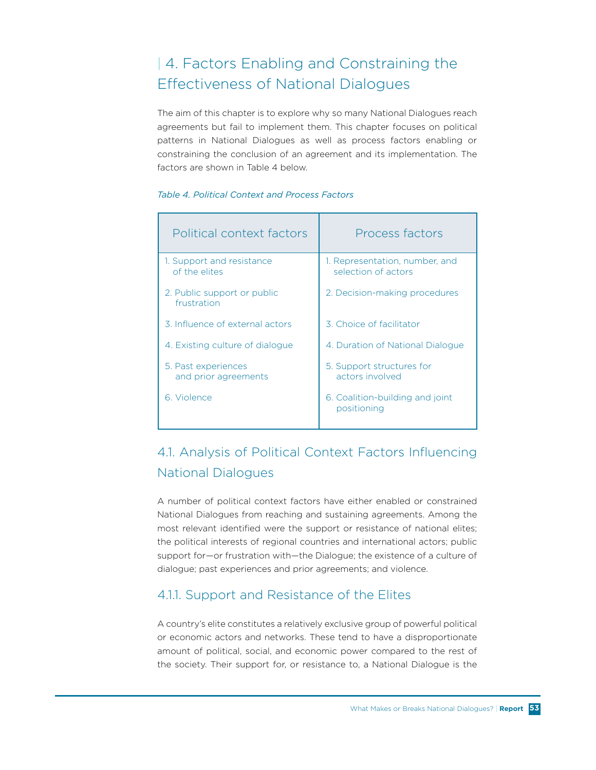# | 4. Factors Enabling and Constraining the Effectiveness of National Dialogues

The aim of this chapter is to explore why so many National Dialogues reach agreements but fail to implement them. This chapter focuses on political patterns in National Dialogues as well as process factors enabling or constraining the conclusion of an agreement and its implementation. The factors are shown in Table 4 below.

#### *Table 4. Political Context and Process Factors*

| Political context factors                   | Process factors                                       |
|---------------------------------------------|-------------------------------------------------------|
| 1. Support and resistance<br>of the elites  | 1. Representation, number, and<br>selection of actors |
| 2. Public support or public<br>frustration  | 2. Decision-making procedures                         |
| 3. Influence of external actors             | 3. Choice of facilitator                              |
| 4. Existing culture of dialogue             | 4. Duration of National Dialogue                      |
| 5. Past experiences<br>and prior agreements | 5. Support structures for<br>actors involved          |
| 6. Violence                                 | 6. Coalition-building and joint<br>positioning        |

# 4.1. Analysis of Political Context Factors Influencing National Dialogues

A number of political context factors have either enabled or constrained National Dialogues from reaching and sustaining agreements. Among the most relevant identified were the support or resistance of national elites; the political interests of regional countries and international actors; public support for—or frustration with—the Dialogue; the existence of a culture of dialogue; past experiences and prior agreements; and violence.

### 4.1.1. Support and Resistance of the Elites

A country's elite constitutes a relatively exclusive group of powerful political or economic actors and networks. These tend to have a disproportionate amount of political, social, and economic power compared to the rest of the society. Their support for, or resistance to, a National Dialogue is the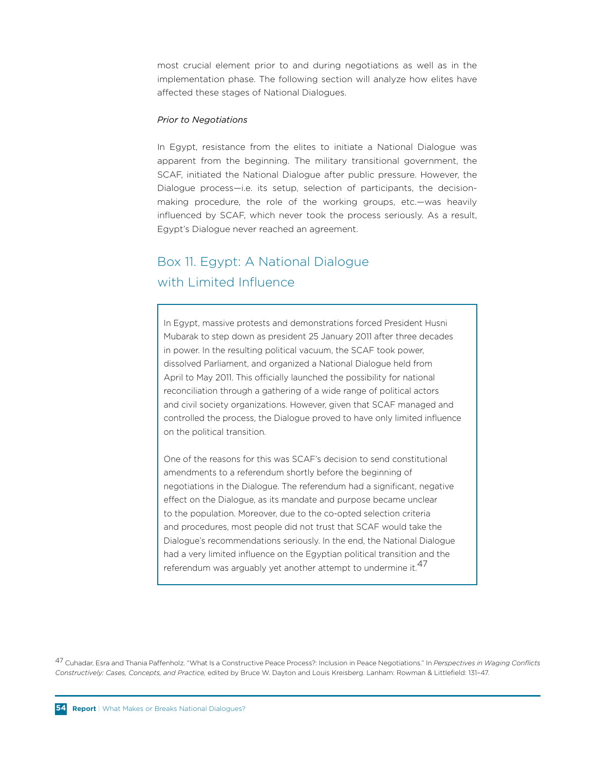most crucial element prior to and during negotiations as well as in the implementation phase. The following section will analyze how elites have affected these stages of National Dialogues.

#### *Prior to Negotiations*

In Egypt, resistance from the elites to initiate a National Dialogue was apparent from the beginning. The military transitional government, the SCAF, initiated the National Dialogue after public pressure. However, the Dialogue process—i.e. its setup, selection of participants, the decisionmaking procedure, the role of the working groups, etc.—was heavily influenced by SCAF, which never took the process seriously. As a result, Egypt's Dialogue never reached an agreement.

# Box 11. Egypt: A National Dialogue with Limited Influence

In Egypt, massive protests and demonstrations forced President Husni Mubarak to step down as president 25 January 2011 after three decades in power. In the resulting political vacuum, the SCAF took power, dissolved Parliament, and organized a National Dialogue held from April to May 2011. This officially launched the possibility for national reconciliation through a gathering of a wide range of political actors and civil society organizations. However, given that SCAF managed and controlled the process, the Dialogue proved to have only limited influence on the political transition.

One of the reasons for this was SCAF's decision to send constitutional amendments to a referendum shortly before the beginning of negotiations in the Dialogue. The referendum had a significant, negative effect on the Dialogue, as its mandate and purpose became unclear to the population. Moreover, due to the co-opted selection criteria and procedures, most people did not trust that SCAF would take the Dialogue's recommendations seriously. In the end, the National Dialogue had a very limited influence on the Egyptian political transition and the referendum was arguably yet another attempt to undermine it.<sup>47</sup>

47 Cuhadar, Esra and Thania Paffenholz. "What Is a Constructive Peace Process?: Inclusion in Peace Negotiations." In *Perspectives in Waging Conflicts Constructively: Cases, Concepts, and Practice,* edited by Bruce W. Dayton and Louis Kreisberg. Lanham: Rowman & Littlefield: 131–47.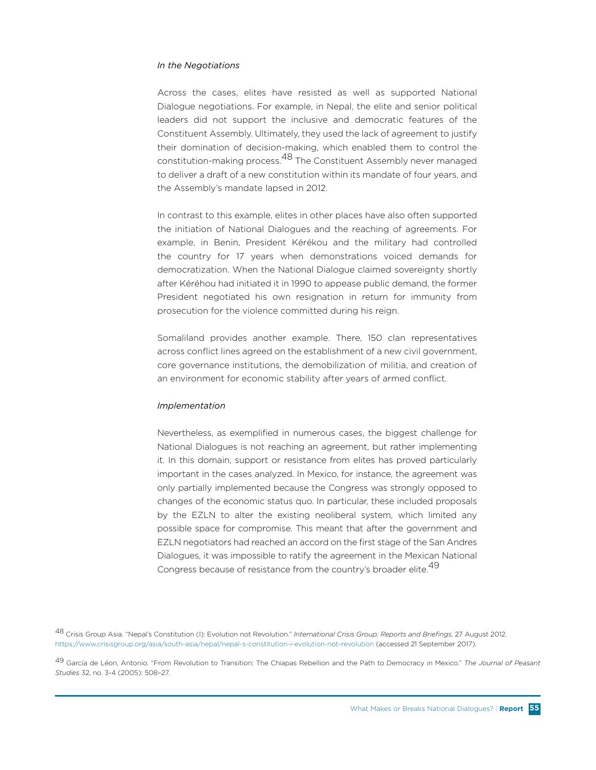#### *In the Negotiations*

Across the cases, elites have resisted as well as supported National Dialogue negotiations. For example, in Nepal, the elite and senior political leaders did not support the inclusive and democratic features of the Constituent Assembly. Ultimately, they used the lack of agreement to justify their domination of decision-making, which enabled them to control the constitution-making process.<sup>48</sup> The Constituent Assembly never managed to deliver a draft of a new constitution within its mandate of four years, and the Assembly's mandate lapsed in 2012.

In contrast to this example, elites in other places have also often supported the initiation of National Dialogues and the reaching of agreements. For example, in Benin, President Kérékou and the military had controlled the country for 17 years when demonstrations voiced demands for democratization. When the National Dialogue claimed sovereignty shortly after Kéréhou had initiated it in 1990 to appease public demand, the former President negotiated his own resignation in return for immunity from prosecution for the violence committed during his reign.

Somaliland provides another example. There, 150 clan representatives across conflict lines agreed on the establishment of a new civil government, core governance institutions, the demobilization of militia, and creation of an environment for economic stability after years of armed conflict.

#### *Implementation*

Nevertheless, as exemplified in numerous cases, the biggest challenge for National Dialogues is not reaching an agreement, but rather implementing it. In this domain, support or resistance from elites has proved particularly important in the cases analyzed. In Mexico, for instance, the agreement was only partially implemented because the Congress was strongly opposed to changes of the economic status quo. In particular, these included proposals by the EZLN to alter the existing neoliberal system, which limited any possible space for compromise. This meant that after the government and EZLN negotiators had reached an accord on the first stage of the San Andres Dialogues, it was impossible to ratify the agreement in the Mexican National Congress because of resistance from the country's broader elite.<sup>49</sup>

48 Crisis Group Asia. "Nepal's Constitution (I): Evolution not Revolution." *International Crisis Group: Reports and Briefings*, 27 August 2012. https://www.crisisgroup.org/asia/south-asia/nepal/nepal-s-constitution-i-evolution-not-revolution (accessed 21 September 2017).

49 García de Léon, Antonio. "From Revolution to Transition: The Chiapas Rebellion and the Path to Democracy in Mexico." *The Journal of Peasant Studies* 32, no. 3-4 (2005): 508–27.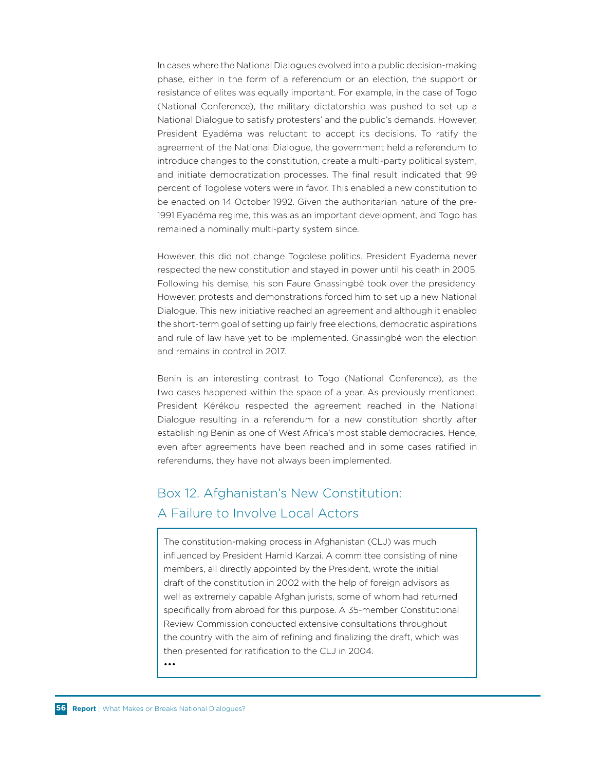In cases where the National Dialogues evolved into a public decision-making phase, either in the form of a referendum or an election, the support or resistance of elites was equally important. For example, in the case of Togo (National Conference), the military dictatorship was pushed to set up a National Dialogue to satisfy protesters' and the public's demands. However, President Eyadéma was reluctant to accept its decisions. To ratify the agreement of the National Dialogue, the government held a referendum to introduce changes to the constitution, create a multi-party political system, and initiate democratization processes. The final result indicated that 99 percent of Togolese voters were in favor. This enabled a new constitution to be enacted on 14 October 1992. Given the authoritarian nature of the pre-1991 Eyadéma regime, this was as an important development, and Togo has remained a nominally multi-party system since.

However, this did not change Togolese politics. President Eyadema never respected the new constitution and stayed in power until his death in 2005. Following his demise, his son Faure Gnassingbé took over the presidency. However, protests and demonstrations forced him to set up a new National Dialogue. This new initiative reached an agreement and although it enabled the short-term goal of setting up fairly free elections, democratic aspirations and rule of law have yet to be implemented. Gnassingbé won the election and remains in control in 2017.

Benin is an interesting contrast to Togo (National Conference), as the two cases happened within the space of a year. As previously mentioned, President Kérékou respected the agreement reached in the National Dialogue resulting in a referendum for a new constitution shortly after establishing Benin as one of West Africa's most stable democracies. Hence, even after agreements have been reached and in some cases ratified in referendums, they have not always been implemented.

# Box 12. Afghanistan's New Constitution: A Failure to Involve Local Actors

The constitution-making process in Afghanistan (CLJ) was much influenced by President Hamid Karzai. A committee consisting of nine members, all directly appointed by the President, wrote the initial draft of the constitution in 2002 with the help of foreign advisors as well as extremely capable Afghan jurists, some of whom had returned specifically from abroad for this purpose. A 35-member Constitutional Review Commission conducted extensive consultations throughout the country with the aim of refining and finalizing the draft, which was then presented for ratification to the CLJ in 2004.

•••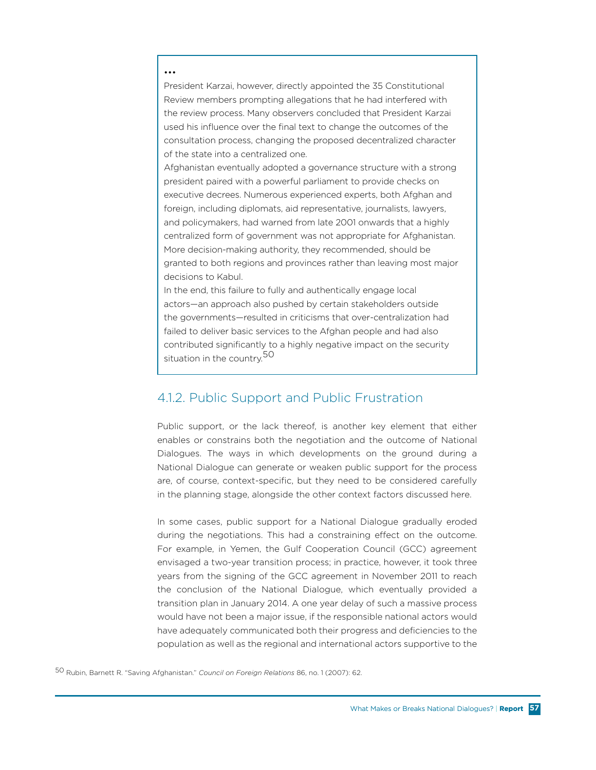#### •••

President Karzai, however, directly appointed the 35 Constitutional Review members prompting allegations that he had interfered with the review process. Many observers concluded that President Karzai used his influence over the final text to change the outcomes of the consultation process, changing the proposed decentralized character of the state into a centralized one.

Afghanistan eventually adopted a governance structure with a strong president paired with a powerful parliament to provide checks on executive decrees. Numerous experienced experts, both Afghan and foreign, including diplomats, aid representative, journalists, lawyers, and policymakers, had warned from late 2001 onwards that a highly centralized form of government was not appropriate for Afghanistan. More decision-making authority, they recommended, should be granted to both regions and provinces rather than leaving most major decisions to Kabul.

In the end, this failure to fully and authentically engage local actors—an approach also pushed by certain stakeholders outside the governments—resulted in criticisms that over-centralization had failed to deliver basic services to the Afghan people and had also contributed significantly to a highly negative impact on the security situation in the country.<sup>50</sup>

### 4.1.2. Public Support and Public Frustration

Public support, or the lack thereof, is another key element that either enables or constrains both the negotiation and the outcome of National Dialogues. The ways in which developments on the ground during a National Dialogue can generate or weaken public support for the process are, of course, context-specific, but they need to be considered carefully in the planning stage, alongside the other context factors discussed here.

In some cases, public support for a National Dialogue gradually eroded during the negotiations. This had a constraining effect on the outcome. For example, in Yemen, the Gulf Cooperation Council (GCC) agreement envisaged a two-year transition process; in practice, however, it took three years from the signing of the GCC agreement in November 2011 to reach the conclusion of the National Dialogue, which eventually provided a transition plan in January 2014. A one year delay of such a massive process would have not been a major issue, if the responsible national actors would have adequately communicated both their progress and deficiencies to the population as well as the regional and international actors supportive to the

50 Rubin, Barnett R. "Saving Afghanistan." *Council on Foreign Relations* 86, no. 1 (2007): 62.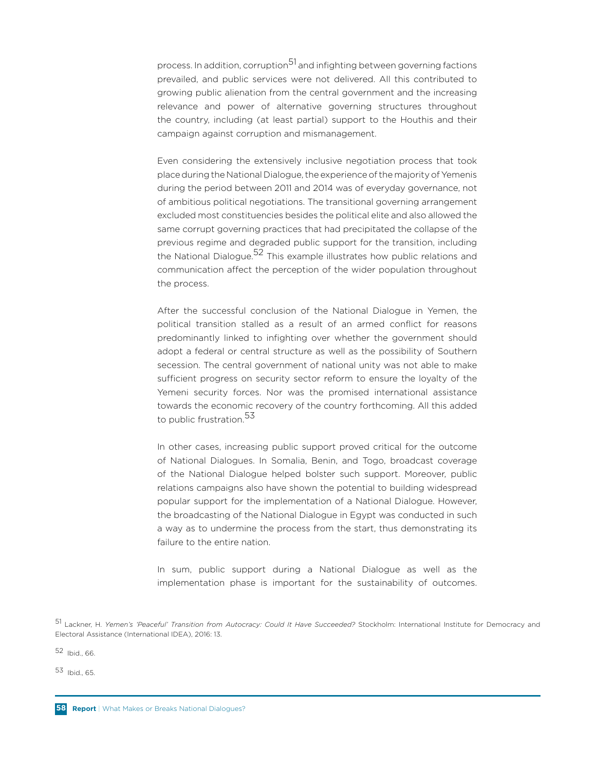process. In addition, corruption<sup>51</sup> and infighting between governing factions prevailed, and public services were not delivered. All this contributed to growing public alienation from the central government and the increasing relevance and power of alternative governing structures throughout the country, including (at least partial) support to the Houthis and their campaign against corruption and mismanagement.

Even considering the extensively inclusive negotiation process that took place during the National Dialogue, the experience of the majority of Yemenis during the period between 2011 and 2014 was of everyday governance, not of ambitious political negotiations. The transitional governing arrangement excluded most constituencies besides the political elite and also allowed the same corrupt governing practices that had precipitated the collapse of the previous regime and degraded public support for the transition, including the National Dialogue.<sup>52</sup> This example illustrates how public relations and communication affect the perception of the wider population throughout the process.

After the successful conclusion of the National Dialogue in Yemen, the political transition stalled as a result of an armed conflict for reasons predominantly linked to infighting over whether the government should adopt a federal or central structure as well as the possibility of Southern secession. The central government of national unity was not able to make sufficient progress on security sector reform to ensure the loyalty of the Yemeni security forces. Nor was the promised international assistance towards the economic recovery of the country forthcoming. All this added to public frustration.<sup>53</sup>

In other cases, increasing public support proved critical for the outcome of National Dialogues. In Somalia, Benin, and Togo, broadcast coverage of the National Dialogue helped bolster such support. Moreover, public relations campaigns also have shown the potential to building widespread popular support for the implementation of a National Dialogue. However, the broadcasting of the National Dialogue in Egypt was conducted in such a way as to undermine the process from the start, thus demonstrating its failure to the entire nation.

In sum, public support during a National Dialogue as well as the implementation phase is important for the sustainability of outcomes.

52 Ibid., 66.

53 Ibid., 65.

<sup>51</sup> Lackner, H. *Yemen's 'Peaceful' Transition from Autocracy: Could It Have Succeeded?* Stockholm: International Institute for Democracy and Electoral Assistance (International IDEA), 2016: 13.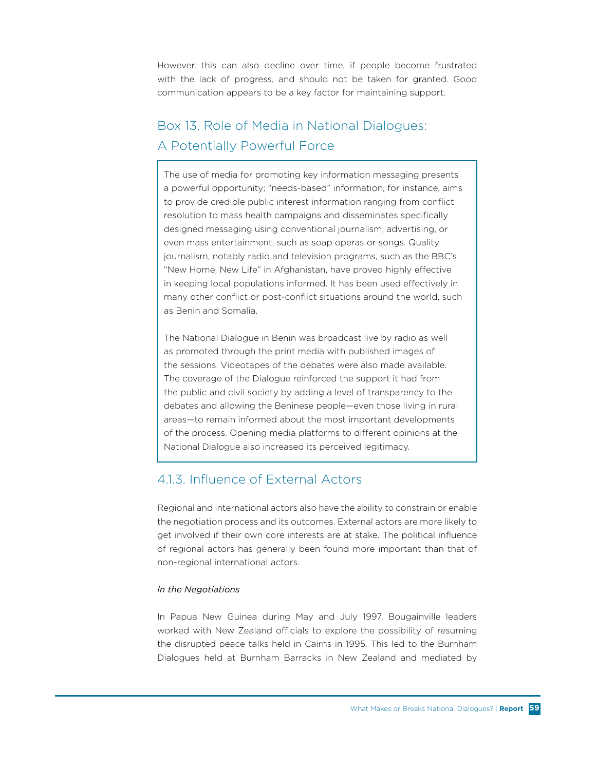However, this can also decline over time, if people become frustrated with the lack of progress, and should not be taken for granted. Good communication appears to be a key factor for maintaining support.

# Box 13. Role of Media in National Dialogues: A Potentially Powerful Force

The use of media for promoting key information messaging presents a powerful opportunity; "needs-based" information, for instance, aims to provide credible public interest information ranging from conflict resolution to mass health campaigns and disseminates specifically designed messaging using conventional journalism, advertising, or even mass entertainment, such as soap operas or songs. Quality journalism, notably radio and television programs, such as the BBC's "New Home, New Life" in Afghanistan, have proved highly effective in keeping local populations informed. It has been used effectively in many other conflict or post-conflict situations around the world, such as Benin and Somalia.

The National Dialogue in Benin was broadcast live by radio as well as promoted through the print media with published images of the sessions. Videotapes of the debates were also made available. The coverage of the Dialogue reinforced the support it had from the public and civil society by adding a level of transparency to the debates and allowing the Beninese people—even those living in rural areas—to remain informed about the most important developments of the process. Opening media platforms to different opinions at the National Dialogue also increased its perceived legitimacy.

## 4.1.3. Influence of External Actors

Regional and international actors also have the ability to constrain or enable the negotiation process and its outcomes. External actors are more likely to get involved if their own core interests are at stake. The political influence of regional actors has generally been found more important than that of non-regional international actors.

#### *In the Negotiations*

In Papua New Guinea during May and July 1997, Bougainville leaders worked with New Zealand officials to explore the possibility of resuming the disrupted peace talks held in Cairns in 1995. This led to the Burnham Dialogues held at Burnham Barracks in New Zealand and mediated by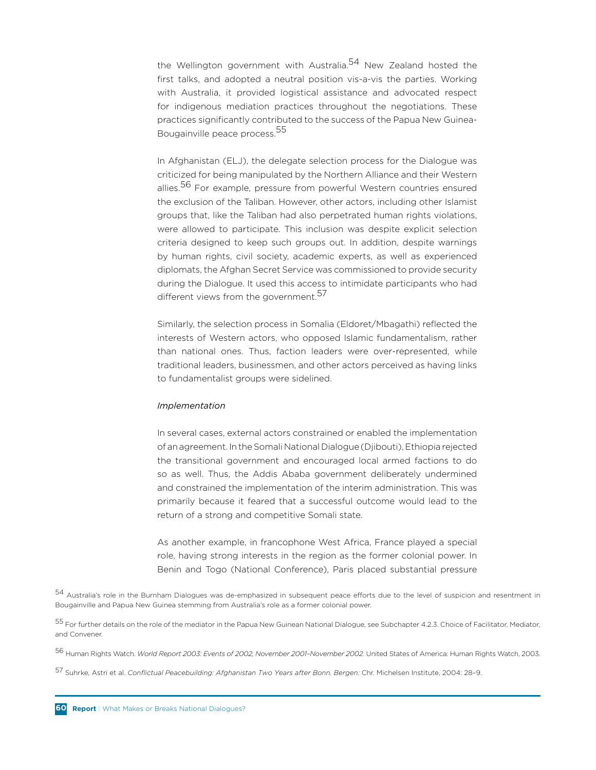the Wellington government with Australia.<sup>54</sup> New Zealand hosted the first talks, and adopted a neutral position vis-a-vis the parties. Working with Australia, it provided logistical assistance and advocated respect for indigenous mediation practices throughout the negotiations. These practices significantly contributed to the success of the Papua New Guinea-Bougainville peace process.<sup>55</sup>

In Afghanistan (ELJ), the delegate selection process for the Dialogue was criticized for being manipulated by the Northern Alliance and their Western allies.<sup>56</sup> For example, pressure from powerful Western countries ensured the exclusion of the Taliban. However, other actors, including other Islamist groups that, like the Taliban had also perpetrated human rights violations, were allowed to participate. This inclusion was despite explicit selection criteria designed to keep such groups out. In addition, despite warnings by human rights, civil society, academic experts, as well as experienced diplomats, the Afghan Secret Service was commissioned to provide security during the Dialogue. It used this access to intimidate participants who had different views from the government.<sup>57</sup>

Similarly, the selection process in Somalia (Eldoret/Mbagathi) reflected the interests of Western actors, who opposed Islamic fundamentalism, rather than national ones. Thus, faction leaders were over-represented, while traditional leaders, businessmen, and other actors perceived as having links to fundamentalist groups were sidelined.

#### *Implementation*

In several cases, external actors constrained or enabled the implementation of an agreement. In the Somali National Dialogue (Djibouti), Ethiopia rejected the transitional government and encouraged local armed factions to do so as well. Thus, the Addis Ababa government deliberately undermined and constrained the implementation of the interim administration. This was primarily because it feared that a successful outcome would lead to the return of a strong and competitive Somali state.

As another example, in francophone West Africa, France played a special role, having strong interests in the region as the former colonial power. In Benin and Togo (National Conference), Paris placed substantial pressure

54 Australia's role in the Burnham Dialogues was de-emphasized in subsequent peace efforts due to the level of suspicion and resentment in Bougainville and Papua New Guinea stemming from Australia's role as a former colonial power.

55 For further details on the role of the mediator in the Papua New Guinean National Dialogue, see Subchapter 4.2.3. Choice of Facilitator, Mediator, and Convener.

56 Human Rights Watch. *World Report 2003: Events of 2002, November 2001–November 2002.* United States of America: Human Rights Watch, 2003.

57 Suhrke, Astri et al. *Conflictual Peacebuilding: Afghanistan Two Years after Bonn. Bergen:* Chr. Michelsen Institute, 2004: 28–9.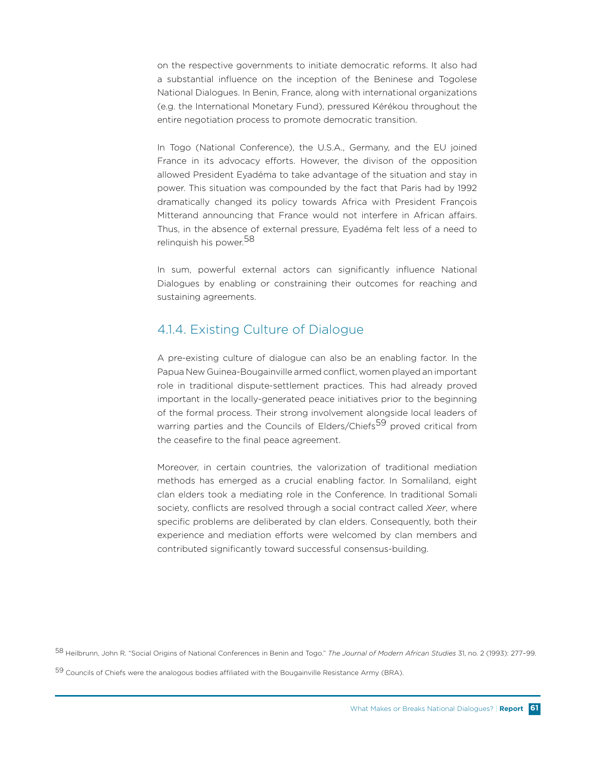on the respective governments to initiate democratic reforms. It also had a substantial influence on the inception of the Beninese and Togolese National Dialogues. In Benin, France, along with international organizations (e.g. the International Monetary Fund), pressured Kérékou throughout the entire negotiation process to promote democratic transition.

In Togo (National Conference), the U.S.A., Germany, and the EU joined France in its advocacy efforts. However, the divison of the opposition allowed President Eyadéma to take advantage of the situation and stay in power. This situation was compounded by the fact that Paris had by 1992 dramatically changed its policy towards Africa with President François Mitterand announcing that France would not interfere in African affairs. Thus, in the absence of external pressure, Eyadéma felt less of a need to relinquish his power.<sup>58</sup>

In sum, powerful external actors can significantly influence National Dialogues by enabling or constraining their outcomes for reaching and sustaining agreements.

## 4.1.4. Existing Culture of Dialogue

A pre-existing culture of dialogue can also be an enabling factor. In the Papua New Guinea-Bougainville armed conflict, women played an important role in traditional dispute-settlement practices. This had already proved important in the locally-generated peace initiatives prior to the beginning of the formal process. Their strong involvement alongside local leaders of warring parties and the Councils of Elders/Chiefs<sup>59</sup> proved critical from the ceasefire to the final peace agreement.

Moreover, in certain countries, the valorization of traditional mediation methods has emerged as a crucial enabling factor. In Somaliland, eight clan elders took a mediating role in the Conference. In traditional Somali society, conflicts are resolved through a social contract called *Xeer*, where specific problems are deliberated by clan elders. Consequently, both their experience and mediation efforts were welcomed by clan members and contributed significantly toward successful consensus-building.

58 Heilbrunn, John R. "Social Origins of National Conferences in Benin and Togo." *The Journal of Modern African Studies* 31, no. 2 (1993): 277–99.

59 Councils of Chiefs were the analogous bodies affiliated with the Bougainville Resistance Army (BRA).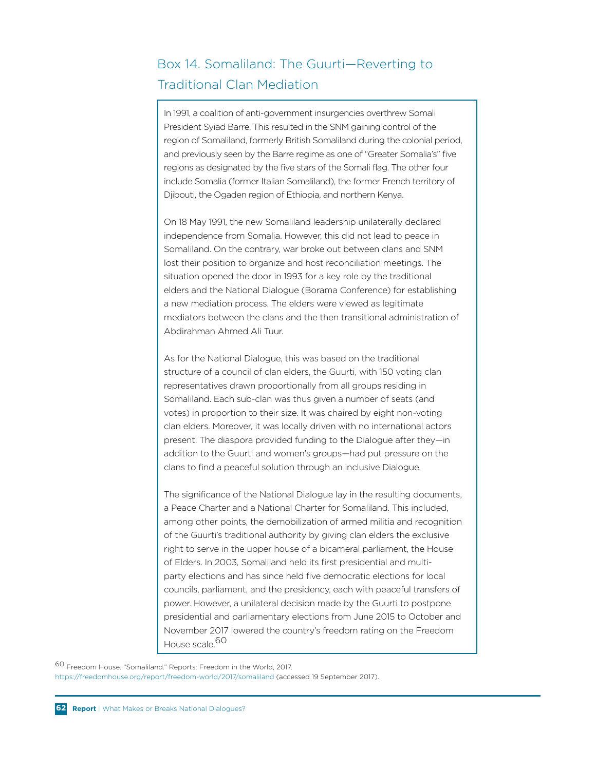# Box 14. Somaliland: The Guurti—Reverting to Traditional Clan Mediation

In 1991, a coalition of anti-government insurgencies overthrew Somali President Syiad Barre. This resulted in the SNM gaining control of the region of Somaliland, formerly British Somaliland during the colonial period, and previously seen by the Barre regime as one of "Greater Somalia's" five regions as designated by the five stars of the Somali flag. The other four include Somalia (former Italian Somaliland), the former French territory of Djibouti, the Ogaden region of Ethiopia, and northern Kenya.

On 18 May 1991, the new Somaliland leadership unilaterally declared independence from Somalia. However, this did not lead to peace in Somaliland. On the contrary, war broke out between clans and SNM lost their position to organize and host reconciliation meetings. The situation opened the door in 1993 for a key role by the traditional elders and the National Dialogue (Borama Conference) for establishing a new mediation process. The elders were viewed as legitimate mediators between the clans and the then transitional administration of Abdirahman Ahmed Ali Tuur.

As for the National Dialogue, this was based on the traditional structure of a council of clan elders, the Guurti, with 150 voting clan representatives drawn proportionally from all groups residing in Somaliland. Each sub-clan was thus given a number of seats (and votes) in proportion to their size. It was chaired by eight non-voting clan elders. Moreover, it was locally driven with no international actors present. The diaspora provided funding to the Dialogue after they—in addition to the Guurti and women's groups—had put pressure on the clans to find a peaceful solution through an inclusive Dialogue.

The significance of the National Dialogue lay in the resulting documents, a Peace Charter and a National Charter for Somaliland. This included, among other points, the demobilization of armed militia and recognition of the Guurti's traditional authority by giving clan elders the exclusive right to serve in the upper house of a bicameral parliament, the House of Elders. In 2003, Somaliland held its first presidential and multiparty elections and has since held five democratic elections for local councils, parliament, and the presidency, each with peaceful transfers of power. However, a unilateral decision made by the Guurti to postpone presidential and parliamentary elections from June 2015 to October and November 2017 lowered the country's freedom rating on the Freedom House scale.<sup>60</sup>

60 Freedom House. "Somaliland." Reports: Freedom in the World, 2017. https://freedomhouse.org/report/freedom-world/2017/somaliland (accessed 19 September 2017).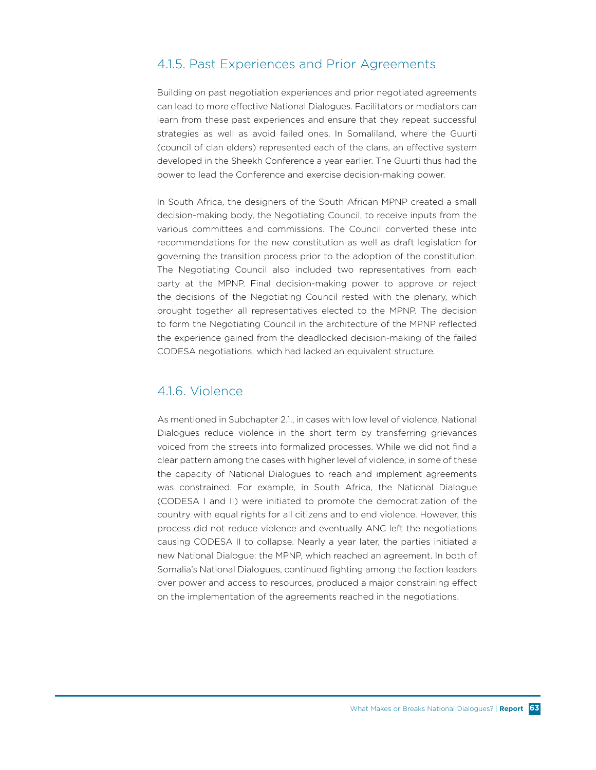### 4.1.5. Past Experiences and Prior Agreements

Building on past negotiation experiences and prior negotiated agreements can lead to more effective National Dialogues. Facilitators or mediators can learn from these past experiences and ensure that they repeat successful strategies as well as avoid failed ones. In Somaliland, where the Guurti (council of clan elders) represented each of the clans, an effective system developed in the Sheekh Conference a year earlier. The Guurti thus had the power to lead the Conference and exercise decision-making power.

In South Africa, the designers of the South African MPNP created a small decision-making body, the Negotiating Council, to receive inputs from the various committees and commissions. The Council converted these into recommendations for the new constitution as well as draft legislation for governing the transition process prior to the adoption of the constitution. The Negotiating Council also included two representatives from each party at the MPNP. Final decision-making power to approve or reject the decisions of the Negotiating Council rested with the plenary, which brought together all representatives elected to the MPNP. The decision to form the Negotiating Council in the architecture of the MPNP reflected the experience gained from the deadlocked decision-making of the failed CODESA negotiations, which had lacked an equivalent structure.

## 416 Violence

As mentioned in Subchapter 2.1., in cases with low level of violence, National Dialogues reduce violence in the short term by transferring grievances voiced from the streets into formalized processes. While we did not find a clear pattern among the cases with higher level of violence, in some of these the capacity of National Dialogues to reach and implement agreements was constrained. For example, in South Africa, the National Dialogue (CODESA I and II) were initiated to promote the democratization of the country with equal rights for all citizens and to end violence. However, this process did not reduce violence and eventually ANC left the negotiations causing CODESA II to collapse. Nearly a year later, the parties initiated a new National Dialogue: the MPNP, which reached an agreement. In both of Somalia's National Dialogues, continued fighting among the faction leaders over power and access to resources, produced a major constraining effect on the implementation of the agreements reached in the negotiations.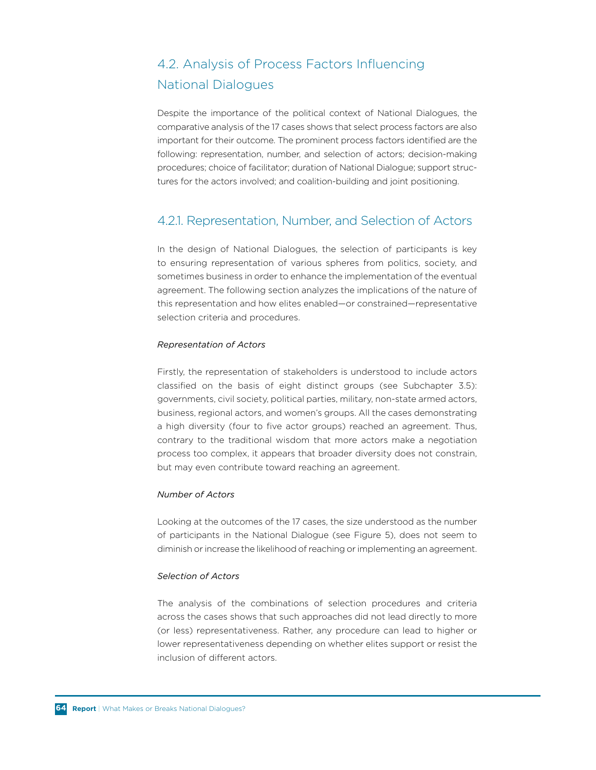# 4.2. Analysis of Process Factors Influencing National Dialogues

Despite the importance of the political context of National Dialogues, the comparative analysis of the 17 cases shows that select process factors are also important for their outcome. The prominent process factors identified are the following: representation, number, and selection of actors; decision-making procedures; choice of facilitator; duration of National Dialogue; support structures for the actors involved; and coalition-building and joint positioning.

## 4.2.1. Representation, Number, and Selection of Actors

In the design of National Dialogues, the selection of participants is key to ensuring representation of various spheres from politics, society, and sometimes business in order to enhance the implementation of the eventual agreement. The following section analyzes the implications of the nature of this representation and how elites enabled—or constrained—representative selection criteria and procedures.

#### *Representation of Actors*

Firstly, the representation of stakeholders is understood to include actors classified on the basis of eight distinct groups (see Subchapter 3.5): governments, civil society, political parties, military, non-state armed actors, business, regional actors, and women's groups. All the cases demonstrating a high diversity (four to five actor groups) reached an agreement. Thus, contrary to the traditional wisdom that more actors make a negotiation process too complex, it appears that broader diversity does not constrain, but may even contribute toward reaching an agreement.

#### *Number of Actors*

Looking at the outcomes of the 17 cases, the size understood as the number of participants in the National Dialogue (see Figure 5), does not seem to diminish or increase the likelihood of reaching or implementing an agreement.

#### *Selection of Actors*

The analysis of the combinations of selection procedures and criteria across the cases shows that such approaches did not lead directly to more (or less) representativeness. Rather, any procedure can lead to higher or lower representativeness depending on whether elites support or resist the inclusion of different actors.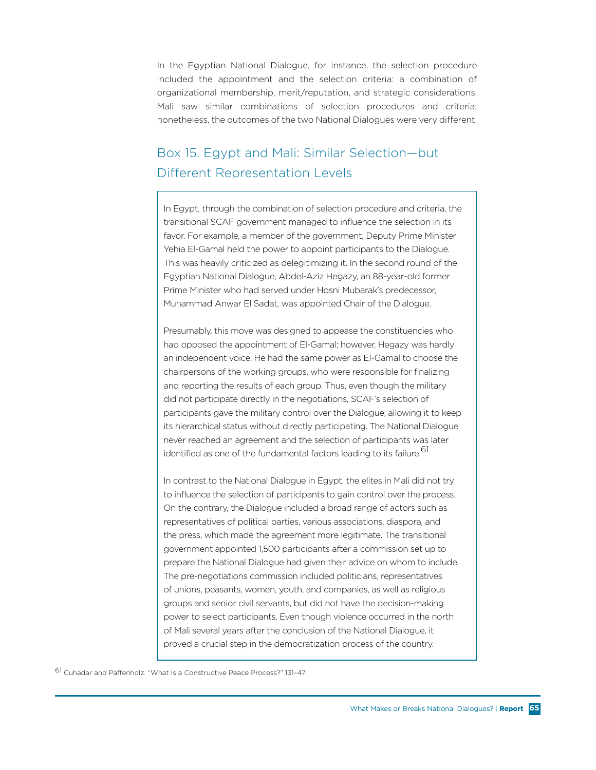In the Egyptian National Dialogue, for instance, the selection procedure included the appointment and the selection criteria: a combination of organizational membership, merit/reputation, and strategic considerations. Mali saw similar combinations of selection procedures and criteria; nonetheless, the outcomes of the two National Dialogues were very different.

# Box 15. Egypt and Mali: Similar Selection—but Different Representation Levels

In Egypt, through the combination of selection procedure and criteria, the transitional SCAF government managed to influence the selection in its favor. For example, a member of the government, Deputy Prime Minister Yehia El-Gamal held the power to appoint participants to the Dialogue. This was heavily criticized as delegitimizing it. In the second round of the Egyptian National Dialogue, Abdel-Aziz Hegazy, an 88-year-old former Prime Minister who had served under Hosni Mubarak's predecessor, Muhammad Anwar El Sadat, was appointed Chair of the Dialogue.

Presumably, this move was designed to appease the constituencies who had opposed the appointment of El-Gamal; however, Hegazy was hardly an independent voice. He had the same power as El-Gamal to choose the chairpersons of the working groups, who were responsible for finalizing and reporting the results of each group. Thus, even though the military did not participate directly in the negotiations, SCAF's selection of participants gave the military control over the Dialogue, allowing it to keep its hierarchical status without directly participating. The National Dialogue never reached an agreement and the selection of participants was later identified as one of the fundamental factors leading to its failure.<sup>61</sup>

In contrast to the National Dialogue in Egypt, the elites in Mali did not try to influence the selection of participants to gain control over the process. On the contrary, the Dialogue included a broad range of actors such as representatives of political parties, various associations, diaspora, and the press, which made the agreement more legitimate. The transitional government appointed 1,500 participants after a commission set up to prepare the National Dialogue had given their advice on whom to include. The pre-negotiations commission included politicians, representatives of unions, peasants, women, youth, and companies, as well as religious groups and senior civil servants, but did not have the decision-making power to select participants. Even though violence occurred in the north of Mali several years after the conclusion of the National Dialogue, it proved a crucial step in the democratization process of the country.

61 Cuhadar and Paffenholz. "What Is a Constructive Peace Process?" 131–47.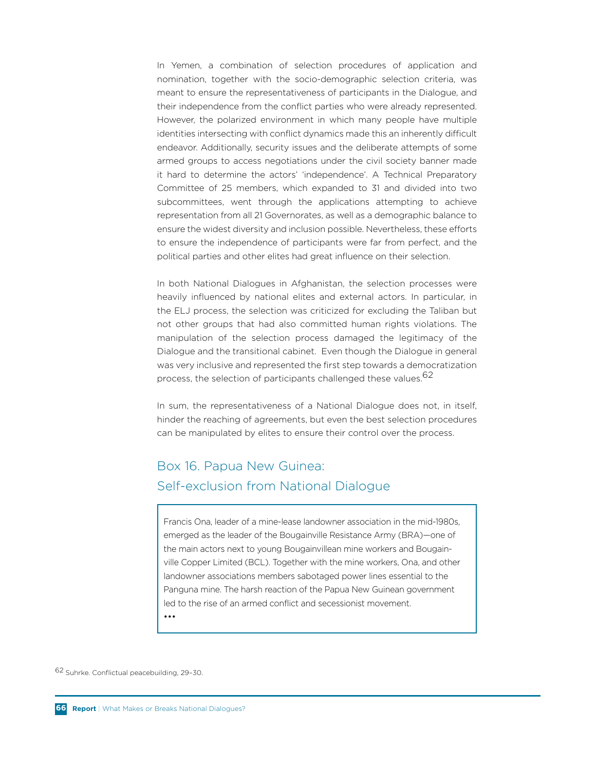In Yemen, a combination of selection procedures of application and nomination, together with the socio-demographic selection criteria, was meant to ensure the representativeness of participants in the Dialogue, and their independence from the conflict parties who were already represented. However, the polarized environment in which many people have multiple identities intersecting with conflict dynamics made this an inherently difficult endeavor. Additionally, security issues and the deliberate attempts of some armed groups to access negotiations under the civil society banner made it hard to determine the actors' 'independence'. A Technical Preparatory Committee of 25 members, which expanded to 31 and divided into two subcommittees, went through the applications attempting to achieve representation from all 21 Governorates, as well as a demographic balance to ensure the widest diversity and inclusion possible. Nevertheless, these efforts to ensure the independence of participants were far from perfect, and the political parties and other elites had great influence on their selection.

In both National Dialogues in Afghanistan, the selection processes were heavily influenced by national elites and external actors. In particular, in the ELJ process, the selection was criticized for excluding the Taliban but not other groups that had also committed human rights violations. The manipulation of the selection process damaged the legitimacy of the Dialogue and the transitional cabinet. Even though the Dialogue in general was very inclusive and represented the first step towards a democratization process, the selection of participants challenged these values. 62

In sum, the representativeness of a National Dialogue does not, in itself, hinder the reaching of agreements, but even the best selection procedures can be manipulated by elites to ensure their control over the process.

# Box 16. Papua New Guinea: Self-exclusion from National Dialogue

Francis Ona, leader of a mine-lease landowner association in the mid-1980s, emerged as the leader of the Bougainville Resistance Army (BRA)—one of the main actors next to young Bougainvillean mine workers and Bougainville Copper Limited (BCL). Together with the mine workers, Ona, and other landowner associations members sabotaged power lines essential to the Panguna mine. The harsh reaction of the Papua New Guinean government led to the rise of an armed conflict and secessionist movement.

•••

62 Suhrke. Conflictual peacebuilding, 29–30.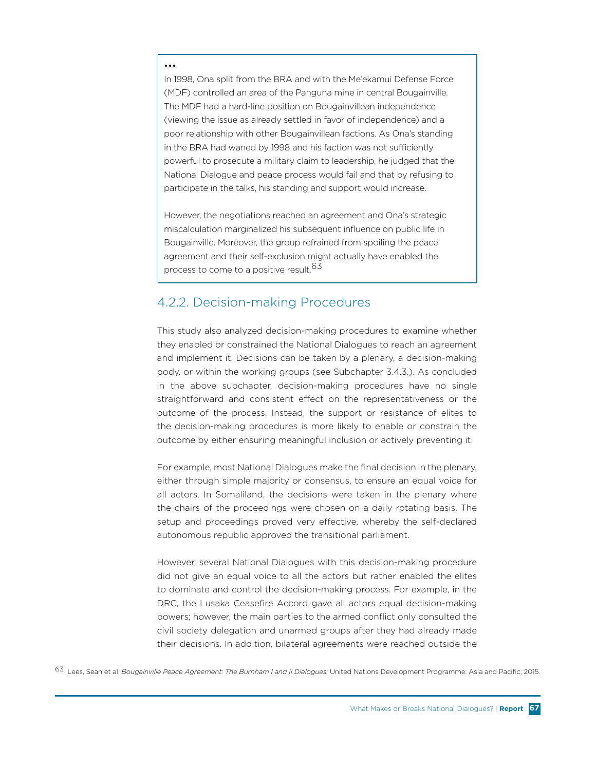#### •••

In 1998, Ona split from the BRA and with the Me'ekamui Defense Force (MDF) controlled an area of the Panguna mine in central Bougainville. The MDF had a hard-line position on Bougainvillean independence (viewing the issue as already settled in favor of independence) and a poor relationship with other Bougainvillean factions. As Ona's standing in the BRA had waned by 1998 and his faction was not sufficiently powerful to prosecute a military claim to leadership, he judged that the National Dialogue and peace process would fail and that by refusing to participate in the talks, his standing and support would increase.

However, the negotiations reached an agreement and Ona's strategic miscalculation marginalized his subsequent influence on public life in Bougainville. Moreover, the group refrained from spoiling the peace agreement and their self-exclusion might actually have enabled the process to come to a positive result.<sup>63</sup>

### 4.2.2. Decision-making Procedures

This study also analyzed decision-making procedures to examine whether they enabled or constrained the National Dialogues to reach an agreement and implement it. Decisions can be taken by a plenary, a decision-making body, or within the working groups (see Subchapter 3.4.3.). As concluded in the above subchapter, decision-making procedures have no single straightforward and consistent effect on the representativeness or the outcome of the process. Instead, the support or resistance of elites to the decision-making procedures is more likely to enable or constrain the outcome by either ensuring meaningful inclusion or actively preventing it.

For example, most National Dialogues make the final decision in the plenary, either through simple majority or consensus, to ensure an equal voice for all actors. In Somaliland, the decisions were taken in the plenary where the chairs of the proceedings were chosen on a daily rotating basis. The setup and proceedings proved very effective, whereby the self-declared autonomous republic approved the transitional parliament.

However, several National Dialogues with this decision-making procedure did not give an equal voice to all the actors but rather enabled the elites to dominate and control the decision-making process. For example, in the DRC, the Lusaka Ceasefire Accord gave all actors equal decision-making powers; however, the main parties to the armed conflict only consulted the civil society delegation and unarmed groups after they had already made their decisions. In addition, bilateral agreements were reached outside the

63 Lees, Sean et al. *Bougainville Peace Agreement: The Burnham I and II Dialogues.* United Nations Development Programme: Asia and Pacific, 2015.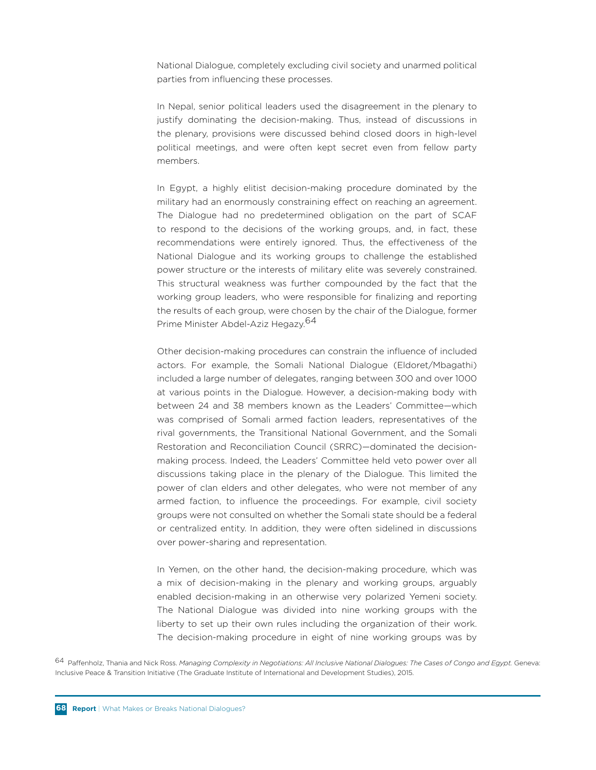National Dialogue, completely excluding civil society and unarmed political parties from influencing these processes.

In Nepal, senior political leaders used the disagreement in the plenary to justify dominating the decision-making. Thus, instead of discussions in the plenary, provisions were discussed behind closed doors in high-level political meetings, and were often kept secret even from fellow party members.

In Egypt, a highly elitist decision-making procedure dominated by the military had an enormously constraining effect on reaching an agreement. The Dialogue had no predetermined obligation on the part of SCAF to respond to the decisions of the working groups, and, in fact, these recommendations were entirely ignored. Thus, the effectiveness of the National Dialogue and its working groups to challenge the established power structure or the interests of military elite was severely constrained. This structural weakness was further compounded by the fact that the working group leaders, who were responsible for finalizing and reporting the results of each group, were chosen by the chair of the Dialogue, former Prime Minister Abdel-Aziz Hegazy.<sup>64</sup>

Other decision-making procedures can constrain the influence of included actors. For example, the Somali National Dialogue (Eldoret/Mbagathi) included a large number of delegates, ranging between 300 and over 1000 at various points in the Dialogue. However, a decision-making body with between 24 and 38 members known as the Leaders' Committee—which was comprised of Somali armed faction leaders, representatives of the rival governments, the Transitional National Government, and the Somali Restoration and Reconciliation Council (SRRC)—dominated the decisionmaking process. Indeed, the Leaders' Committee held veto power over all discussions taking place in the plenary of the Dialogue. This limited the power of clan elders and other delegates, who were not member of any armed faction, to influence the proceedings. For example, civil society groups were not consulted on whether the Somali state should be a federal or centralized entity. In addition, they were often sidelined in discussions over power-sharing and representation.

In Yemen, on the other hand, the decision-making procedure, which was a mix of decision-making in the plenary and working groups, arguably enabled decision-making in an otherwise very polarized Yemeni society. The National Dialogue was divided into nine working groups with the liberty to set up their own rules including the organization of their work. The decision-making procedure in eight of nine working groups was by

64 Paffenholz, Thania and Nick Ross. *Managing Complexity in Negotiations: All Inclusive National Dialogues: The Cases of Congo and Egypt.* Geneva: Inclusive Peace & Transition Initiative (The Graduate Institute of International and Development Studies), 2015.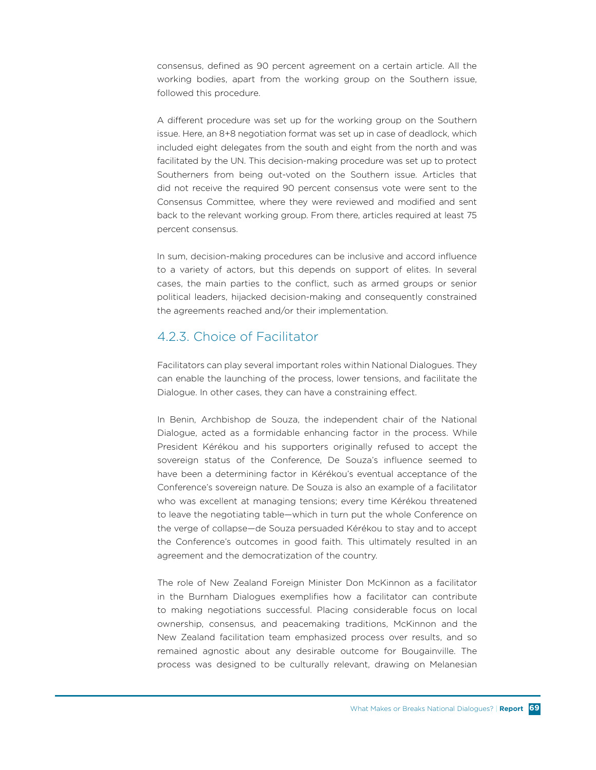consensus, defined as 90 percent agreement on a certain article. All the working bodies, apart from the working group on the Southern issue, followed this procedure.

A different procedure was set up for the working group on the Southern issue. Here, an 8+8 negotiation format was set up in case of deadlock, which included eight delegates from the south and eight from the north and was facilitated by the UN. This decision-making procedure was set up to protect Southerners from being out-voted on the Southern issue. Articles that did not receive the required 90 percent consensus vote were sent to the Consensus Committee, where they were reviewed and modified and sent back to the relevant working group. From there, articles required at least 75 percent consensus.

In sum, decision-making procedures can be inclusive and accord influence to a variety of actors, but this depends on support of elites. In several cases, the main parties to the conflict, such as armed groups or senior political leaders, hijacked decision-making and consequently constrained the agreements reached and/or their implementation.

## 4.2.3. Choice of Facilitator

Facilitators can play several important roles within National Dialogues. They can enable the launching of the process, lower tensions, and facilitate the Dialogue. In other cases, they can have a constraining effect.

In Benin, Archbishop de Souza, the independent chair of the National Dialogue, acted as a formidable enhancing factor in the process. While President Kérékou and his supporters originally refused to accept the sovereign status of the Conference, De Souza's influence seemed to have been a determining factor in Kérékou's eventual acceptance of the Conference's sovereign nature. De Souza is also an example of a facilitator who was excellent at managing tensions; every time Kérékou threatened to leave the negotiating table—which in turn put the whole Conference on the verge of collapse—de Souza persuaded Kérékou to stay and to accept the Conference's outcomes in good faith. This ultimately resulted in an agreement and the democratization of the country.

The role of New Zealand Foreign Minister Don McKinnon as a facilitator in the Burnham Dialogues exemplifies how a facilitator can contribute to making negotiations successful. Placing considerable focus on local ownership, consensus, and peacemaking traditions, McKinnon and the New Zealand facilitation team emphasized process over results, and so remained agnostic about any desirable outcome for Bougainville. The process was designed to be culturally relevant, drawing on Melanesian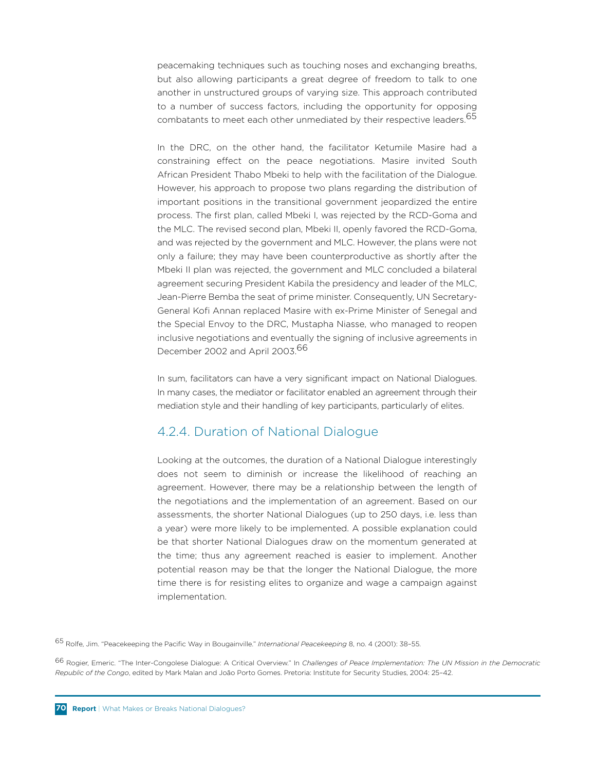peacemaking techniques such as touching noses and exchanging breaths, but also allowing participants a great degree of freedom to talk to one another in unstructured groups of varying size. This approach contributed to a number of success factors, including the opportunity for opposing combatants to meet each other unmediated by their respective leaders.<sup>65</sup>

In the DRC, on the other hand, the facilitator Ketumile Masire had a constraining effect on the peace negotiations. Masire invited South African President Thabo Mbeki to help with the facilitation of the Dialogue. However, his approach to propose two plans regarding the distribution of important positions in the transitional government jeopardized the entire process. The first plan, called Mbeki I, was rejected by the RCD-Goma and the MLC. The revised second plan, Mbeki II, openly favored the RCD-Goma, and was rejected by the government and MLC. However, the plans were not only a failure; they may have been counterproductive as shortly after the Mbeki II plan was rejected, the government and MLC concluded a bilateral agreement securing President Kabila the presidency and leader of the MLC, Jean-Pierre Bemba the seat of prime minister. Consequently, UN Secretary-General Kofi Annan replaced Masire with ex-Prime Minister of Senegal and the Special Envoy to the DRC, Mustapha Niasse, who managed to reopen inclusive negotiations and eventually the signing of inclusive agreements in December 2002 and April 2003.<sup>66</sup>

In sum, facilitators can have a very significant impact on National Dialogues. In many cases, the mediator or facilitator enabled an agreement through their mediation style and their handling of key participants, particularly of elites.

#### 4.2.4. Duration of National Dialogue

Looking at the outcomes, the duration of a National Dialogue interestingly does not seem to diminish or increase the likelihood of reaching an agreement. However, there may be a relationship between the length of the negotiations and the implementation of an agreement. Based on our assessments, the shorter National Dialogues (up to 250 days, i.e. less than a year) were more likely to be implemented. A possible explanation could be that shorter National Dialogues draw on the momentum generated at the time; thus any agreement reached is easier to implement. Another potential reason may be that the longer the National Dialogue, the more time there is for resisting elites to organize and wage a campaign against implementation.

65 Rolfe, Jim. "Peacekeeping the Pacific Way in Bougainville." *International Peacekeeping* 8, no. 4 (2001): 38–55.

66 Rogier, Emeric. "The Inter-Congolese Dialogue: A Critical Overview." In *Challenges of Peace Implementation: The UN Mission in the Democratic Republic of the Congo*, edited by Mark Malan and João Porto Gomes. Pretoria: Institute for Security Studies, 2004: 25–42.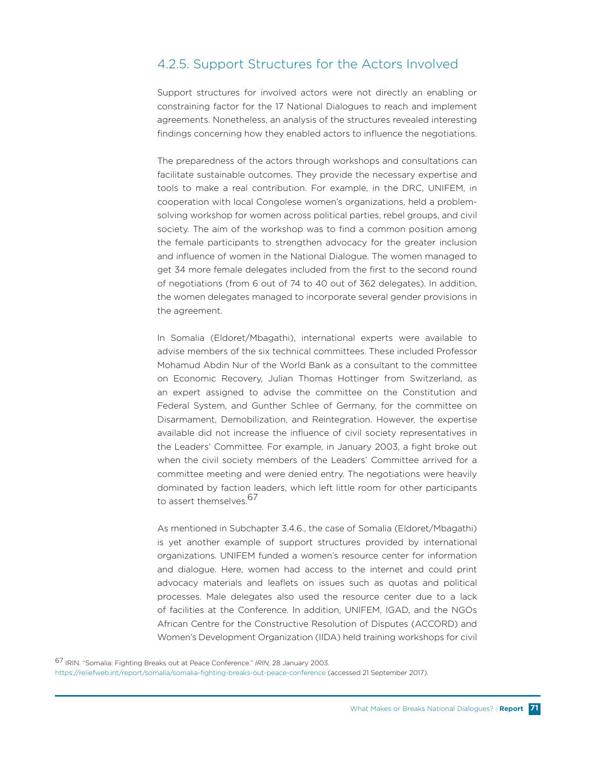## 4.2.5. Support Structures for the Actors Involved

Support structures for involved actors were not directly an enabling or constraining factor for the 17 National Dialogues to reach and implement agreements. Nonetheless, an analysis of the structures revealed interesting findings concerning how they enabled actors to influence the negotiations.

The preparedness of the actors through workshops and consultations can facilitate sustainable outcomes. They provide the necessary expertise and tools to make a real contribution. For example, in the DRC, UNIFEM, in cooperation with local Congolese women's organizations, held a problemsolving workshop for women across political parties, rebel groups, and civil society. The aim of the workshop was to find a common position among the female participants to strengthen advocacy for the greater inclusion and influence of women in the National Dialogue. The women managed to get 34 more female delegates included from the first to the second round of negotiations (from 6 out of 74 to 40 out of 362 delegates). In addition, the women delegates managed to incorporate several gender provisions in the agreement.

In Somalia (Eldoret/Mbagathi), international experts were available to advise members of the six technical committees. These included Professor Mohamud Abdin Nur of the World Bank as a consultant to the committee on Economic Recovery, Julian Thomas Hottinger from Switzerland, as an expert assigned to advise the committee on the Constitution and Federal System, and Gunther Schlee of Germany, for the committee on Disarmament, Demobilization, and Reintegration. However, the expertise available did not increase the influence of civil society representatives in the Leaders' Committee. For example, in January 2003, a fight broke out when the civil society members of the Leaders' Committee arrived for a committee meeting and were denied entry. The negotiations were heavily dominated by faction leaders, which left little room for other participants to assert themselves.<sup>67</sup>

As mentioned in Subchapter 3.4.6., the case of Somalia (Eldoret/Mbagathi) is yet another example of support structures provided by international organizations. UNIFEM funded a women's resource center for information and dialogue. Here, women had access to the internet and could print advocacy materials and leaflets on issues such as quotas and political processes. Male delegates also used the resource center due to a lack of facilities at the Conference. In addition, UNIFEM, IGAD, and the NGOs African Centre for the Constructive Resolution of Disputes (ACCORD) and Women's Development Organization (IIDA) held training workshops for civil

<sup>67</sup> IRIN. "Somalia: Fighting Breaks out at Peace Conference." *IRIN,* 28 January 2003.

https://reliefweb.int/report/somalia/somalia-fighting-breaks-out-peace-conference (accessed 21 September 2017).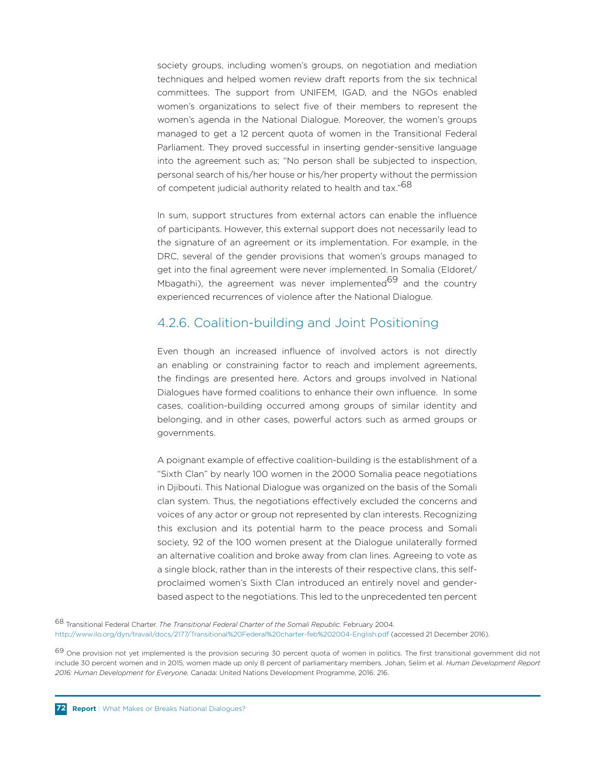society groups, including women's groups, on negotiation and mediation techniques and helped women review draft reports from the six technical committees. The support from UNIFEM, IGAD, and the NGOs enabled women's organizations to select five of their members to represent the women's agenda in the National Dialogue. Moreover, the women's groups managed to get a 12 percent quota of women in the Transitional Federal Parliament. They proved successful in inserting gender-sensitive language into the agreement such as; "No person shall be subjected to inspection, personal search of his/her house or his/her property without the permission of competent judicial authority related to health and tax."<sup>68</sup>

In sum, support structures from external actors can enable the influence of participants. However, this external support does not necessarily lead to the signature of an agreement or its implementation. For example, in the DRC, several of the gender provisions that women's groups managed to get into the final agreement were never implemented. In Somalia (Eldoret/ Mbagathi), the agreement was never implemented<sup>69</sup> and the country experienced recurrences of violence after the National Dialogue.

### 4.2.6. Coalition-building and Joint Positioning

Even though an increased influence of involved actors is not directly an enabling or constraining factor to reach and implement agreements, the findings are presented here. Actors and groups involved in National Dialogues have formed coalitions to enhance their own influence. In some cases, coalition-building occurred among groups of similar identity and belonging, and in other cases, powerful actors such as armed groups or governments.

A poignant example of effective coalition-building is the establishment of a "Sixth Clan" by nearly 100 women in the 2000 Somalia peace negotiations in Djibouti. This National Dialogue was organized on the basis of the Somali clan system. Thus, the negotiations effectively excluded the concerns and voices of any actor or group not represented by clan interests. Recognizing this exclusion and its potential harm to the peace process and Somali society, 92 of the 100 women present at the Dialogue unilaterally formed an alternative coalition and broke away from clan lines. Agreeing to vote as a single block, rather than in the interests of their respective clans, this selfproclaimed women's Sixth Clan introduced an entirely novel and genderbased aspect to the negotiations. This led to the unprecedented ten percent

68 Transitional Federal Charter. *The Transitional Federal Charter of the Somali Republic.* February 2004. http://www.ilo.org/dyn/travail/docs/2177/Transitional%20Federal%20charter-feb%202004-English.pdf (accessed 21 December 2016).

69 One provision not yet implemented is the provision securing 30 percent quota of women in politics. The first transitional government did not include 30 percent women and in 2015, women made up only 8 percent of parliamentary members. Johan, Selim et al. *Human Development Report 2016: Human Development for Everyone.* Canada: United Nations Development Programme, 2016: 216.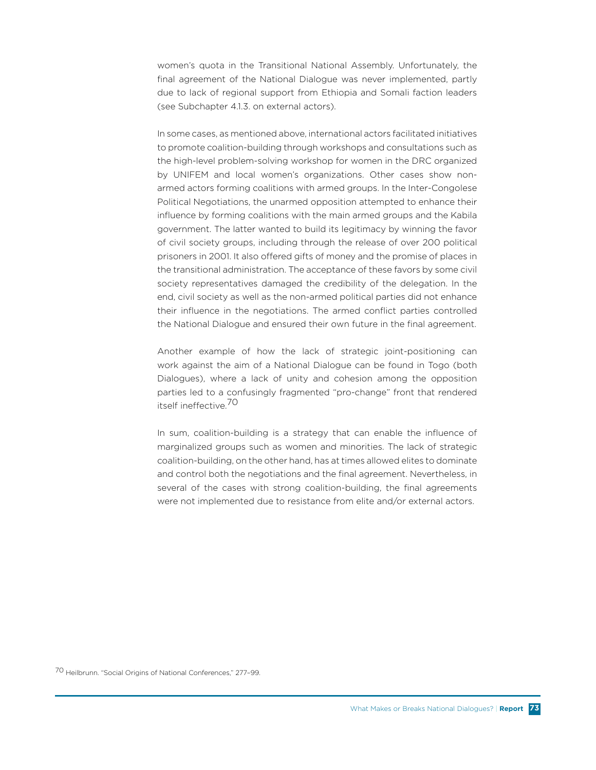women's quota in the Transitional National Assembly. Unfortunately, the final agreement of the National Dialogue was never implemented, partly due to lack of regional support from Ethiopia and Somali faction leaders (see Subchapter 4.1.3. on external actors).

In some cases, as mentioned above, international actors facilitated initiatives to promote coalition-building through workshops and consultations such as the high-level problem-solving workshop for women in the DRC organized by UNIFEM and local women's organizations. Other cases show nonarmed actors forming coalitions with armed groups. In the Inter-Congolese Political Negotiations, the unarmed opposition attempted to enhance their influence by forming coalitions with the main armed groups and the Kabila government. The latter wanted to build its legitimacy by winning the favor of civil society groups, including through the release of over 200 political prisoners in 2001. It also offered gifts of money and the promise of places in the transitional administration. The acceptance of these favors by some civil society representatives damaged the credibility of the delegation. In the end, civil society as well as the non-armed political parties did not enhance their influence in the negotiations. The armed conflict parties controlled the National Dialogue and ensured their own future in the final agreement.

Another example of how the lack of strategic joint-positioning can work against the aim of a National Dialogue can be found in Togo (both Dialogues), where a lack of unity and cohesion among the opposition parties led to a confusingly fragmented "pro-change" front that rendered itself ineffective.<sup>70</sup>

In sum, coalition-building is a strategy that can enable the influence of marginalized groups such as women and minorities. The lack of strategic coalition-building, on the other hand, has at times allowed elites to dominate and control both the negotiations and the final agreement. Nevertheless, in several of the cases with strong coalition-building, the final agreements were not implemented due to resistance from elite and/or external actors.

70 Heilbrunn. "Social Origins of National Conferences," 277–99.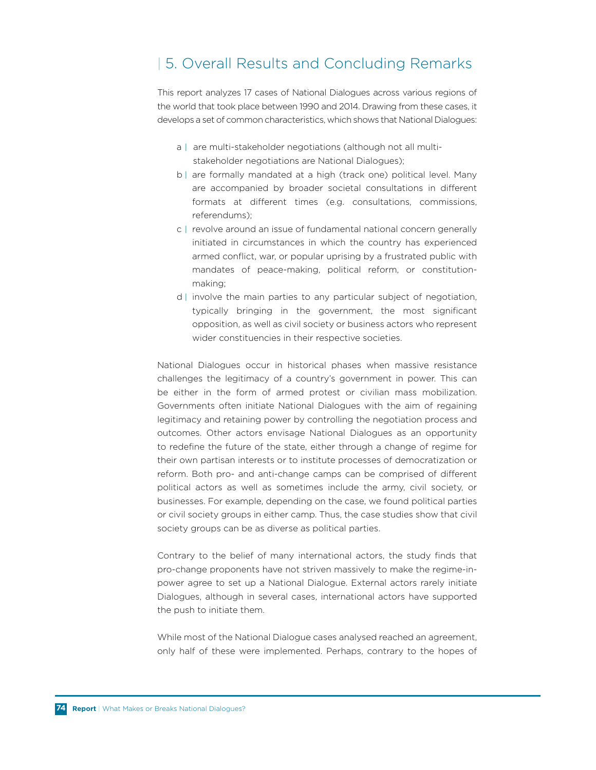## | 5. Overall Results and Concluding Remarks

This report analyzes 17 cases of National Dialogues across various regions of the world that took place between 1990 and 2014. Drawing from these cases, it develops a set of common characteristics, which shows that National Dialogues:

- a **|** are multi-stakeholder negotiations (although not all multi stakeholder negotiations are National Dialogues);
- b **|** are formally mandated at a high (track one) political level. Many are accompanied by broader societal consultations in different formats at different times (e.g. consultations, commissions, referendums);
- c **|** revolve around an issue of fundamental national concern generally initiated in circumstances in which the country has experienced armed conflict, war, or popular uprising by a frustrated public with mandates of peace-making, political reform, or constitution making;
- d **|** involve the main parties to any particular subject of negotiation, typically bringing in the government, the most significant opposition, as well as civil society or business actors who represent wider constituencies in their respective societies.

National Dialogues occur in historical phases when massive resistance challenges the legitimacy of a country's government in power. This can be either in the form of armed protest or civilian mass mobilization. Governments often initiate National Dialogues with the aim of regaining legitimacy and retaining power by controlling the negotiation process and outcomes. Other actors envisage National Dialogues as an opportunity to redefine the future of the state, either through a change of regime for their own partisan interests or to institute processes of democratization or reform. Both pro- and anti-change camps can be comprised of different political actors as well as sometimes include the army, civil society, or businesses. For example, depending on the case, we found political parties or civil society groups in either camp. Thus, the case studies show that civil society groups can be as diverse as political parties.

Contrary to the belief of many international actors, the study finds that pro-change proponents have not striven massively to make the regime-inpower agree to set up a National Dialogue. External actors rarely initiate Dialogues, although in several cases, international actors have supported the push to initiate them.

While most of the National Dialogue cases analysed reached an agreement, only half of these were implemented. Perhaps, contrary to the hopes of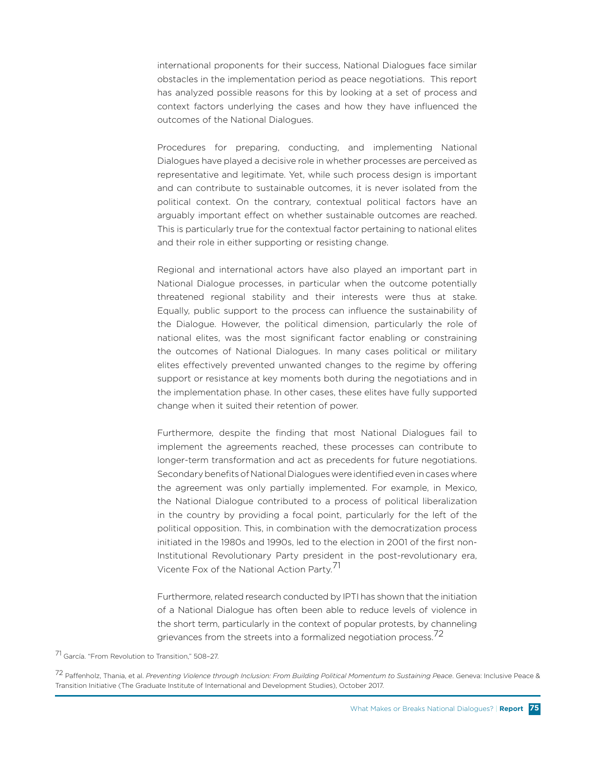international proponents for their success, National Dialogues face similar obstacles in the implementation period as peace negotiations. This report has analyzed possible reasons for this by looking at a set of process and context factors underlying the cases and how they have influenced the outcomes of the National Dialogues.

Procedures for preparing, conducting, and implementing National Dialogues have played a decisive role in whether processes are perceived as representative and legitimate. Yet, while such process design is important and can contribute to sustainable outcomes, it is never isolated from the political context. On the contrary, contextual political factors have an arguably important effect on whether sustainable outcomes are reached. This is particularly true for the contextual factor pertaining to national elites and their role in either supporting or resisting change.

Regional and international actors have also played an important part in National Dialogue processes, in particular when the outcome potentially threatened regional stability and their interests were thus at stake. Equally, public support to the process can influence the sustainability of the Dialogue. However, the political dimension, particularly the role of national elites, was the most significant factor enabling or constraining the outcomes of National Dialogues. In many cases political or military elites effectively prevented unwanted changes to the regime by offering support or resistance at key moments both during the negotiations and in the implementation phase. In other cases, these elites have fully supported change when it suited their retention of power.

Furthermore, despite the finding that most National Dialogues fail to implement the agreements reached, these processes can contribute to longer-term transformation and act as precedents for future negotiations. Secondary benefits of National Dialogues were identified even in cases where the agreement was only partially implemented. For example, in Mexico, the National Dialogue contributed to a process of political liberalization in the country by providing a focal point, particularly for the left of the political opposition. This, in combination with the democratization process initiated in the 1980s and 1990s, led to the election in 2001 of the first non-Institutional Revolutionary Party president in the post-revolutionary era, Vicente Fox of the National Action Party.<sup>71</sup>

Furthermore, related research conducted by IPTI has shown that the initiation of a National Dialogue has often been able to reduce levels of violence in the short term, particularly in the context of popular protests, by channeling grievances from the streets into a formalized negotiation process.<sup>72</sup>

71 García. "From Revolution to Transition," 508–27.

72 Paffenholz, Thania, et al. *Preventing Violence through Inclusion: From Building Political Momentum to Sustaining Peace*. Geneva: Inclusive Peace & Transition Initiative (The Graduate Institute of International and Development Studies), October 2017.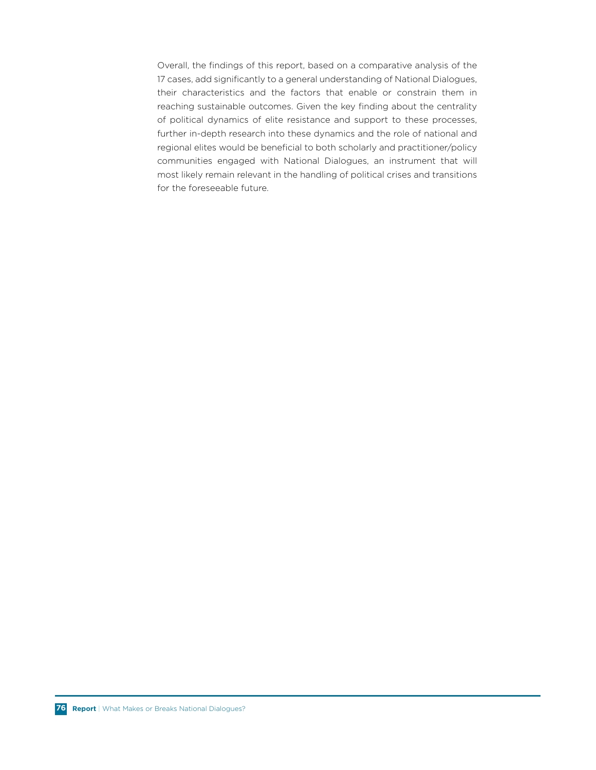Overall, the findings of this report, based on a comparative analysis of the 17 cases, add significantly to a general understanding of National Dialogues, their characteristics and the factors that enable or constrain them in reaching sustainable outcomes. Given the key finding about the centrality of political dynamics of elite resistance and support to these processes, further in-depth research into these dynamics and the role of national and regional elites would be beneficial to both scholarly and practitioner/policy communities engaged with National Dialogues, an instrument that will most likely remain relevant in the handling of political crises and transitions for the foreseeable future.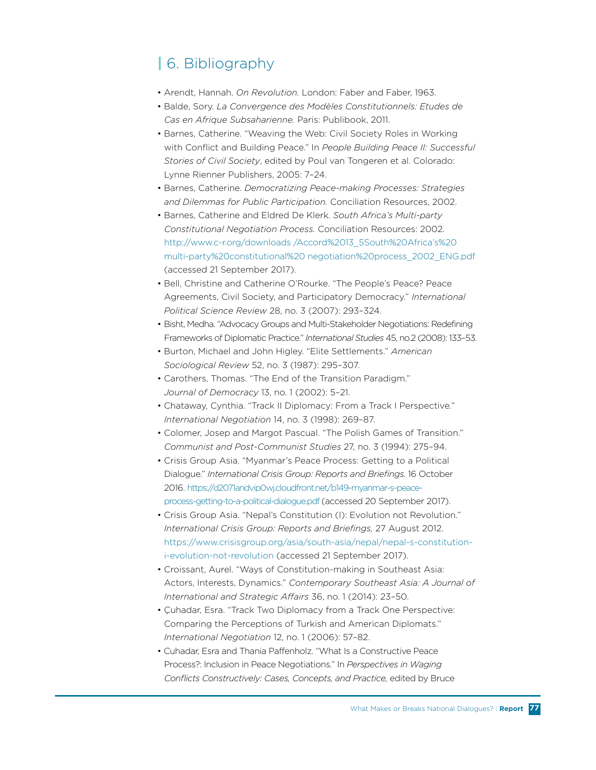# **|** 6. Bibliography

- Arendt, Hannah. *On Revolution.* London: Faber and Faber, 1963.
- Balde, Sory. *La Convergence des Modèles Constitutionnels: Etudes de Cas en Afrique Subsaharienne.* Paris: Publibook, 2011.
- Barnes, Catherine. "Weaving the Web: Civil Society Roles in Working with Conflict and Building Peace." In *People Building Peace II: Successful Stories of Civil Society*, edited by Poul van Tongeren et al. Colorado: Lynne Rienner Publishers, 2005: 7–24.
- Barnes, Catherine. *Democratizing Peace-making Processes: Strategies and Dilemmas for Public Participation.* Conciliation Resources, 2002.
- Barnes, Catherine and Eldred De Klerk. *South Africa's Multi-party Constitutional Negotiation Process.* Conciliation Resources: 2002. http://www.c-r.org/downloads /Accord%2013\_5South%20Africa's%20 multi-party%20constitutional%20 negotiation%20process\_2002\_ENG.pdf (accessed 21 September 2017).
- Bell, Christine and Catherine O'Rourke. "The People's Peace? Peace Agreements, Civil Society, and Participatory Democracy." *International Political Science Review* 28, no. 3 (2007): 293–324.
- Bisht, Medha. "Advocacy Groups and Multi-Stakeholder Negotiations: Redefining Frameworks of Diplomatic Practice." *International Studies* 45, no.2 (2008): 133–53.
- Burton, Michael and John Higley. "Elite Settlements." *American Sociological Review* 52, no. 3 (1987): 295–307.
- Carothers, Thomas. "The End of the Transition Paradigm." *Journal of Democracy* 13, no. 1 (2002): 5–21.
- Chataway, Cynthia. "Track II Diplomacy: From a Track I Perspective." *International Negotiation* 14, no. 3 (1998): 269–87.
- Colomer, Josep and Margot Pascual. "The Polish Games of Transition." *Communist and Post-Communist Studies* 27, no. 3 (1994): 275–94.
- Crisis Group Asia. "Myanmar's Peace Process: Getting to a Political Dialogue." *International Crisis Group: Reports and Briefings.* 16 October 2016. https://d2071andvip0wj.cloudfront.net/b149-myanmar-s-peaceprocess-getting-to-a-political-dialogue.pdf (accessed 20 September 2017).
- Crisis Group Asia. "Nepal's Constitution (I): Evolution not Revolution." *International Crisis Group: Reports and Briefings,* 27 August 2012. https://www.crisisgroup.org/asia/south-asia/nepal/nepal-s-constitutioni-evolution-not-revolution (accessed 21 September 2017).
- Croissant, Aurel. "Ways of Constitution-making in Southeast Asia: Actors, Interests, Dynamics." *Contemporary Southeast Asia: A Journal of International and Strategic Affairs* 36, no. 1 (2014): 23–50.
- Çuhadar, Esra. "Track Two Diplomacy from a Track One Perspective: Comparing the Perceptions of Turkish and American Diplomats." *International Negotiation* 12, no. 1 (2006): 57–82.
- Cuhadar, Esra and Thania Paffenholz. "What Is a Constructive Peace Process?: Inclusion in Peace Negotiations." In *Perspectives in Waging* Conflicts Constructively: Cases, Concepts, and Practice, edited by Bruce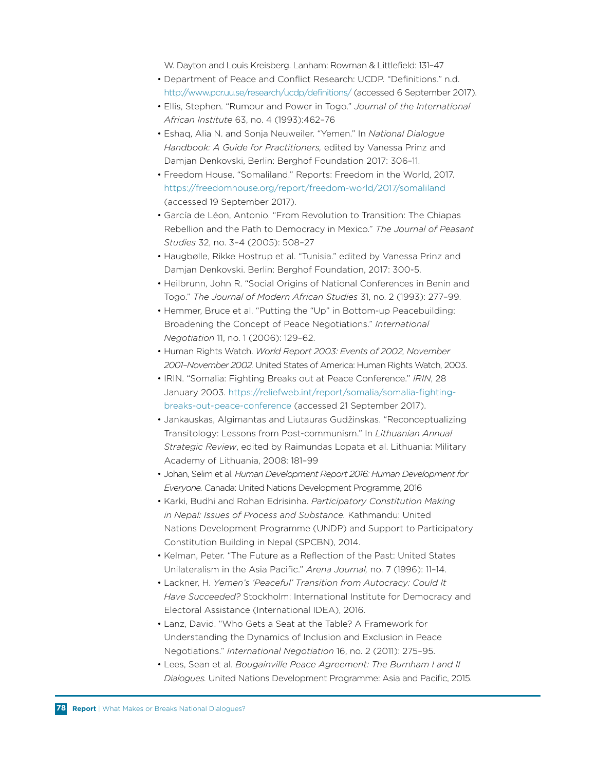W. Dayton and Louis Kreisberg. Lanham: Rowman & Littlefield: 131–47

- Department of Peace and Conflict Research: UCDP. "Definitions." n.d. http://www.pcr.uu.se/research/ucdp/definitions/ (accessed 6 September 2017).
- Ellis, Stephen. "Rumour and Power in Togo." *Journal of the International African Institute* 63, no. 4 (1993):462–76
- Eshaq, Alia N. and Sonja Neuweiler. "Yemen." In *National Dialogue Handbook: A Guide for Practitioners,* edited by Vanessa Prinz and Damjan Denkovski, Berlin: Berghof Foundation 2017: 306–11.
- Freedom House. "Somaliland." Reports: Freedom in the World, 2017. https://freedomhouse.org/report/freedom-world/2017/somaliland (accessed 19 September 2017).
- García de Léon, Antonio. "From Revolution to Transition: The Chiapas Rebellion and the Path to Democracy in Mexico." *The Journal of Peasant Studies* 32, no. 3–4 (2005): 508–27
- Haugbølle, Rikke Hostrup et al. "Tunisia." edited by Vanessa Prinz and Damjan Denkovski. Berlin: Berghof Foundation, 2017: 300-5.
- Heilbrunn, John R. "Social Origins of National Conferences in Benin and Togo." *The Journal of Modern African Studies* 31, no. 2 (1993): 277–99.
- Hemmer, Bruce et al. "Putting the "Up" in Bottom-up Peacebuilding: Broadening the Concept of Peace Negotiations." *International Negotiation* 11, no. 1 (2006): 129–62.
- Human Rights Watch. *World Report 2003: Events of 2002, November 2001–November 2002.* United States of America: Human Rights Watch, 2003.
- IRIN. "Somalia: Fighting Breaks out at Peace Conference." *IRIN*, 28 January 2003. https://reliefweb.int/report/somalia/somalia-fightingbreaks-out-peace-conference (accessed 21 September 2017).
- Jankauskas, Algimantas and Liutauras Gudžinskas. "Reconceptualizing Transitology: Lessons from Post-communism." In *Lithuanian Annual Strategic Review*, edited by Raimundas Lopata et al. Lithuania: Military Academy of Lithuania, 2008: 181–99
- Johan, Selim et al. *Human Development Report 2016: Human Development for Everyone.* Canada: United Nations Development Programme, 2016
- Karki, Budhi and Rohan Edrisinha. *Participatory Constitution Making in Nepal: Issues of Process and Substance.* Kathmandu: United Nations Development Programme (UNDP) and Support to Participatory Constitution Building in Nepal (SPCBN), 2014.
- Kelman, Peter. "The Future as a Reflection of the Past: United States Unilateralism in the Asia Pacific." *Arena Journal,* no. 7 (1996): 11–14.
- Lackner, H. *Yemen's 'Peaceful' Transition from Autocracy: Could It Have Succeeded?* Stockholm: International Institute for Democracy and Electoral Assistance (International IDEA), 2016.
- Lanz, David. "Who Gets a Seat at the Table? A Framework for Understanding the Dynamics of Inclusion and Exclusion in Peace Negotiations." *International Negotiation* 16, no. 2 (2011): 275–95.
- Lees, Sean et al. *Bougainville Peace Agreement: The Burnham I and II Dialogues.* United Nations Development Programme: Asia and Pacific, 2015.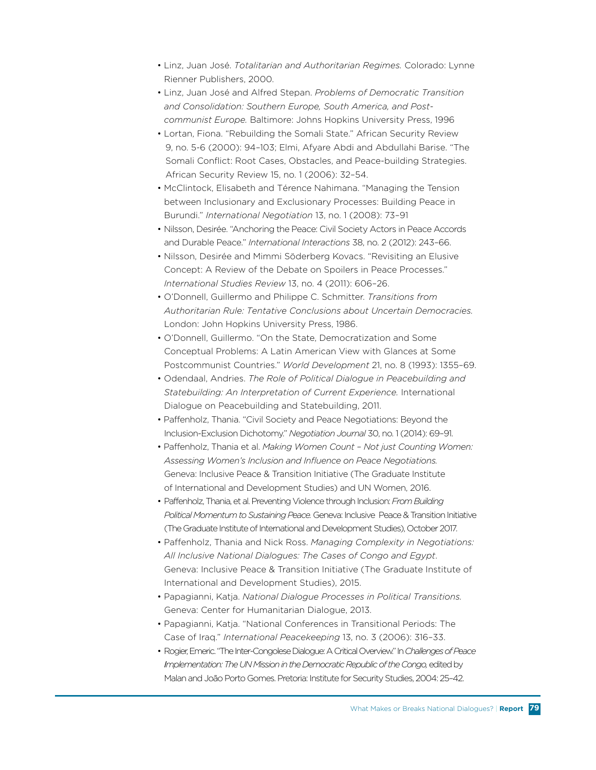- Linz, Juan José. *Totalitarian and Authoritarian Regimes.* Colorado: Lynne Rienner Publishers, 2000.
- Linz, Juan José and Alfred Stepan. *Problems of Democratic Transition and Consolidation: Southern Europe, South America, and Postcommunist Europe.* Baltimore: Johns Hopkins University Press, 1996
- Lortan, Fiona. "Rebuilding the Somali State." African Security Review 9, no. 5-6 (2000): 94–103; Elmi, Afyare Abdi and Abdullahi Barise. "The Somali Conflict: Root Cases, Obstacles, and Peace-building Strategies. African Security Review 15, no. 1 (2006): 32–54.
- McClintock, Elisabeth and Térence Nahimana. "Managing the Tension between Inclusionary and Exclusionary Processes: Building Peace in Burundi." *International Negotiation* 13, no. 1 (2008): 73–91
- Nilsson, Desirée. "Anchoring the Peace: Civil Society Actors in Peace Accords and Durable Peace." *International Interactions* 38, no. 2 (2012): 243–66.
- Nilsson, Desirée and Mimmi Söderberg Kovacs. "Revisiting an Elusive Concept: A Review of the Debate on Spoilers in Peace Processes." *International Studies Review* 13, no. 4 (2011): 606–26.
- O'Donnell, Guillermo and Philippe C. Schmitter. *Transitions from Authoritarian Rule: Tentative Conclusions about Uncertain Democracies.* London: John Hopkins University Press, 1986.
- O'Donnell, Guillermo. "On the State, Democratization and Some Conceptual Problems: A Latin American View with Glances at Some Postcommunist Countries." *World Development* 21, no. 8 (1993): 1355–69.
- Odendaal, Andries. *The Role of Political Dialogue in Peacebuilding and Statebuilding: An Interpretation of Current Experience.* International Dialogue on Peacebuilding and Statebuilding, 2011.
- Paffenholz, Thania. "Civil Society and Peace Negotiations: Beyond the Inclusion-Exclusion Dichotomy." *Negotiation Journal* 30, no. 1 (2014): 69–91.
- Paffenholz, Thania et al. *Making Women Count Not just Counting Women: Assessing Women's Inclusion and Influence on Peace Negotiations.* Geneva: Inclusive Peace & Transition Initiative (The Graduate Institute of International and Development Studies) and UN Women, 2016.
- Paffenholz, Thania, et al. Preventing Violence through Inclusion: *From Building Political Momentum to Sustaining Peace.* Geneva: Inclusive Peace & Transition Initiative (The Graduate Institute of International and Development Studies), October 2017*.*
- Paffenholz, Thania and Nick Ross. *Managing Complexity in Negotiations: All Inclusive National Dialogues: The Cases of Congo and Egypt*. Geneva: Inclusive Peace & Transition Initiative (The Graduate Institute of International and Development Studies), 2015.
- Papagianni, Katja. *National Dialogue Processes in Political Transitions.* Geneva: Center for Humanitarian Dialogue, 2013.
- Papagianni, Katja. "National Conferences in Transitional Periods: The Case of Iraq." *International Peacekeeping* 13, no. 3 (2006): 316–33.
- Rogier, Emeric. "The Inter-Congolese Dialogue: A Critical Overview." In *Challenges of Peace Implementation: The UN Mission in the Democratic Republic of the Congo,* edited by Malan and João Porto Gomes. Pretoria: Institute for Security Studies, 2004: 25–42.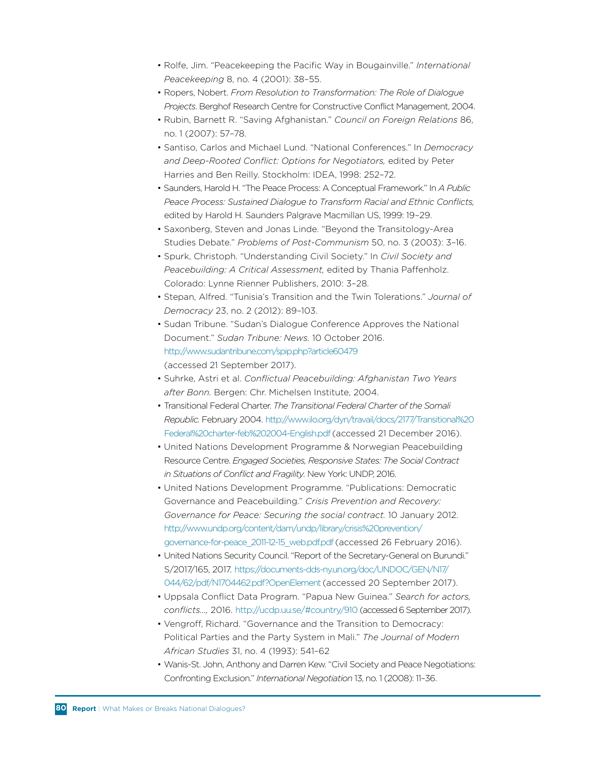- Rolfe, Jim. "Peacekeeping the Pacific Way in Bougainville." *International Peacekeeping* 8, no. 4 (2001): 38–55.
- Ropers, Nobert. *From Resolution to Transformation: The Role of Dialogue Projects*. Berghof Research Centre for Constructive Conflict Management, 2004.
- Rubin, Barnett R. "Saving Afghanistan." *Council on Foreign Relations* 86, no. 1 (2007): 57–78.
- Santiso, Carlos and Michael Lund. "National Conferences." In *Democracy and Deep-Rooted Conflict: Options for Negotiators,* edited by Peter Harries and Ben Reilly. Stockholm: IDEA, 1998: 252–72.
- Saunders, Harold H. "The Peace Process: A Conceptual Framework." In *A Public Peace Process: Sustained Dialogue to Transform Racial and Ethnic Conflicts,* edited by Harold H. Saunders Palgrave Macmillan US, 1999: 19–29.
- Saxonberg, Steven and Jonas Linde. "Beyond the Transitology-Area Studies Debate." *Problems of Post-Communism* 50, no. 3 (2003): 3–16.
- Spurk, Christoph. "Understanding Civil Society." In *Civil Society and Peacebuilding: A Critical Assessment,* edited by Thania Paffenholz. Colorado: Lynne Rienner Publishers, 2010: 3–28.
- Stepan, Alfred. "Tunisia's Transition and the Twin Tolerations." *Journal of Democracy* 23, no. 2 (2012): 89–103.
- Sudan Tribune. "Sudan's Dialogue Conference Approves the National Document." *Sudan Tribune: News.* 10 October 2016. http://www.sudantribune.com/spip.php?article60479 (accessed 21 September 2017).
- Suhrke, Astri et al. *Conflictual Peacebuilding: Afghanistan Two Years after Bonn.* Bergen: Chr. Michelsen Institute, 2004.
- Transitional Federal Charter. *The Transitional Federal Charter of the Somali Republic.* February 2004. http://www.ilo.org/dyn/travail/docs/2177/Transitional%20 Federal%20charter-feb%202004-English.pdf (accessed 21 December 2016).
- United Nations Development Programme & Norwegian Peacebuilding Resource Centre. *Engaged Societies, Responsive States: The Social Contract in Situations of Conflict and Fragility.* New York: UNDP, 2016.
- United Nations Development Programme. "Publications: Democratic Governance and Peacebuilding." *Crisis Prevention and Recovery: Governance for Peace: Securing the social contract.* 10 January 2012. http://www.undp.org/content/dam/undp/library/crisis%20prevention/ governance-for-peace\_2011-12-15\_web.pdf.pdf (accessed 26 February 2016).
- United Nations Security Council. "Report of the Secretary-General on Burundi." S/2017/165, 2017. https://documents-dds-ny.un.org/doc/UNDOC/GEN/N17/ 044/62/pdf/N1704462.pdf?OpenElement (accessed 20 September 2017).
- Uppsala Conflict Data Program. "Papua New Guinea." *Search for actors, conflicts…,* 2016. http://ucdp.uu.se/#country/910 (accessed 6 September 2017).
- Vengroff, Richard. "Governance and the Transition to Democracy: Political Parties and the Party System in Mali." *The Journal of Modern African Studies* 31, no. 4 (1993): 541–62
- Wanis-St. John, Anthony and Darren Kew. "Civil Society and Peace Negotiations: Confronting Exclusion." *International Negotiation* 13, no. 1 (2008): 11–36.